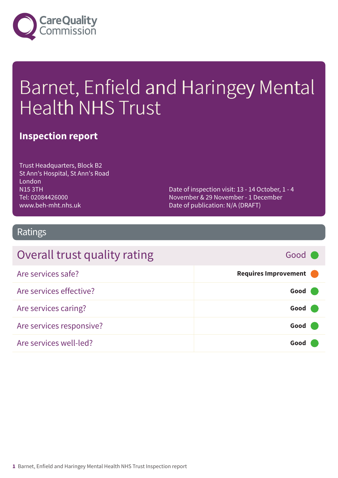

# Barnet, Enfield and Haringey Mental Health NHS Trust

### **Inspection report**

Trust Headquarters, Block B2 St Ann's Hospital, St Ann's Road London N15 3TH Tel: 02084426000 www.beh-mht.nhs.uk

Date of inspection visit: 13 - 14 October, 1 - 4 November & 29 November - 1 December Date of publication: N/A (DRAFT)

### Ratings

| Overall trust quality rating | Good C               |
|------------------------------|----------------------|
| Are services safe?           | Requires Improvement |
| Are services effective?      | Good                 |
| Are services caring?         | Good                 |
| Are services responsive?     | Good                 |
| Are services well-led?       | Good                 |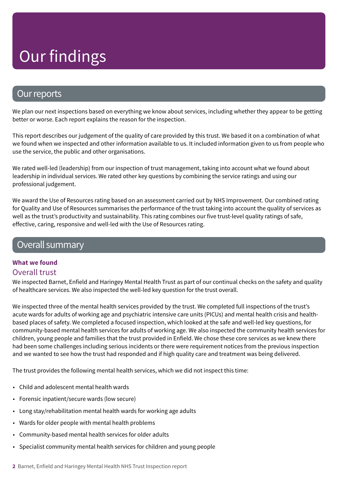### Our reports

We plan our next inspections based on everything we know about services, including whether they appear to be getting better or worse. Each report explains the reason for the inspection.

This report describes our judgement of the quality of care provided by this trust. We based it on a combination of what we found when we inspected and other information available to us. It included information given to us from people who use the service, the public and other organisations.

We rated well-led (leadership) from our inspection of trust management, taking into account what we found about leadership in individual services. We rated other key questions by combining the service ratings and using our professional judgement.

We award the Use of Resources rating based on an assessment carried out by NHS Improvement. Our combined rating for Quality and Use of Resources summarises the performance of the trust taking into account the quality of services as well as the trust's productivity and sustainability. This rating combines our five trust-level quality ratings of safe, effective, caring, responsive and well-led with the Use of Resources rating.

### Overall summary

#### **What we found**

#### Overall trust

We inspected Barnet, Enfield and Haringey Mental Health Trust as part of our continual checks on the safety and quality of healthcare services. We also inspected the well-led key question for the trust overall.

We inspected three of the mental health services provided by the trust. We completed full inspections of the trust's acute wards for adults of working age and psychiatric intensive care units (PICUs) and mental health crisis and healthbased places of safety. We completed a focused inspection, which looked at the safe and well-led key questions, for community-based mental health services for adults of working age. We also inspected the community health services for children, young people and families that the trust provided in Enfield. We chose these core services as we knew there had been some challenges including serious incidents or there were requirement notices from the previous inspection and we wanted to see how the trust had responded and if high quality care and treatment was being delivered.

The trust provides the following mental health services, which we did not inspect this time:

- Child and adolescent mental health wards
- Forensic inpatient/secure wards (low secure)
- Long stay/rehabilitation mental health wards for working age adults
- Wards for older people with mental health problems
- Community-based mental health services for older adults
- Specialist community mental health services for children and young people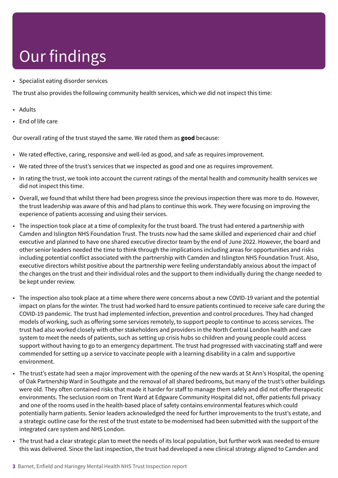• Specialist eating disorder services

The trust also provides the following community health services, which we did not inspect this time:

- Adults
- End of life care

Our overall rating of the trust stayed the same. We rated them as **good** because:

- We rated effective, caring, responsive and well-led as good, and safe as requires improvement.
- We rated three of the trust's services that we inspected as good and one as requires improvement.
- In rating the trust, we took into account the current ratings of the mental health and community health services we did not inspect this time.
- Overall, we found that whilst there had been progress since the previous inspection there was more to do. However, the trust leadership was aware of this and had plans to continue this work. They were focusing on improving the experience of patients accessing and using their services.
- The inspection took place at a time of complexity for the trust board. The trust had entered a partnership with Camden and Islington NHS Foundation Trust. The trusts now had the same skilled and experienced chair and chief executive and planned to have one shared executive director team by the end of June 2022. However, the board and other senior leaders needed the time to think through the implications including areas for opportunities and risks including potential conflict associated with the partnership with Camden and Islington NHS Foundation Trust. Also, executive directors whilst positive about the partnership were feeling understandably anxious about the impact of the changes on the trust and their individual roles and the support to them individually during the change needed to be kept under review.
- The inspection also took place at a time where there were concerns about a new COVID-19 variant and the potential impact on plans for the winter. The trust had worked hard to ensure patients continued to receive safe care during the COVID-19 pandemic. The trust had implemented infection, prevention and control procedures. They had changed models of working, such as offering some services remotely, to support people to continue to access services. The trust had also worked closely with other stakeholders and providers in the North Central London health and care system to meet the needs of patients, such as setting up crisis hubs so children and young people could access support without having to go to an emergency department. The trust had progressed with vaccinating staff and were commended for setting up a service to vaccinate people with a learning disability in a calm and supportive environment.
- The trust's estate had seen a major improvement with the opening of the new wards at St Ann's Hospital, the opening of Oak Partnership Ward in Southgate and the removal of all shared bedrooms, but many of the trust's other buildings were old. They often contained risks that made it harder for staff to manage them safely and did not offer therapeutic environments. The seclusion room on Trent Ward at Edgware Community Hospital did not, offer patients full privacy and one of the rooms used in the health-based place of safety contains environmental features which could potentially harm patients. Senior leaders acknowledged the need for further improvements to the trust's estate, and a strategic outline case for the rest of the trust estate to be modernised had been submitted with the support of the integrated care system and NHS London.
- The trust had a clear strategic plan to meet the needs of its local population, but further work was needed to ensure this was delivered. Since the last inspection, the trust had developed a new clinical strategy aligned to Camden and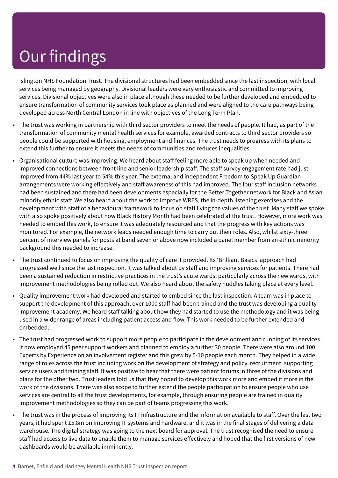Islington NHS Foundation Trust. The divisional structures had been embedded since the last inspection, with local services being managed by geography. Divisional leaders were very enthusiastic and committed to improving services. Divisional objectives were also in place although these needed to be further developed and embedded to ensure transformation of community services took place as planned and were aligned to the care pathways being developed across North Central London in line with objectives of the Long Term Plan.

- The trust was working in partnership with third sector providers to meet the needs of people. It had, as part of the transformation of community mental health services for example, awarded contracts to third sector providers so people could be supported with housing, employment and finances. The trust needs to progress with its plans to extend this further to ensure it meets the needs of communities and reduces inequalities.
- Organisational culture was improving. We heard about staff feeling more able to speak up when needed and improved connections between front line and senior leadership staff. The staff survey engagement rate had just improved from 44% last year to 54% this year. The external and independent Freedom to Speak Up Guardian arrangements were working effectively and staff awareness of this had improved. The four staff inclusion networks had been sustained and there had been developments especially for the Better Together network for Black and Asian minority ethnic staff. We also heard about the work to improve WRES, the in-depth listening exercises and the development with staff of a behavioural framework to focus on staff living the values of the trust. Many staff we spoke with also spoke positively about how Black History Month had been celebrated at the trust. However, more work was needed to embed this work, to ensure it was adequately resourced and that the progress with key actions was monitored. For example, the network leads needed enough time to carry out their roles. Also, whilst sixty-three percent of interview panels for posts at band seven or above now included a panel member from an ethnic minority background this needed to increase.
- The trust continued to focus on improving the quality of care it provided. Its 'Brilliant Basics' approach had progressed well since the last inspection. It was talked about by staff and improving services for patients. There had been a sustained reduction in restrictive practices in the trust's acute wards, particularly across the new wards, with improvement methodologies being rolled out. We also heard about the safety huddles taking place at every level.
- Quality improvement work had developed and started to embed since the last inspection. A team was in place to support the development of this approach, over 1000 staff had been trained and the trust was developing a quality improvement academy. We heard staff talking about how they had started to use the methodology and it was being used in a wider range of areas including patient access and flow. This work needed to be further extended and embedded.
- The trust had progressed work to support more people to participate in the development and running of its services. It now employed 45 peer support workers and planned to employ a further 30 people. There were also around 100 Experts by Experience on an involvement register and this grew by 5-10 people each month. They helped in a wide range of roles across the trust including work on the development of strategy and policy, recruitment, supporting service users and training staff. It was positive to hear that there were patient forums in three of the divisions and plans for the other two. Trust leaders told us that they hoped to develop this work more and embed it more in the work of the divisions. There was also scope to further extend the people participation to ensure people who use services are central to all the trust developments, for example, through ensuring people are trained in quality improvement methodologies so they can be part of teams progressing this work.
- The trust was in the process of improving its IT infrastructure and the information available to staff. Over the last two years, it had spent £5.8m on improving IT systems and hardware, and it was in the final stages of delivering a data warehouse. The digital strategy was going to the next board for approval. The trust recognised the need to ensure staff had access to live data to enable them to manage services effectively and hoped that the first versions of new dashboards would be available imminently.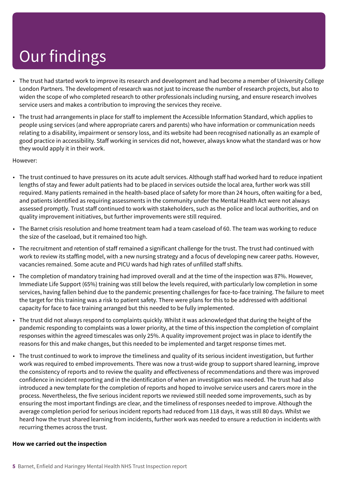- The trust had started work to improve its research and development and had become a member of University College London Partners. The development of research was not just to increase the number of research projects, but also to widen the scope of who completed research to other professionals including nursing, and ensure research involves service users and makes a contribution to improving the services they receive.
- The trust had arrangements in place for staff to implement the Accessible Information Standard, which applies to people using services (and where appropriate carers and parents) who have information or communication needs relating to a disability, impairment or sensory loss, and its website had been recognised nationally as an example of good practice in accessibility. Staff working in services did not, however, always know what the standard was or how they would apply it in their work.

#### However:

- The trust continued to have pressures on its acute adult services. Although staff had worked hard to reduce inpatient lengths of stay and fewer adult patients had to be placed in services outside the local area, further work was still required. Many patients remained in the health-based place of safety for more than 24 hours, often waiting for a bed, and patients identified as requiring assessments in the community under the Mental Health Act were not always assessed promptly. Trust staff continued to work with stakeholders, such as the police and local authorities, and on quality improvement initiatives, but further improvements were still required.
- The Barnet crisis resolution and home treatment team had a team caseload of 60. The team was working to reduce the size of the caseload, but it remained too high.
- The recruitment and retention of staff remained a significant challenge for the trust. The trust had continued with work to review its staffing model, with a new nursing strategy and a focus of developing new career paths. However, vacancies remained. Some acute and PICU wards had high rates of unfilled staff shifts.
- The completion of mandatory training had improved overall and at the time of the inspection was 87%. However, Immediate Life Support (65%) training was still below the levels required, with particularly low completion in some services, having fallen behind due to the pandemic presenting challenges for face-to-face training. The failure to meet the target for this training was a risk to patient safety. There were plans for this to be addressed with additional capacity for face to face training arranged but this needed to be fully implemented.
- The trust did not always respond to complaints quickly. Whilst it was acknowledged that during the height of the pandemic responding to complaints was a lower priority, at the time of this inspection the completion of complaint responses within the agreed timescales was only 25%. A quality improvement project was in place to identify the reasons for this and make changes, but this needed to be implemented and target response times met.
- The trust continued to work to improve the timeliness and quality of its serious incident investigation, but further work was required to embed improvements. There was now a trust-wide group to support shared learning, improve the consistency of reports and to review the quality and effectiveness of recommendations and there was improved confidence in incident reporting and in the identification of when an investigation was needed. The trust had also introduced a new template for the completion of reports and hoped to involve service users and carers more in the process. Nevertheless, the five serious incident reports we reviewed still needed some improvements, such as by ensuring the most important findings are clear, and the timeliness of responses needed to improve. Although the average completion period for serious incident reports had reduced from 118 days, it was still 80 days. Whilst we heard how the trust shared learning from incidents, further work was needed to ensure a reduction in incidents with recurring themes across the trust.

#### **How we carried out the inspection**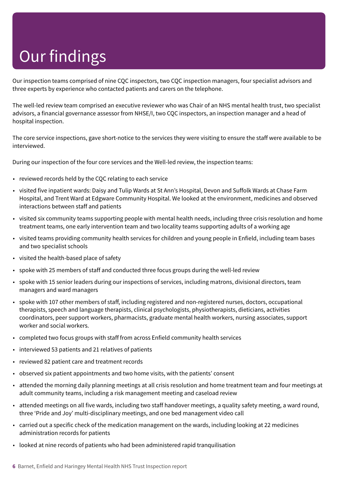Our inspection teams comprised of nine CQC inspectors, two CQC inspection managers, four specialist advisors and three experts by experience who contacted patients and carers on the telephone.

The well-led review team comprised an executive reviewer who was Chair of an NHS mental health trust, two specialist advisors, a financial governance assessor from NHSE/I, two CQC inspectors, an inspection manager and a head of hospital inspection.

The core service inspections, gave short-notice to the services they were visiting to ensure the staff were available to be interviewed.

During our inspection of the four core services and the Well-led review, the inspection teams:

- reviewed records held by the CQC relating to each service
- visited five inpatient wards: Daisy and Tulip Wards at St Ann's Hospital, Devon and Suffolk Wards at Chase Farm Hospital, and Trent Ward at Edgware Community Hospital. We looked at the environment, medicines and observed interactions between staff and patients
- visited six community teams supporting people with mental health needs, including three crisis resolution and home treatment teams, one early intervention team and two locality teams supporting adults of a working age
- visited teams providing community health services for children and young people in Enfield, including team bases and two specialist schools
- visited the health-based place of safety
- spoke with 25 members of staff and conducted three focus groups during the well-led review
- spoke with 15 senior leaders during our inspections of services, including matrons, divisional directors, team managers and ward managers
- spoke with 107 other members of staff, including registered and non-registered nurses, doctors, occupational therapists, speech and language therapists, clinical psychologists, physiotherapists, dieticians, activities coordinators, peer support workers, pharmacists, graduate mental health workers, nursing associates, support worker and social workers.
- completed two focus groups with staff from across Enfield community health services
- interviewed 53 patients and 21 relatives of patients
- reviewed 82 patient care and treatment records
- observed six patient appointments and two home visits, with the patients' consent
- attended the morning daily planning meetings at all crisis resolution and home treatment team and four meetings at adult community teams, including a risk management meeting and caseload review
- attended meetings on all five wards, including two staff handover meetings, a quality safety meeting, a ward round, three 'Pride and Joy' multi-disciplinary meetings, and one bed management video call
- carried out a specific check of the medication management on the wards, including looking at 22 medicines administration records for patients
- looked at nine records of patients who had been administered rapid tranquilisation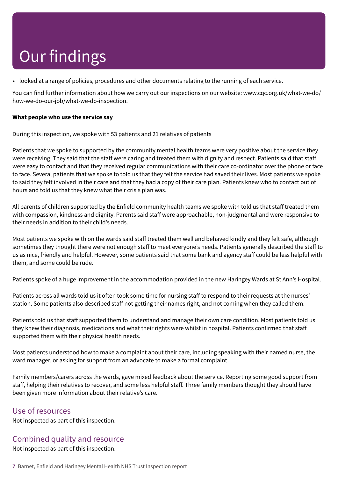• looked at a range of policies, procedures and other documents relating to the running of each service.

You can find further information about how we carry out our inspections on our website: www.cqc.org.uk/what-we-do/ how-we-do-our-job/what-we-do-inspection.

#### **What people who use the service say**

During this inspection, we spoke with 53 patients and 21 relatives of patients

Patients that we spoke to supported by the community mental health teams were very positive about the service they were receiving. They said that the staff were caring and treated them with dignity and respect. Patients said that staff were easy to contact and that they received regular communications with their care co-ordinator over the phone or face to face. Several patients that we spoke to told us that they felt the service had saved their lives. Most patients we spoke to said they felt involved in their care and that they had a copy of their care plan. Patients knew who to contact out of hours and told us that they knew what their crisis plan was.

All parents of children supported by the Enfield community health teams we spoke with told us that staff treated them with compassion, kindness and dignity. Parents said staff were approachable, non-judgmental and were responsive to their needs in addition to their child's needs.

Most patients we spoke with on the wards said staff treated them well and behaved kindly and they felt safe, although sometimes they thought there were not enough staff to meet everyone's needs. Patients generally described the staff to us as nice, friendly and helpful. However, some patients said that some bank and agency staff could be less helpful with them, and some could be rude.

Patients spoke of a huge improvement in the accommodation provided in the new Haringey Wards at St Ann's Hospital.

Patients across all wards told us it often took some time for nursing staff to respond to their requests at the nurses' station. Some patients also described staff not getting their names right, and not coming when they called them.

Patients told us that staff supported them to understand and manage their own care condition. Most patients told us they knew their diagnosis, medications and what their rights were whilst in hospital. Patients confirmed that staff supported them with their physical health needs.

Most patients understood how to make a complaint about their care, including speaking with their named nurse, the ward manager, or asking for support from an advocate to make a formal complaint.

Family members/carers across the wards, gave mixed feedback about the service. Reporting some good support from staff, helping their relatives to recover, and some less helpful staff. Three family members thought they should have been given more information about their relative's care.

#### Use of resources

Not inspected as part of this inspection.

### Combined quality and resource

Not inspected as part of this inspection.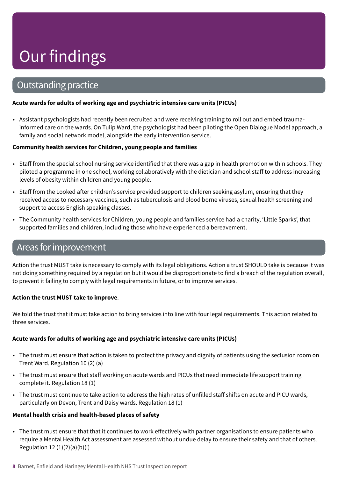### **Outstanding practice**

#### **Acute wards for adults of working age and psychiatric intensive care units (PICUs)**

• Assistant psychologists had recently been recruited and were receiving training to roll out and embed traumainformed care on the wards. On Tulip Ward, the psychologist had been piloting the Open Dialogue Model approach, a family and social network model, alongside the early intervention service.

#### **Community health services for Children, young people and families**

- Staff from the special school nursing service identified that there was a gap in health promotion within schools. They piloted a programme in one school, working collaboratively with the dietician and school staff to address increasing levels of obesity within children and young people.
- Staff from the Looked after children's service provided support to children seeking asylum, ensuring that they received access to necessary vaccines, such as tuberculosis and blood borne viruses, sexual health screening and support to access English speaking classes.
- The Community health services for Children, young people and families service had a charity, 'Little Sparks', that supported families and children, including those who have experienced a bereavement.

### Areas forimprovement

Action the trust MUST take is necessary to comply with its legal obligations. Action a trust SHOULD take is because it was not doing something required by a regulation but it would be disproportionate to find a breach of the regulation overall, to prevent it failing to comply with legal requirements in future, or to improve services.

#### **Action the trust MUST take to improve**:

We told the trust that it must take action to bring services into line with four legal requirements. This action related to three services.

#### **Acute wards for adults of working age and psychiatric intensive care units (PICUs)**

- The trust must ensure that action is taken to protect the privacy and dignity of patients using the seclusion room on Trent Ward. Regulation 10 (2) (a)
- The trust must ensure that staff working on acute wards and PICUs that need immediate life support training complete it. Regulation 18 (1)
- The trust must continue to take action to address the high rates of unfilled staff shifts on acute and PICU wards, particularly on Devon, Trent and Daisy wards. Regulation 18 (1)

#### **Mental health crisis and health-based places of safety**

• The trust must ensure that that it continues to work effectively with partner organisations to ensure patients who require a Mental Health Act assessment are assessed without undue delay to ensure their safety and that of others. Regulation 12 $(1)(2)(a)(b)(i)$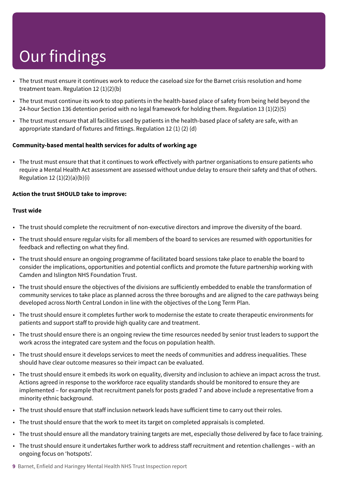- The trust must ensure it continues work to reduce the caseload size for the Barnet crisis resolution and home treatment team. Regulation 12 (1)(2)(b)
- The trust must continue its work to stop patients in the health-based place of safety from being held beyond the 24-hour Section 136 detention period with no legal framework for holding them. Regulation 13 (1)(2)(5)
- The trust must ensure that all facilities used by patients in the health-based place of safety are safe, with an appropriate standard of fixtures and fittings. Regulation 12 (1) (2) (d)

#### **Community-based mental health services for adults of working age**

• The trust must ensure that that it continues to work effectively with partner organisations to ensure patients who require a Mental Health Act assessment are assessed without undue delay to ensure their safety and that of others. Regulation 12 $(1)(2)(a)(b)(i)$ 

#### **Action the trust SHOULD take to improve:**

#### **Trust wide**

- The trust should complete the recruitment of non-executive directors and improve the diversity of the board.
- The trust should ensure regular visits for all members of the board to services are resumed with opportunities for feedback and reflecting on what they find.
- The trust should ensure an ongoing programme of facilitated board sessions take place to enable the board to consider the implications, opportunities and potential conflicts and promote the future partnership working with Camden and Islington NHS Foundation Trust.
- The trust should ensure the objectives of the divisions are sufficiently embedded to enable the transformation of community services to take place as planned across the three boroughs and are aligned to the care pathways being developed across North Central London in line with the objectives of the Long Term Plan.
- The trust should ensure it completes further work to modernise the estate to create therapeutic environments for patients and support staff to provide high quality care and treatment.
- The trust should ensure there is an ongoing review the time resources needed by senior trust leaders to support the work across the integrated care system and the focus on population health.
- The trust should ensure it develops services to meet the needs of communities and address inequalities. These should have clear outcome measures so their impact can be evaluated.
- The trust should ensure it embeds its work on equality, diversity and inclusion to achieve an impact across the trust. Actions agreed in response to the workforce race equality standards should be monitored to ensure they are implemented – for example that recruitment panels for posts graded 7 and above include a representative from a minority ethnic background.
- The trust should ensure that staff inclusion network leads have sufficient time to carry out their roles.
- The trust should ensure that the work to meet its target on completed appraisals is completed.
- The trust should ensure all the mandatory training targets are met, especially those delivered by face to face training.
- The trust should ensure it undertakes further work to address staff recruitment and retention challenges with an ongoing focus on 'hotspots'.
- **9** Barnet, Enfield and Haringey Mental Health NHS Trust Inspection report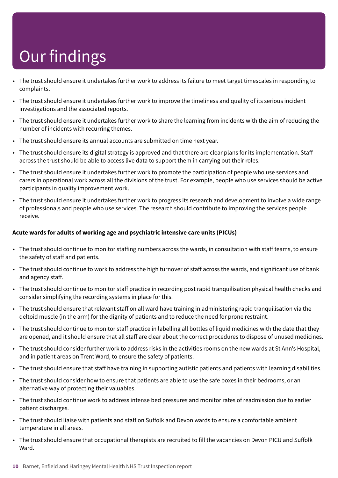- The trust should ensure it undertakes further work to address its failure to meet target timescales in responding to complaints.
- The trust should ensure it undertakes further work to improve the timeliness and quality of its serious incident investigations and the associated reports.
- The trust should ensure it undertakes further work to share the learning from incidents with the aim of reducing the number of incidents with recurring themes.
- The trust should ensure its annual accounts are submitted on time next year.
- The trust should ensure its digital strategy is approved and that there are clear plans for its implementation. Staff across the trust should be able to access live data to support them in carrying out their roles.
- The trust should ensure it undertakes further work to promote the participation of people who use services and carers in operational work across all the divisions of the trust. For example, people who use services should be active participants in quality improvement work.
- The trust should ensure it undertakes further work to progress its research and development to involve a wide range of professionals and people who use services. The research should contribute to improving the services people receive.

#### **Acute wards for adults of working age and psychiatric intensive care units (PICUs)**

- The trust should continue to monitor staffing numbers across the wards, in consultation with staff teams, to ensure the safety of staff and patients.
- The trust should continue to work to address the high turnover of staff across the wards, and significant use of bank and agency staff.
- The trust should continue to monitor staff practice in recording post rapid tranquilisation physical health checks and consider simplifying the recording systems in place for this.
- The trust should ensure that relevant staff on all ward have training in administering rapid tranquilisation via the deltoid muscle (in the arm) for the dignity of patients and to reduce the need for prone restraint.
- The trust should continue to monitor staff practice in labelling all bottles of liquid medicines with the date that they are opened, and it should ensure that all staff are clear about the correct procedures to dispose of unused medicines.
- The trust should consider further work to address risks in the activities rooms on the new wards at St Ann's Hospital, and in patient areas on Trent Ward, to ensure the safety of patients.
- The trust should ensure that staff have training in supporting autistic patients and patients with learning disabilities.
- The trust should consider how to ensure that patients are able to use the safe boxes in their bedrooms, or an alternative way of protecting their valuables.
- The trust should continue work to address intense bed pressures and monitor rates of readmission due to earlier patient discharges.
- The trust should liaise with patients and staff on Suffolk and Devon wards to ensure a comfortable ambient temperature in all areas.
- The trust should ensure that occupational therapists are recruited to fill the vacancies on Devon PICU and Suffolk Ward.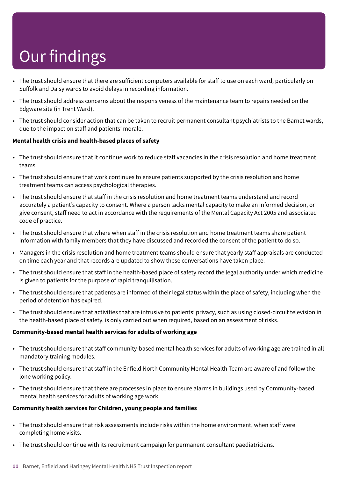- The trust should ensure that there are sufficient computers available for staff to use on each ward, particularly on Suffolk and Daisy wards to avoid delays in recording information.
- The trust should address concerns about the responsiveness of the maintenance team to repairs needed on the Edgware site (in Trent Ward).
- The trust should consider action that can be taken to recruit permanent consultant psychiatrists to the Barnet wards, due to the impact on staff and patients' morale.

#### **Mental health crisis and health-based places of safety**

- The trust should ensure that it continue work to reduce staff vacancies in the crisis resolution and home treatment teams.
- The trust should ensure that work continues to ensure patients supported by the crisis resolution and home treatment teams can access psychological therapies.
- The trust should ensure that staff in the crisis resolution and home treatment teams understand and record accurately a patient's capacity to consent. Where a person lacks mental capacity to make an informed decision, or give consent, staff need to act in accordance with the requirements of the Mental Capacity Act 2005 and associated code of practice.
- The trust should ensure that where when staff in the crisis resolution and home treatment teams share patient information with family members that they have discussed and recorded the consent of the patient to do so.
- Managers in the crisis resolution and home treatment teams should ensure that yearly staff appraisals are conducted on time each year and that records are updated to show these conversations have taken place.
- The trust should ensure that staff in the health-based place of safety record the legal authority under which medicine is given to patients for the purpose of rapid tranquilisation.
- The trust should ensure that patients are informed of their legal status within the place of safety, including when the period of detention has expired.
- The trust should ensure that activities that are intrusive to patients' privacy, such as using closed-circuit television in the health-based place of safety, is only carried out when required, based on an assessment of risks.

#### **Community-based mental health services for adults of working age**

- The trust should ensure that staff community-based mental health services for adults of working age are trained in all mandatory training modules.
- The trust should ensure that staff in the Enfield North Community Mental Health Team are aware of and follow the lone working policy.
- The trust should ensure that there are processes in place to ensure alarms in buildings used by Community-based mental health services for adults of working age work.

#### **Community health services for Children, young people and families**

- The trust should ensure that risk assessments include risks within the home environment, when staff were completing home visits.
- The trust should continue with its recruitment campaign for permanent consultant paediatricians.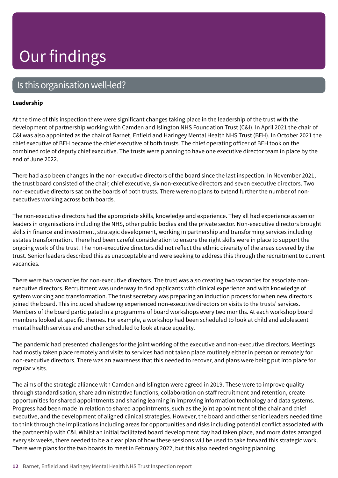### Is this organisation well-led?

#### **Leadership**

At the time of this inspection there were significant changes taking place in the leadership of the trust with the development of partnership working with Camden and Islington NHS Foundation Trust (C&I). In April 2021 the chair of C&I was also appointed as the chair of Barnet, Enfield and Haringey Mental Health NHS Trust (BEH). In October 2021 the chief executive of BEH became the chief executive of both trusts. The chief operating officer of BEH took on the combined role of deputy chief executive. The trusts were planning to have one executive director team in place by the end of June 2022.

There had also been changes in the non-executive directors of the board since the last inspection. In November 2021, the trust board consisted of the chair, chief executive, six non-executive directors and seven executive directors. Two non-executive directors sat on the boards of both trusts. There were no plans to extend further the number of nonexecutives working across both boards.

The non-executive directors had the appropriate skills, knowledge and experience. They all had experience as senior leaders in organisations including the NHS, other public bodies and the private sector. Non-executive directors brought skills in finance and investment, strategic development, working in partnership and transforming services including estates transformation. There had been careful consideration to ensure the right skills were in place to support the ongoing work of the trust. The non-executive directors did not reflect the ethnic diversity of the areas covered by the trust. Senior leaders described this as unacceptable and were seeking to address this through the recruitment to current vacancies.

There were two vacancies for non-executive directors. The trust was also creating two vacancies for associate nonexecutive directors. Recruitment was underway to find applicants with clinical experience and with knowledge of system working and transformation. The trust secretary was preparing an induction process for when new directors joined the board. This included shadowing experienced non-executive directors on visits to the trusts' services. Members of the board participated in a programme of board workshops every two months. At each workshop board members looked at specific themes. For example, a workshop had been scheduled to look at child and adolescent mental health services and another scheduled to look at race equality.

The pandemic had presented challenges for the joint working of the executive and non-executive directors. Meetings had mostly taken place remotely and visits to services had not taken place routinely either in person or remotely for non-executive directors. There was an awareness that this needed to recover, and plans were being put into place for regular visits.

The aims of the strategic alliance with Camden and Islington were agreed in 2019. These were to improve quality through standardisation, share administrative functions, collaboration on staff recruitment and retention, create opportunities for shared appointments and sharing learning in improving information technology and data systems. Progress had been made in relation to shared appointments, such as the joint appointment of the chair and chief executive, and the development of aligned clinical strategies. However, the board and other senior leaders needed time to think through the implications including areas for opportunities and risks including potential conflict associated with the partnership with C&I. Whilst an initial facilitated board development day had taken place, and more dates arranged every six weeks, there needed to be a clear plan of how these sessions will be used to take forward this strategic work. There were plans for the two boards to meet in February 2022, but this also needed ongoing planning.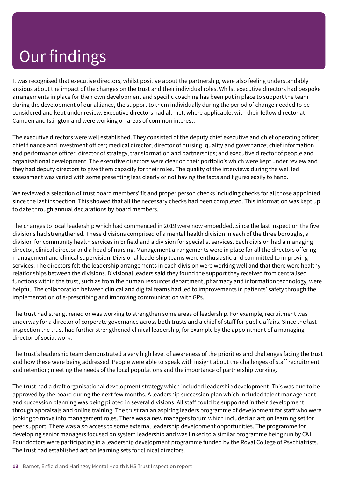It was recognised that executive directors, whilst positive about the partnership, were also feeling understandably anxious about the impact of the changes on the trust and their individual roles. Whilst executive directors had bespoke arrangements in place for their own development and specific coaching has been put in place to support the team during the development of our alliance, the support to them individually during the period of change needed to be considered and kept under review. Executive directors had all met, where applicable, with their fellow director at Camden and Islington and were working on areas of common interest.

The executive directors were well established. They consisted of the deputy chief executive and chief operating officer; chief finance and investment officer; medical director; director of nursing, quality and governance; chief information and performance officer; director of strategy, transformation and partnerships; and executive director of people and organisational development. The executive directors were clear on their portfolio's which were kept under review and they had deputy directors to give them capacity for their roles. The quality of the interviews during the well led assessment was varied with some presenting less clearly or not having the facts and figures easily to hand.

We reviewed a selection of trust board members' fit and proper person checks including checks for all those appointed since the last inspection. This showed that all the necessary checks had been completed. This information was kept up to date through annual declarations by board members.

The changes to local leadership which had commenced in 2019 were now embedded. Since the last inspection the five divisions had strengthened. These divisions comprised of a mental health division in each of the three boroughs, a division for community health services in Enfield and a division for specialist services. Each division had a managing director, clinical director and a head of nursing. Management arrangements were in place for all the directors offering management and clinical supervision. Divisional leadership teams were enthusiastic and committed to improving services. The directors felt the leadership arrangements in each division were working well and that there were healthy relationships between the divisions. Divisional leaders said they found the support they received from centralised functions within the trust, such as from the human resources department, pharmacy and information technology, were helpful. The collaboration between clinical and digital teams had led to improvements in patients' safety through the implementation of e-prescribing and improving communication with GPs.

The trust had strengthened or was working to strengthen some areas of leadership. For example, recruitment was underway for a director of corporate governance across both trusts and a chief of staff for public affairs. Since the last inspection the trust had further strengthened clinical leadership, for example by the appointment of a managing director of social work.

The trust's leadership team demonstrated a very high level of awareness of the priorities and challenges facing the trust and how these were being addressed. People were able to speak with insight about the challenges of staff recruitment and retention; meeting the needs of the local populations and the importance of partnership working.

The trust had a draft organisational development strategy which included leadership development. This was due to be approved by the board during the next few months. A leadership succession plan which included talent management and succession planning was being piloted in several divisions. All staff could be supported in their development through appraisals and online training. The trust ran an aspiring leaders programme of development for staff who were looking to move into management roles. There was a new managers forum which included an action learning set for peer support. There was also access to some external leadership development opportunities. The programme for developing senior managers focused on system leadership and was linked to a similar programme being run by C&I. Four doctors were participating in a leadership development programme funded by the Royal College of Psychiatrists. The trust had established action learning sets for clinical directors.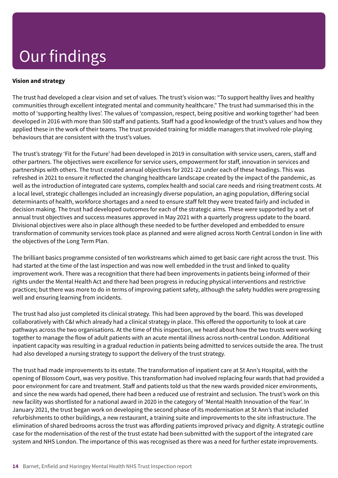#### **Vision and strategy**

The trust had developed a clear vision and set of values. The trust's vision was: "To support healthy lives and healthy communities through excellent integrated mental and community healthcare." The trust had summarised this in the motto of 'supporting healthy lives'. The values of 'compassion, respect, being positive and working together' had been developed in 2016 with more than 500 staff and patients. Staff had a good knowledge of the trust's values and how they applied these in the work of their teams. The trust provided training for middle managers that involved role-playing behaviours that are consistent with the trust's values.

The trust's strategy 'Fit for the Future' had been developed in 2019 in consultation with service users, carers, staff and other partners. The objectives were excellence for service users, empowerment for staff, innovation in services and partnerships with others. The trust created annual objectives for 2021-22 under each of these headings. This was refreshed in 2021 to ensure it reflected the changing healthcare landscape created by the impact of the pandemic, as well as the introduction of integrated care systems, complex health and social care needs and rising treatment costs. At a local level, strategic challenges included an increasingly diverse population, an aging population, differing social determinants of health, workforce shortages and a need to ensure staff felt they were treated fairly and included in decision making. The trust had developed outcomes for each of the strategic aims. These were supported by a set of annual trust objectives and success measures approved in May 2021 with a quarterly progress update to the board. Divisional objectives were also in place although these needed to be further developed and embedded to ensure transformation of community services took place as planned and were aligned across North Central London in line with the objectives of the Long Term Plan.

The brilliant basics programme consisted of ten workstreams which aimed to get basic care right across the trust. This had started at the time of the last inspection and was now well embedded in the trust and linked to quality improvement work. There was a recognition that there had been improvements in patients being informed of their rights under the Mental Health Act and there had been progress in reducing physical interventions and restrictive practices; but there was more to do in terms of improving patient safety, although the safety huddles were progressing well and ensuring learning from incidents.

The trust had also just completed its clinical strategy. This had been approved by the board. This was developed collaboratively with C&I which already had a clinical strategy in place. This offered the opportunity to look at care pathways across the two organisations. At the time of this inspection, we heard about how the two trusts were working together to manage the flow of adult patients with an acute mental illness across north-central London. Additional inpatient capacity was resulting in a gradual reduction in patients being admitted to services outside the area. The trust had also developed a nursing strategy to support the delivery of the trust strategy.

The trust had made improvements to its estate. The transformation of inpatient care at St Ann's Hospital, with the opening of Blossom Court, was very positive. This transformation had involved replacing four wards that had provided a poor environment for care and treatment. Staff and patients told us that the new wards provided nicer environments, and since the new wards had opened, there had been a reduced use of restraint and seclusion. The trust's work on this new facility was shortlisted for a national award in 2020 in the category of 'Mental Health Innovation of the Year'. In January 2021, the trust began work on developing the second phase of its modernisation at St Ann's that included refurbishments to other buildings, a new restaurant, a training suite and improvements to the site infrastructure. The elimination of shared bedrooms across the trust was affording patients improved privacy and dignity. A strategic outline case for the modernisation of the rest of the trust estate had been submitted with the support of the integrated care system and NHS London. The importance of this was recognised as there was a need for further estate improvements.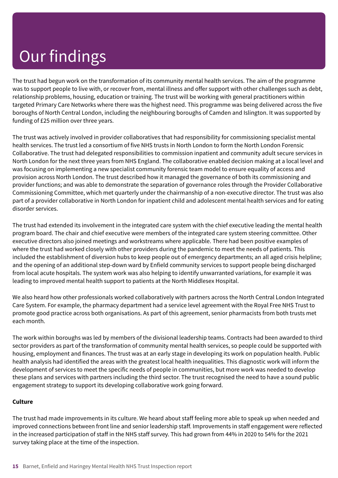The trust had begun work on the transformation of its community mental health services. The aim of the programme was to support people to live with, or recover from, mental illness and offer support with other challenges such as debt, relationship problems, housing, education or training. The trust will be working with general practitioners within targeted Primary Care Networks where there was the highest need. This programme was being delivered across the five boroughs of North Central London, including the neighbouring boroughs of Camden and Islington. It was supported by funding of £25 million over three years.

The trust was actively involved in provider collaboratives that had responsibility for commissioning specialist mental health services. The trust led a consortium of five NHS trusts in North London to form the North London Forensic Collaborative. The trust had delegated responsibilities to commission inpatient and community adult secure services in North London for the next three years from NHS England. The collaborative enabled decision making at a local level and was focusing on implementing a new specialist community forensic team model to ensure equality of access and provision across North London. The trust described how it managed the governance of both its commissioning and provider functions; and was able to demonstrate the separation of governance roles through the Provider Collaborative Commissioning Committee, which met quarterly under the chairmanship of a non-executive director. The trust was also part of a provider collaborative in North London for inpatient child and adolescent mental health services and for eating disorder services.

The trust had extended its involvement in the integrated care system with the chief executive leading the mental health program board. The chair and chief executive were members of the integrated care system steering committee. Other executive directors also joined meetings and workstreams where applicable. There had been positive examples of where the trust had worked closely with other providers during the pandemic to meet the needs of patients. This included the establishment of diversion hubs to keep people out of emergency departments; an all aged crisis helpline; and the opening of an additional step-down ward by Enfield community services to support people being discharged from local acute hospitals. The system work was also helping to identify unwarranted variations, for example it was leading to improved mental health support to patients at the North Middlesex Hospital.

We also heard how other professionals worked collaboratively with partners across the North Central London Integrated Care System. For example, the pharmacy department had a service level agreement with the Royal Free NHS Trust to promote good practice across both organisations. As part of this agreement, senior pharmacists from both trusts met each month.

The work within boroughs was led by members of the divisional leadership teams. Contracts had been awarded to third sector providers as part of the transformation of community mental health services, so people could be supported with housing, employment and finances. The trust was at an early stage in developing its work on population health. Public health analysis had identified the areas with the greatest local health inequalities. This diagnostic work will inform the development of services to meet the specific needs of people in communities, but more work was needed to develop these plans and services with partners including the third sector. The trust recognised the need to have a sound public engagement strategy to support its developing collaborative work going forward.

#### **Culture**

The trust had made improvements in its culture. We heard about staff feeling more able to speak up when needed and improved connections between front line and senior leadership staff. Improvements in staff engagement were reflected in the increased participation of staff in the NHS staff survey. This had grown from 44% in 2020 to 54% for the 2021 survey taking place at the time of the inspection.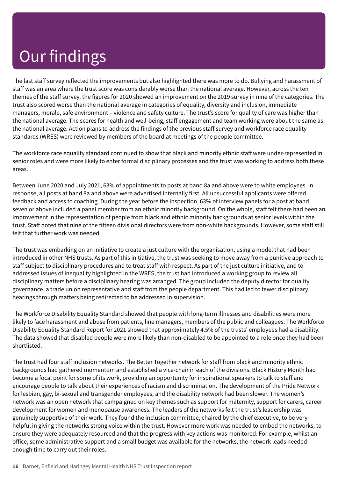The last staff survey reflected the improvements but also highlighted there was more to do. Bullying and harassment of staff was an area where the trust score was considerably worse than the national average. However, across the ten themes of the staff survey, the figures for 2020 showed an improvement on the 2019 survey in nine of the categories. The trust also scored worse than the national average in categories of equality, diversity and inclusion, immediate managers, morale, safe environment – violence and safety culture. The trust's score for quality of care was higher than the national average. The scores for health and well-being, staff engagement and team working were about the same as the national average. Action plans to address the findings of the previous staff survey and workforce race equality standards (WRES) were reviewed by members of the board at meetings of the people committee.

The workforce race equality standard continued to show that black and minority ethnic staff were under-represented in senior roles and were more likely to enter formal disciplinary processes and the trust was working to address both these areas.

Between June 2020 and July 2021, 63% of appointments to posts at band 8a and above were to white employees. In response, all posts at band 8a and above were advertised internally first. All unsuccessful applicants were offered feedback and access to coaching. During the year before the inspection, 63% of interview panels for a post at band seven or above included a panel member from an ethnic minority background. On the whole, staff felt there had been an improvement in the representation of people from black and ethnic minority backgrounds at senior levels within the trust. Staff noted that nine of the fifteen divisional directors were from non-white backgrounds. However, some staff still felt that further work was needed.

The trust was embarking on an initiative to create a just culture with the organisation, using a model that had been introduced in other NHS trusts. As part of this initiative, the trust was seeking to move away from a punitive approach to staff subject to disciplinary procedures and to treat staff with respect. As part of the just culture initiative, and to addressed issues of inequality highlighted in the WRES, the trust had introduced a working group to review all disciplinary matters before a disciplinary hearing was arranged. The group included the deputy director for quality governance, a trade union representative and staff from the people department. This had led to fewer disciplinary hearings through matters being redirected to be addressed in supervision.

The Workforce Disability Equality Standard showed that people with long-term illnesses and disabilities were more likely to face harassment and abuse from patients, line managers, members of the public and colleagues. The Workforce Disability Equality Standard Report for 2021 showed that approximately 4.5% of the trusts' employees had a disability. The data showed that disabled people were more likely than non-disabled to be appointed to a role once they had been shortlisted.

The trust had four staff inclusion networks. The Better Together network for staff from black and minority ethnic backgrounds had gathered momentum and established a vice-chair in each of the divisions. Black History Month had become a focal point for some of its work, providing an opportunity for inspirational speakers to talk to staff and encourage people to talk about their experiences of racism and discrimination. The development of the Pride Network for lesbian, gay, bi-sexual and transgender employees, and the disability network had been slower. The women's network was an open network that campaigned on key themes such as support for maternity, support for carers, career development for women and menopause awareness. The leaders of the networks felt the trust's leadership was genuinely supportive of their work. They found the inclusion committee, chaired by the chief executive, to be very helpful in giving the networks strong voice within the trust. However more work was needed to embed the networks, to ensure they were adequately resourced and that the progress with key actions was monitored. For example, whilst an office, some administrative support and a small budget was available for the networks, the network leads needed enough time to carry out their roles.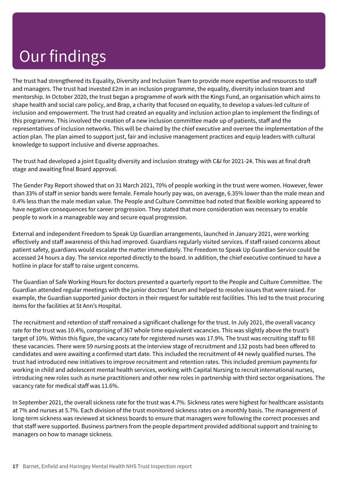The trust had strengthened its Equality, Diversity and Inclusion Team to provide more expertise and resources to staff and managers. The trust had invested £2m in an inclusion programme, the equality, diversity inclusion team and mentorship. In October 2020, the trust began a programme of work with the Kings Fund, an organisation which aims to shape health and social care policy, and Brap, a charity that focused on equality, to develop a values-led culture of inclusion and empowerment. The trust had created an equality and inclusion action plan to implement the findings of this programme. This involved the creation of a new inclusion committee made up of patients, staff and the representatives of inclusion networks. This will be chaired by the chief executive and oversee the implementation of the action plan. The plan aimed to support just, fair and inclusive management practices and equip leaders with cultural knowledge to support inclusive and diverse approaches.

The trust had developed a joint Equality diversity and inclusion strategy with C&I for 2021-24. This was at final draft stage and awaiting final Board approval.

The Gender Pay Report showed that on 31 March 2021, 70% of people working in the trust were women. However, fewer than 33% of staff in senior bands were female. Female hourly pay was, on average, 6.35% lower than the male mean and 0.4% less than the male median value. The People and Culture Committee had noted that flexible working appeared to have negative consequences for career progression. They stated that more consideration was necessary to enable people to work in a manageable way and secure equal progression.

External and independent Freedom to Speak Up Guardian arrangements, launched in January 2021, were working effectively and staff awareness of this had improved. Guardians regularly visited services. If staff raised concerns about patient safety, guardians would escalate the matter immediately. The Freedom to Speak Up Guardian Service could be accessed 24 hours a day. The service reported directly to the board. In addition, the chief executive continued to have a hotline in place for staff to raise urgent concerns.

The Guardian of Safe Working Hours for doctors presented a quarterly report to the People and Culture Committee. The Guardian attended regular meetings with the junior doctors' forum and helped to resolve issues that were raised. For example, the Guardian supported junior doctors in their request for suitable rest facilities. This led to the trust procuring items for the facilities at St Ann's Hospital.

The recruitment and retention of staff remained a significant challenge for the trust. In July 2021, the overall vacancy rate for the trust was 10.4%, comprising of 367 whole time equivalent vacancies. This was slightly above the trust's target of 10%. Within this figure, the vacancy rate for registered nurses was 17.9%. The trust was recruiting staff to fill these vacancies. There were 59 nursing posts at the interview stage of recruitment and 132 posts had been offered to candidates and were awaiting a confirmed start date. This included the recruitment of 44 newly qualified nurses. The trust had introduced new initiatives to improve recruitment and retention rates. This included premium payments for working in child and adolescent mental health services, working with Capital Nursing to recruit international nurses, introducing new roles such as nurse practitioners and other new roles in partnership with third sector organisations. The vacancy rate for medical staff was 11.6%.

In September 2021, the overall sickness rate for the trust was 4.7%. Sickness rates were highest for healthcare assistants at 7% and nurses at 5.7%. Each division of the trust monitored sickness rates on a monthly basis. The management of long-term sickness was reviewed at sickness boards to ensure that managers were following the correct processes and that staff were supported. Business partners from the people department provided additional support and training to managers on how to manage sickness.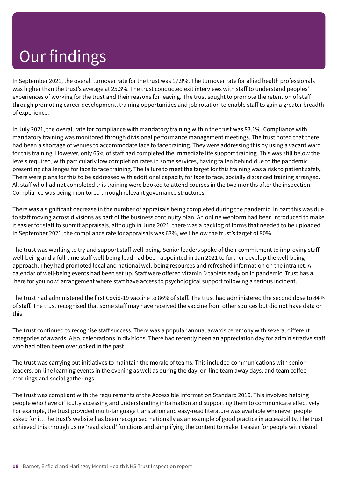In September 2021, the overall turnover rate for the trust was 17.9%. The turnover rate for allied health professionals was higher than the trust's average at 25.3%. The trust conducted exit interviews with staff to understand peoples' experiences of working for the trust and their reasons for leaving. The trust sought to promote the retention of staff through promoting career development, training opportunities and job rotation to enable staff to gain a greater breadth of experience.

In July 2021, the overall rate for compliance with mandatory training within the trust was 83.1%. Compliance with mandatory training was monitored through divisional performance management meetings. The trust noted that there had been a shortage of venues to accommodate face to face training. They were addressing this by using a vacant ward for this training. However, only 65% of staff had completed the immediate life support training. This was still below the levels required, with particularly low completion rates in some services, having fallen behind due to the pandemic presenting challenges for face to face training. The failure to meet the target for this training was a risk to patient safety. There were plans for this to be addressed with additional capacity for face to face, socially distanced training arranged. All staff who had not completed this training were booked to attend courses in the two months after the inspection. Compliance was being monitored through relevant governance structures.

There was a significant decrease in the number of appraisals being completed during the pandemic. In part this was due to staff moving across divisions as part of the business continuity plan. An online webform had been introduced to make it easier for staff to submit appraisals, although in June 2021, there was a backlog of forms that needed to be uploaded. In September 2021, the compliance rate for appraisals was 63%, well below the trust's target of 90%.

The trust was working to try and support staff well-being. Senior leaders spoke of their commitment to improving staff well-being and a full-time staff well-being lead had been appointed in Jan 2021 to further develop the well-being approach. They had promoted local and national well-being resources and refreshed information on the intranet. A calendar of well-being events had been set up. Staff were offered vitamin D tablets early on in pandemic. Trust has a 'here for you now' arrangement where staff have access to psychological support following a serious incident.

The trust had administered the first Covid-19 vaccine to 86% of staff. The trust had administered the second dose to 84% of staff. The trust recognised that some staff may have received the vaccine from other sources but did not have data on this.

The trust continued to recognise staff success. There was a popular annual awards ceremony with several different categories of awards. Also, celebrations in divisions. There had recently been an appreciation day for administrative staff who had often been overlooked in the past.

The trust was carrying out initiatives to maintain the morale of teams. This included communications with senior leaders; on-line learning events in the evening as well as during the day; on-line team away days; and team coffee mornings and social gatherings.

The trust was compliant with the requirements of the Accessible Information Standard 2016. This involved helping people who have difficulty accessing and understanding information and supporting them to communicate effectively. For example, the trust provided multi-language translation and easy-read literature was available whenever people asked for it. The trust's website has been recognised nationally as an example of good practice in accessibility. The trust achieved this through using 'read aloud' functions and simplifying the content to make it easier for people with visual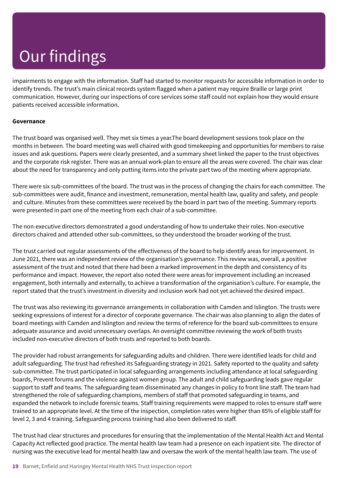impairments to engage with the information. Staff had started to monitor requests for accessible information in order to identify trends. The trust's main clinical records system flagged when a patient may require Braille or large print communication. However, during our inspections of core services some staff could not explain how they would ensure patients received accessible information.

#### **Governance**

The trust board was organised well. They met six times a year.The board development sessions took place on the months in between*.* The board meeting was well chaired with good timekeeping and opportunities for members to raise issues and ask questions. Papers were clearly presented, and a summary sheet linked the paper to the trust objectives and the corporate risk register. There was an annual work-plan to ensure all the areas were covered. The chair was clear about the need for transparency and only putting items into the private part two of the meeting where appropriate.

There were six sub-committees of the board. The trust was in the process of changing the chairs for each committee. The sub-committees were audit, finance and investment, remuneration, mental health law, quality and safety, and people and culture. Minutes from these committees were received by the board in part two of the meeting. Summary reports were presented in part one of the meeting from each chair of a sub-committee.

The non-executive directors demonstrated a good understanding of how to undertake their roles. Non-executive directors chaired and attended other sub-committees, so they understood the broader working of the trust.

The trust carried out regular assessments of the effectiveness of the board to help identify areas for improvement. In June 2021, there was an independent review of the organisation's governance. This review was, overall, a positive assessment of the trust and noted that there had been a marked improvement in the depth and consistency of its performance and impact. However, the report also noted there were areas for improvement including an increased engagement, both internally and externally, to achieve a transformation of the organisation's culture. For example, the report stated that the trust's investment in diversity and inclusion work had not yet achieved the desired impact.

The trust was also reviewing its governance arrangements in collaboration with Camden and Islington. The trusts were seeking expressions of interest for a director of corporate governance. The chair was also planning to align the dates of board meetings with Camden and Islington and review the terms of reference for the board sub-committees to ensure adequate assurance and avoid unnecessary overlaps. An oversight committee reviewing the work of both trusts included non-executive directors of both trusts and reported to both boards.

The provider had robust arrangements for safeguarding adults and children. There were identified leads for child and adult safeguarding. The trust had refreshed its Safeguarding strategy in 2021. Safety reported to the quality and safety sub-committee. The trust participated in local safeguarding arrangements including attendance at local safeguarding boards, Prevent forums and the violence against women group. The adult and child safeguarding leads gave regular support to staff and teams. The safeguarding team disseminated any changes in policy to front line staff. The team had strengthened the role of safeguarding champions, members of staff that promoted safeguarding in teams, and expanded the network to include forensic teams. Staff training requirements were mapped to roles to ensure staff were trained to an appropriate level. At the time of the inspection, completion rates were higher than 85% of eligible staff for level 2, 3 and 4 training. Safeguarding process training had also been delivered to staff.

The trust had clear structures and procedures for ensuring that the implementation of the Mental Health Act and Mental Capacity Act reflected good practice. The mental health law team had a presence on each inpatient site. The director of nursing was the executive lead for mental health law and oversaw the work of the mental health law team. The use of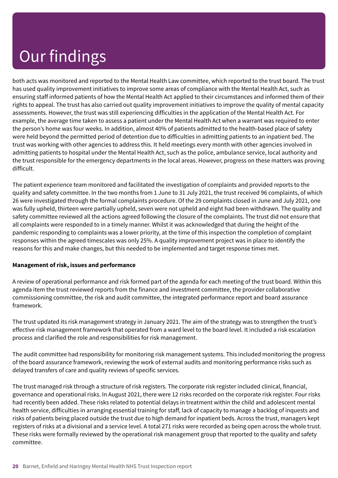both acts was monitored and reported to the Mental Health Law committee, which reported to the trust board. The trust has used quality improvement initiatives to improve some areas of compliance with the Mental Health Act, such as ensuring staff informed patients of how the Mental Health Act applied to their circumstances and informed them of their rights to appeal. The trust has also carried out quality improvement initiatives to improve the quality of mental capacity assessments. However, the trust was still experiencing difficulties in the application of the Mental Health Act. For example, the average time taken to assess a patient under the Mental Health Act when a warrant was required to enter the person's home was four weeks. In addition, almost 40% of patients admitted to the health-based place of safety were held beyond the permitted period of detention due to difficulties in admitting patients to an inpatient bed. The trust was working with other agencies to address this. It held meetings every month with other agencies involved in admitting patients to hospital under the Mental Health Act, such as the police, ambulance service, local authority and the trust responsible for the emergency departments in the local areas. However, progress on these matters was proving difficult.

The patient experience team monitored and facilitated the investigation of complaints and provided reports to the quality and safety committee. In the two months from 1 June to 31 July 2021, the trust received 96 complaints, of which 26 were investigated through the formal complaints procedure. Of the 29 complaints closed in June and July 2021, one was fully upheld, thirteen were partially upheld, seven were not upheld and eight had been withdrawn. The quality and safety committee reviewed all the actions agreed following the closure of the complaints. The trust did not ensure that all complaints were responded to in a timely manner. Whilst it was acknowledged that during the height of the pandemic responding to complaints was a lower priority, at the time of this inspection the completion of complaint responses within the agreed timescales was only 25%. A quality improvement project was in place to identify the reasons for this and make changes, but this needed to be implemented and target response times met.

#### **Management of risk, issues and performance**

A review of operational performance and risk formed part of the agenda for each meeting of the trust board. Within this agenda item the trust reviewed reports from the finance and investment committee, the provider collaborative commissioning committee, the risk and audit committee, the integrated performance report and board assurance framework.

The trust updated its risk management strategy in January 2021. The aim of the strategy was to strengthen the trust's effective risk management framework that operated from a ward level to the board level. It included a risk escalation process and clarified the role and responsibilities for risk management.

The audit committee had responsibility for monitoring risk management systems. This included monitoring the progress of the board assurance framework, reviewing the work of external audits and monitoring performance risks such as delayed transfers of care and quality reviews of specific services.

The trust managed risk through a structure of risk registers. The corporate risk register included clinical, financial, governance and operational risks. In August 2021, there were 12 risks recorded on the corporate risk register. Four risks had recently been added. These risks related to potential delays in treatment within the child and adolescent mental health service, difficulties in arranging essential training for staff, lack of capacity to manage a backlog of inquests and risks of patients being placed outside the trust due to high demand for inpatient beds. Across the trust, managers kept registers of risks at a divisional and a service level. A total 271 risks were recorded as being open across the whole trust. These risks were formally reviewed by the operational risk management group that reported to the quality and safety committee.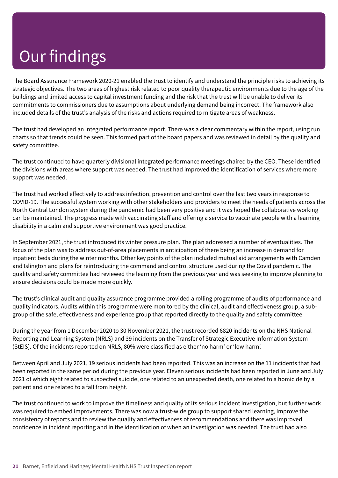The Board Assurance Framework 2020-21 enabled the trust to identify and understand the principle risks to achieving its strategic objectives. The two areas of highest risk related to poor quality therapeutic environments due to the age of the buildings and limited access to capital investment funding and the risk that the trust will be unable to deliver its commitments to commissioners due to assumptions about underlying demand being incorrect. The framework also included details of the trust's analysis of the risks and actions required to mitigate areas of weakness.

The trust had developed an integrated performance report. There was a clear commentary within the report, using run charts so that trends could be seen. This formed part of the board papers and was reviewed in detail by the quality and safety committee.

The trust continued to have quarterly divisional integrated performance meetings chaired by the CEO. These identified the divisions with areas where support was needed. The trust had improved the identification of services where more support was needed.

The trust had worked effectively to address infection, prevention and control over the last two years in response to COVID-19. The successful system working with other stakeholders and providers to meet the needs of patients across the North Central London system during the pandemic had been very positive and it was hoped the collaborative working can be maintained. The progress made with vaccinating staff and offering a service to vaccinate people with a learning disability in a calm and supportive environment was good practice.

In September 2021, the trust introduced its winter pressure plan. The plan addressed a number of eventualities. The focus of the plan was to address out-of-area placements in anticipation of there being an increase in demand for inpatient beds during the winter months. Other key points of the plan included mutual aid arrangements with Camden and Islington and plans for reintroducing the command and control structure used during the Covid pandemic. The quality and safety committee had reviewed the learning from the previous year and was seeking to improve planning to ensure decisions could be made more quickly.

The trust's clinical audit and quality assurance programme provided a rolling programme of audits of performance and quality indicators. Audits within this programme were monitored by the clinical, audit and effectiveness group, a subgroup of the safe, effectiveness and experience group that reported directly to the quality and safety committee

During the year from 1 December 2020 to 30 November 2021, the trust recorded 6820 incidents on the NHS National Reporting and Learning System (NRLS) and 39 incidents on the Transfer of Strategic Executive Information System (StEIS). Of the incidents reported on NRLS, 80% were classified as either 'no harm' or 'low harm'.

Between April and July 2021, 19 serious incidents had been reported. This was an increase on the 11 incidents that had been reported in the same period during the previous year. Eleven serious incidents had been reported in June and July 2021 of which eight related to suspected suicide, one related to an unexpected death, one related to a homicide by a patient and one related to a fall from height.

The trust continued to work to improve the timeliness and quality of its serious incident investigation, but further work was required to embed improvements. There was now a trust-wide group to support shared learning, improve the consistency of reports and to review the quality and effectiveness of recommendations and there was improved confidence in incident reporting and in the identification of when an investigation was needed. The trust had also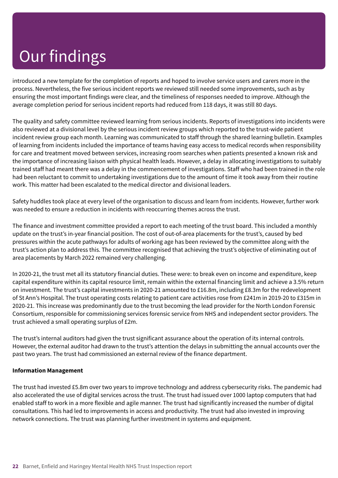introduced a new template for the completion of reports and hoped to involve service users and carers more in the process. Nevertheless, the five serious incident reports we reviewed still needed some improvements, such as by ensuring the most important findings were clear, and the timeliness of responses needed to improve. Although the average completion period for serious incident reports had reduced from 118 days, it was still 80 days.

The quality and safety committee reviewed learning from serious incidents. Reports of investigations into incidents were also reviewed at a divisional level by the serious incident review groups which reported to the trust-wide patient incident review group each month. Learning was communicated to staff through the shared learning bulletin. Examples of learning from incidents included the importance of teams having easy access to medical records when responsibility for care and treatment moved between services, increasing room searches when patients presented a known risk and the importance of increasing liaison with physical health leads. However, a delay in allocating investigations to suitably trained staff had meant there was a delay in the commencement of investigations. Staff who had been trained in the role had been reluctant to commit to undertaking investigations due to the amount of time it took away from their routine work. This matter had been escalated to the medical director and divisional leaders.

Safety huddles took place at every level of the organisation to discuss and learn from incidents. However, further work was needed to ensure a reduction in incidents with reoccurring themes across the trust.

The finance and investment committee provided a report to each meeting of the trust board. This included a monthly update on the trust's in-year financial position. The cost of out-of-area placements for the trust's, caused by bed pressures within the acute pathways for adults of working age has been reviewed by the committee along with the trust's action plan to address this. The committee recognised that achieving the trust's objective of eliminating out of area placements by March 2022 remained very challenging.

In 2020-21, the trust met all its statutory financial duties. These were: to break even on income and expenditure, keep capital expenditure within its capital resource limit, remain within the external financing limit and achieve a 3.5% return on investment. The trust's capital investments in 2020-21 amounted to £16.8m, including £8.3m for the redevelopment of St Ann's Hospital. The trust operating costs relating to patient care activities rose from £241m in 2019-20 to £315m in 2020-21. This increase was predominantly due to the trust becoming the lead provider for the North London Forensic Consortium, responsible for commissioning services forensic service from NHS and independent sector providers. The trust achieved a small operating surplus of £2m.

The trust's internal auditors had given the trust significant assurance about the operation of its internal controls. However, the external auditor had drawn to the trust's attention the delays in submitting the annual accounts over the past two years. The trust had commissioned an external review of the finance department.

#### **Information Management**

The trust had invested £5.8m over two years to improve technology and address cybersecurity risks. The pandemic had also accelerated the use of digital services across the trust. The trust had issued over 1000 laptop computers that had enabled staff to work in a more flexible and agile manner. The trust had significantly increased the number of digital consultations. This had led to improvements in access and productivity. The trust had also invested in improving network connections. The trust was planning further investment in systems and equipment.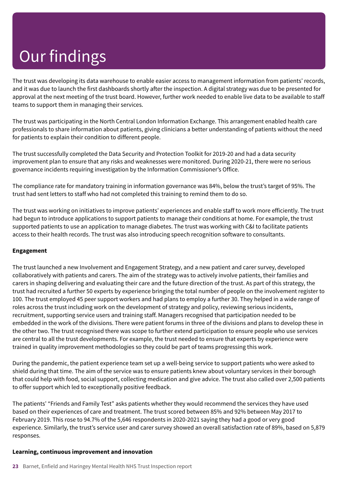The trust was developing its data warehouse to enable easier access to management information from patients' records, and it was due to launch the first dashboards shortly after the inspection. A digital strategy was due to be presented for approval at the next meeting of the trust board. However, further work needed to enable live data to be available to staff teams to support them in managing their services.

The trust was participating in the North Central London Information Exchange. This arrangement enabled health care professionals to share information about patients, giving clinicians a better understanding of patients without the need for patients to explain their condition to different people.

The trust successfully completed the Data Security and Protection Toolkit for 2019-20 and had a data security improvement plan to ensure that any risks and weaknesses were monitored. During 2020-21, there were no serious governance incidents requiring investigation by the Information Commissioner's Office.

The compliance rate for mandatory training in information governance was 84%, below the trust's target of 95%. The trust had sent letters to staff who had not completed this training to remind them to do so.

The trust was working on initiatives to improve patients' experiences and enable staff to work more efficiently. The trust had begun to introduce applications to support patients to manage their conditions at home. For example, the trust supported patients to use an application to manage diabetes. The trust was working with C&I to facilitate patients access to their health records. The trust was also introducing speech recognition software to consultants.

#### **Engagement**

The trust launched a new Involvement and Engagement Strategy, and a new patient and carer survey, developed collaboratively with patients and carers. The aim of the strategy was to actively involve patients, their families and carers in shaping delivering and evaluating their care and the future direction of the trust. As part of this strategy, the trust had recruited a further 50 experts by experience bringing the total number of people on the involvement register to 100. The trust employed 45 peer support workers and had plans to employ a further 30. They helped in a wide range of roles across the trust including work on the development of strategy and policy, reviewing serious incidents, recruitment, supporting service users and training staff. Managers recognised that participation needed to be embedded in the work of the divisions. There were patient forums in three of the divisions and plans to develop these in the other two. The trust recognised there was scope to further extend participation to ensure people who use services are central to all the trust developments. For example, the trust needed to ensure that experts by experience were trained in quality improvement methodologies so they could be part of teams progressing this work.

During the pandemic, the patient experience team set up a well-being service to support patients who were asked to shield during that time. The aim of the service was to ensure patients knew about voluntary services in their borough that could help with food, social support, collecting medication and give advice. The trust also called over 2,500 patients to offer support which led to exceptionally positive feedback.

The patients' "Friends and Family Test" asks patients whether they would recommend the services they have used based on their experiences of care and treatment. The trust scored between 85% and 92% between May 2017 to February 2019. This rose to 94.7% of the 5,646 respondents in 2020-2021 saying they had a good or very good experience. Similarly, the trust's service user and carer survey showed an overall satisfaction rate of 89%, based on 5,879 responses.

#### **Learning, continuous improvement and innovation**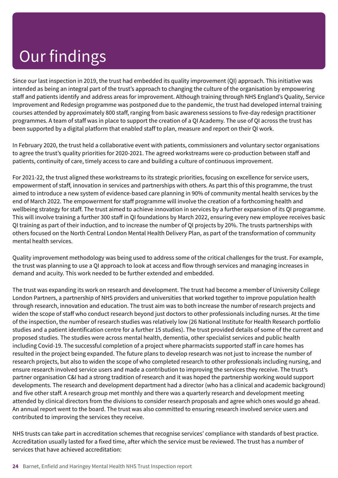Since our last inspection in 2019, the trust had embedded its quality improvement (QI) approach. This initiative was intended as being an integral part of the trust's approach to changing the culture of the organisation by empowering staff and patients identify and address areas for improvement. Although training through NHS England's Quality, Service Improvement and Redesign programme was postponed due to the pandemic, the trust had developed internal training courses attended by approximately 800 staff, ranging from basic awareness sessions to five-day redesign practitioner programmes. A team of staff was in place to support the creation of a QI Academy. The use of QI across the trust has been supported by a digital platform that enabled staff to plan, measure and report on their QI work.

In February 2020, the trust held a collaborative event with patients, commissioners and voluntary sector organisations to agree the trust's quality priorities for 2020-2021. The agreed workstreams were co-production between staff and patients, continuity of care, timely access to care and building a culture of continuous improvement.

For 2021-22, the trust aligned these workstreams to its strategic priorities, focusing on excellence for service users, empowerment of staff, innovation in services and partnerships with others. As part this of this programme, the trust aimed to introduce a new system of evidence-based care planning in 90% of community mental health services by the end of March 2022. The empowerment for staff programme will involve the creation of a forthcoming health and wellbeing strategy for staff. The trust aimed to achieve innovation in services by a further expansion of its QI programme. This will involve training a further 300 staff in QI foundations by March 2022, ensuring every new employee receives basic QI training as part of their induction, and to increase the number of QI projects by 20%. The trusts partnerships with others focused on the North Central London Mental Health Delivery Plan, as part of the transformation of community mental health services.

Quality improvement methodology was being used to address some of the critical challenges for the trust. For example, the trust was planning to use a QI approach to look at access and flow through services and managing increases in demand and acuity. This work needed to be further extended and embedded.

The trust was expanding its work on research and development. The trust had become a member of University College London Partners, a partnership of NHS providers and universities that worked together to improve population health through research, innovation and education. The trust aim was to both increase the number of research projects and widen the scope of staff who conduct research beyond just doctors to other professionals including nurses. At the time of the inspection, the number of research studies was relatively low (26 National Institute for Health Research portfolio studies and a patient identification centre for a further 15 studies). The trust provided details of some of the current and proposed studies. The studies were across mental health, dementia, other specialist services and public health including Covid-19. The successful completion of a project where pharmacists supported staff in care homes has resulted in the project being expanded. The future plans to develop research was not just to increase the number of research projects, but also to widen the scope of who completed research to other professionals including nursing, and ensure research involved service users and made a contribution to improving the services they receive. The trust's partner organisation C&I had a strong tradition of research and it was hoped the partnership working would support developments. The research and development department had a director (who has a clinical and academic background) and five other staff. A research group met monthly and there was a quarterly research and development meeting attended by clinical directors from the divisions to consider research proposals and agree which ones would go ahead. An annual report went to the board. The trust was also committed to ensuring research involved service users and contributed to improving the services they receive.

NHS trusts can take part in accreditation schemes that recognise services' compliance with standards of best practice. Accreditation usually lasted for a fixed time, after which the service must be reviewed. The trust has a number of services that have achieved accreditation: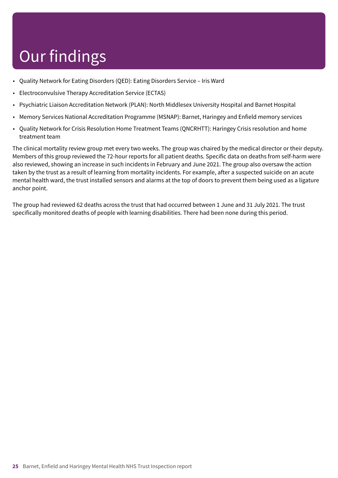- Quality Network for Eating Disorders (QED): Eating Disorders Service Iris Ward
- Electroconvulsive Therapy Accreditation Service (ECTAS)
- Psychiatric Liaison Accreditation Network (PLAN): North Middlesex University Hospital and Barnet Hospital
- Memory Services National Accreditation Programme (MSNAP): Barnet, Haringey and Enfield memory services
- Quality Network for Crisis Resolution Home Treatment Teams (QNCRHTT): Haringey Crisis resolution and home treatment team

The clinical mortality review group met every two weeks. The group was chaired by the medical director or their deputy. Members of this group reviewed the 72-hour reports for all patient deaths. Specific data on deaths from self-harm were also reviewed, showing an increase in such incidents in February and June 2021. The group also oversaw the action taken by the trust as a result of learning from mortality incidents. For example, after a suspected suicide on an acute mental health ward, the trust installed sensors and alarms at the top of doors to prevent them being used as a ligature anchor point.

The group had reviewed 62 deaths across the trust that had occurred between 1 June and 31 July 2021. The trust specifically monitored deaths of people with learning disabilities. There had been none during this period.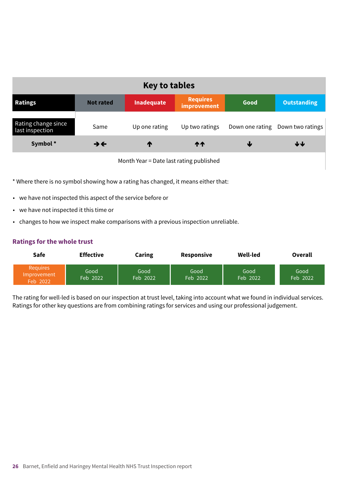| <b>Key to tables</b>                   |                          |               |                                |                 |                    |  |  |
|----------------------------------------|--------------------------|---------------|--------------------------------|-----------------|--------------------|--|--|
| <b>Ratings</b>                         | <b>Not rated</b>         | Inadequate    | <b>Requires</b><br>improvement | Good            | <b>Outstanding</b> |  |  |
| Rating change since<br>last inspection | Same                     | Up one rating | Up two ratings                 | Down one rating | Down two ratings   |  |  |
| Symbol*                                | $\rightarrow \leftarrow$ | ₼             | ተተ                             | ₩               | ↓↓                 |  |  |

Month Year = Date last rating published

\* Where there is no symbol showing how a rating has changed, it means either that:

- we have not inspected this aspect of the service before or
- we have not inspected it this time or
- changes to how we inspect make comparisons with a previous inspection unreliable.

#### **Ratings for the whole trust**

| <b>Safe</b>                                | <b>Effective</b> | Caring             | Responsive       | <b>Well-led</b>  | <b>Overall</b>   |
|--------------------------------------------|------------------|--------------------|------------------|------------------|------------------|
| <b>Requires</b><br>Improvement<br>Feb 2022 | Good<br>Feb 2022 | Good<br>$Feb$ 2022 | Good<br>Feb 2022 | Good<br>Feb 2022 | Good<br>Feb 2022 |

The rating for well-led is based on our inspection at trust level, taking into account what we found in individual services. Ratings for other key questions are from combining ratings for services and using our professional judgement.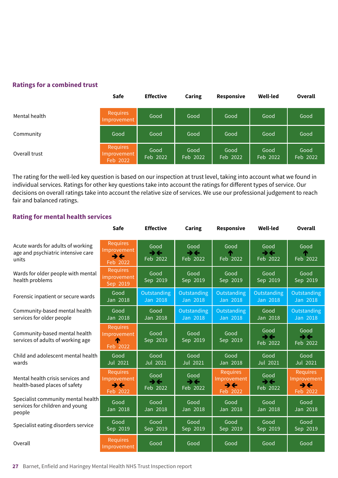#### **Ratings for a combined trust**

|               | <b>Safe</b>                         | <b>Effective</b> | Caring           | <b>Responsive</b> | Well-led         | <b>Overall</b>   |
|---------------|-------------------------------------|------------------|------------------|-------------------|------------------|------------------|
| Mental health | Requires<br>Improvement             | Good             | Good             | Good              | Good             | Good             |
| Community     | Good                                | Good             | Good             | Good              | Good             | Good             |
| Overall trust | Requires<br>Improvement<br>Feb 2022 | Good<br>Feb 2022 | Good<br>Feb 2022 | Good<br>Feb 2022  | Good<br>Feb 2022 | Good<br>Feb 2022 |

The rating for the well-led key question is based on our inspection at trust level, taking into account what we found in individual services. Ratings for other key questions take into account the ratings for different types of service. Our decisions on overall ratings take into account the relative size of services. We use our professional judgement to reach fair and balanced ratings.

#### **Rating for mental health services**

|                                                                                  | <b>Safe</b>                                                            | <b>Effective</b>                               | Caring                                       | Responsive                                       | <b>Well-led</b>                              | <b>Overall</b>                                   |
|----------------------------------------------------------------------------------|------------------------------------------------------------------------|------------------------------------------------|----------------------------------------------|--------------------------------------------------|----------------------------------------------|--------------------------------------------------|
| Acute wards for adults of working<br>age and psychiatric intensive care<br>units | <b>Requires</b><br>Improvement<br>$\rightarrow \leftarrow$<br>Feb 2022 | Good<br>→←<br>Feb 2022                         | Good<br>→←<br>Feb 2022                       | Good<br>æ<br>Feb 2022                            | Good<br>$\rightarrow \leftarrow$<br>Feb 2022 | Good<br>́↑<br>Feb 2022                           |
| Wards for older people with mental<br>health problems                            | <b>Requires</b><br>improvement<br>Sep 2019                             | Good<br>$Sep$ 2019                             | Good<br>$Sep$ 2019                           | Good<br>$Sep$ 2019                               | Good<br>$Sep$ 2019                           | Good<br>$Sep$ 2019                               |
| Forensic inpatient or secure wards                                               | Good<br>Jan 2018                                                       | Outstanding<br>Jan 2018                        | Outstanding<br><b>Jan 2018</b>               | Outstanding<br><b>Jan 2018</b>                   | Outstanding<br><b>Jan 2018</b>               | Outstanding<br>$Jan$ 2018                        |
| Community-based mental health<br>services for older people                       | Good<br>Jan 2018                                                       | Good<br>Jan 2018                               | Outstanding<br>Jan 2018                      | Outstanding<br>Jan 2018                          | Good<br>Jan 2018                             | Outstanding<br>Jan 2018                          |
| Community-based mental health<br>services of adults of working age               | <b>Requires</b><br>Improvement<br>Feb 2022                             | Good<br>Sep 2019                               | Good<br>Sep 2019                             | Good<br>Sep 2019                                 | Good<br>→←<br>Feb 2022                       | Good<br>$\rightarrow \leftarrow$<br>Feb 2022     |
| Child and adolescent mental health<br>wards                                      | Good<br>Jul 2021                                                       | Good<br>Jul 2021                               | Good<br>Jul 2021                             | Good<br>Jan 2018                                 | Good<br><b>Jul 2021</b>                      | Good<br><b>Jul 2021</b>                          |
| Mental health crisis services and<br>health-based places of safety               | <b>Requires</b><br>Improvement<br>→←<br>Feb 2022                       | Good<br>$\rightarrow \leftarrow$<br>$Feb$ 2022 | Good<br>$\rightarrow \leftarrow$<br>Feb 2022 | <b>Requires</b><br>Improvement<br>→←<br>Feb 2022 | Good<br>$\rightarrow \leftarrow$<br>Feb 2022 | <b>Requires</b><br>Improvement<br>→←<br>Feb 2022 |
| Specialist community mental health<br>services for children and young<br>people  | Good<br>Jan 2018                                                       | Good<br>Jan 2018                               | Good<br>Jan 2018                             | Good<br>Jan 2018                                 | Good<br>Jan 2018                             | Good<br>Jan 2018                                 |
| Specialist eating disorders service                                              | Good<br>Sep 2019                                                       | Good<br>$Sep$ 2019                             | Good<br>$Sep$ 2019                           | Good<br>$Sep$ 2019                               | Good<br>$Sep$ 2019                           | Good<br>Sep 2019                                 |
| Overall                                                                          | <b>Requires</b><br>Improvement                                         | Good                                           | Good                                         | Good                                             | Good                                         | Good                                             |

**27** Barnet, Enfield and Haringey Mental Health NHS Trust Inspection report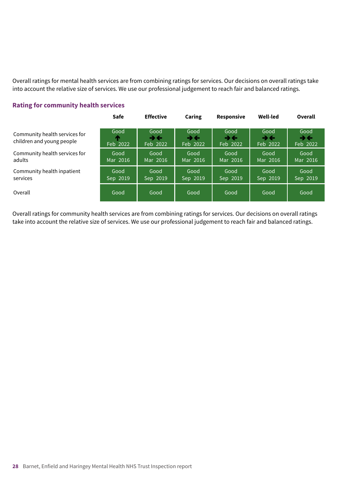Overall ratings for mental health services are from combining ratings for services. Our decisions on overall ratings take into account the relative size of services. We use our professional judgement to reach fair and balanced ratings.

#### **Rating for community health services**

|                                                            | <b>Safe</b>           | <b>Effective</b>                               | Caring                                       | <b>Responsive</b>                              | Well-led                                       | <b>Overall</b>                               |
|------------------------------------------------------------|-----------------------|------------------------------------------------|----------------------------------------------|------------------------------------------------|------------------------------------------------|----------------------------------------------|
| Community health services for<br>children and young people | Good<br>æ<br>Feb 2022 | Good<br>$\rightarrow$ $\leftarrow$<br>Feb 2022 | Good<br>$\rightarrow \leftarrow$<br>Feb 2022 | Good<br>$\rightarrow$ $\leftarrow$<br>Feb 2022 | Good<br>$\rightarrow$ $\leftarrow$<br>Feb 2022 | Good<br>$\rightarrow \leftarrow$<br>Feb 2022 |
| Community health services for<br>adults                    | Good<br>Mar 2016      | Good<br>Mar 2016                               | Good<br>Mar 2016                             | Good<br>Mar 2016                               | Good<br>Mar 2016                               | Good<br>Mar 2016                             |
| Community health inpatient<br>services                     | Good<br>Sep 2019      | Good<br>Sep 2019                               | Good<br>Sep 2019                             | Good<br>Sep 2019                               | Good<br>Sep 2019                               | Good<br>Sep 2019                             |
| Overall                                                    | Good                  | Good                                           | Good                                         | Good                                           | Good                                           | Good                                         |

Overall ratings for community health services are from combining ratings for services. Our decisions on overall ratings take into account the relative size of services. We use our professional judgement to reach fair and balanced ratings.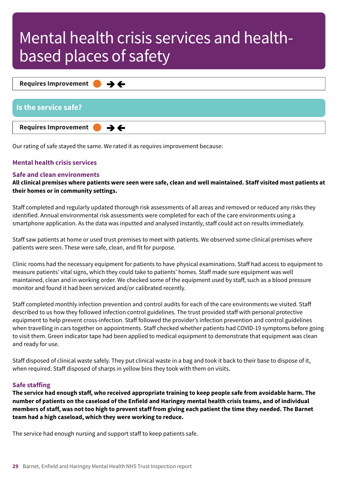**Requires Improvement –––**  $\rightarrow$   $\leftarrow$ 

| <b>Is the service safe?</b>                           |  |
|-------------------------------------------------------|--|
| Requires Improvement $\bullet \rightarrow \leftarrow$ |  |

Our rating of safe stayed the same. We rated it as requires improvement because:

#### **Mental health crisis services**

#### **Safe and clean environments**

All clinical premises where patients were seen were safe, clean and well maintained. Staff visited most patients at **their homes or in community settings.**

Staff completed and regularly updated thorough risk assessments of all areas and removed or reduced any risks they identified. Annual environmental risk assessments were completed for each of the care environments using a smartphone application. As the data was inputted and analysed instantly, staff could act on results immediately.

Staff saw patients at home or used trust premises to meet with patients. We observed some clinical premises where patients were seen. These were safe, clean, and fit for purpose.

Clinic rooms had the necessary equipment for patients to have physical examinations. Staff had access to equipment to measure patients' vital signs, which they could take to patients' homes. Staff made sure equipment was well maintained, clean and in working order. We checked some of the equipment used by staff, such as a blood pressure monitor and found it had been serviced and/or calibrated recently.

Staff completed monthly infection prevention and control audits for each of the care environments we visited. Staff described to us how they followed infection control guidelines. The trust provided staff with personal protective equipment to help prevent cross-infection. Staff followed the provider's infection prevention and control guidelines when travelling in cars together on appointments. Staff checked whether patients had COVID-19 symptoms before going to visit them. Green indicator tape had been applied to medical equipment to demonstrate that equipment was clean and ready for use.

Staff disposed of clinical waste safely. They put clinical waste in a bag and took it back to their base to dispose of it, when required. Staff disposed of sharps in yellow bins they took with them on visits.

#### **Safe staffing**

The service had enough staff, who received appropriate training to keep people safe from avoidable harm. The number of patients on the caseload of the Enfield and Haringey mental health crisis teams, and of individual members of staff, was not too high to prevent staff from giving each patient the time they needed. The Barnet **team had a high caseload, which they were working to reduce.**

The service had enough nursing and support staff to keep patients safe.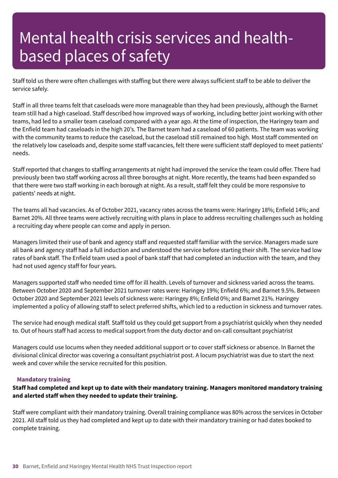Staff told us there were often challenges with staffing but there were always sufficient staff to be able to deliver the service safely.

Staff in all three teams felt that caseloads were more manageable than they had been previously, although the Barnet team still had a high caseload. Staff described how improved ways of working, including better joint working with other teams, had led to a smaller team caseload compared with a year ago. At the time of inspection, the Haringey team and the Enfield team had caseloads in the high 20's. The Barnet team had a caseload of 60 patients. The team was working with the community teams to reduce the caseload, but the caseload still remained too high. Most staff commented on the relatively low caseloads and, despite some staff vacancies, felt there were sufficient staff deployed to meet patients' needs.

Staff reported that changes to staffing arrangements at night had improved the service the team could offer. There had previously been two staff working across all three boroughs at night. More recently, the teams had been expanded so that there were two staff working in each borough at night. As a result, staff felt they could be more responsive to patients' needs at night.

The teams all had vacancies. As of October 2021, vacancy rates across the teams were: Haringey 18%; Enfield 14%; and Barnet 20%. All three teams were actively recruiting with plans in place to address recruiting challenges such as holding a recruiting day where people can come and apply in person.

Managers limited their use of bank and agency staff and requested staff familiar with the service. Managers made sure all bank and agency staff had a full induction and understood the service before starting their shift. The service had low rates of bank staff. The Enfield team used a pool of bank staff that had completed an induction with the team, and they had not used agency staff for four years.

Managers supported staff who needed time off for ill health. Levels of turnover and sickness varied across the teams. Between October 2020 and September 2021 turnover rates were: Haringey 19%; Enfield 6%; and Barnet 9.5%. Between October 2020 and September 2021 levels of sickness were: Haringey 8%; Enfield 0%; and Barnet 21%. Haringey implemented a policy of allowing staff to select preferred shifts, which led to a reduction in sickness and turnover rates.

The service had enough medical staff. Staff told us they could get support from a psychiatrist quickly when they needed to. Out of hours staff had access to medical support from the duty doctor and on-call consultant psychiatrist

Managers could use locums when they needed additional support or to cover staff sickness or absence. In Barnet the divisional clinical director was covering a consultant psychiatrist post. A locum psychiatrist was due to start the next week and cover while the service recruited for this position.

#### **Mandatory training**

#### **Staff had completed and kept up to date with their mandatory training. Managers monitored mandatory training and alerted staff when they needed to update their training.**

Staff were compliant with their mandatory training. Overall training compliance was 80% across the services in October 2021. All staff told us they had completed and kept up to date with their mandatory training or had dates booked to complete training.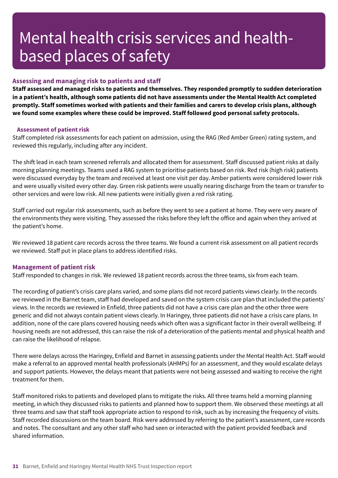#### **Assessing and managing risk to patients and staff**

**Staff assessed and managed risks to patients and themselves. They responded promptly to sudden deterioration** in a patient's health, although some patients did not have assessments under the Mental Health Act completed **promptly. Staff sometimes worked with patients and their families and carers to develop crisis plans, although we found some examples where these could be improved. Staff followed good personal safety protocols.**

#### **Assessment of patient risk**

Staff completed risk assessments for each patient on admission, using the RAG (Red Amber Green) rating system, and reviewed this regularly, including after any incident.

The shift lead in each team screened referrals and allocated them for assessment. Staff discussed patient risks at daily morning planning meetings. Teams used a RAG system to prioritise patients based on risk. Red risk (high risk) patients were discussed everyday by the team and received at least one visit per day. Amber patients were considered lower risk and were usually visited every other day. Green risk patients were usually nearing discharge from the team or transfer to other services and were low risk. All new patients were initially given a red risk rating.

Staff carried out regular risk assessments, such as before they went to see a patient at home. They were very aware of the environments they were visiting. They assessed the risks before they left the office and again when they arrived at the patient's home.

We reviewed 18 patient care records across the three teams. We found a current risk assessment on all patient records we reviewed. Staff put in place plans to address identified risks.

#### **Management of patient risk**

Staff responded to changes in risk. We reviewed 18 patient records across the three teams, six from each team.

The recording of patient's crisis care plans varied, and some plans did not record patients views clearly. In the records we reviewed in the Barnet team, staff had developed and saved on the system crisis care plan that included the patients' views. In the records we reviewed in Enfield, three patients did not have a crisis care plan and the other three were generic and did not always contain patient views clearly. In Haringey, three patients did not have a crisis care plans. In addition, none of the care plans covered housing needs which often was a significant factor in their overall wellbeing. If housing needs are not addressed, this can raise the risk of a deterioration of the patients mental and physical health and can raise the likelihood of relapse.

There were delays across the Haringey, Enfield and Barnet in assessing patients under the Mental Health Act. Staff would make a referral to an approved mental health professionals (AHMPs) for an assessment, and they would escalate delays and support patients. However, the delays meant that patients were not being assessed and waiting to receive the right treatment for them.

Staff monitored risks to patients and developed plans to mitigate the risks. All three teams held a morning planning meeting, in which they discussed risks to patients and planned how to support them. We observed these meetings at all three teams and saw that staff took appropriate action to respond to risk, such as by increasing the frequency of visits. Staff recorded discussions on the team board. Risk were addressed by referring to the patient's assessment, care records and notes. The consultant and any other staff who had seen or interacted with the patient provided feedback and shared information.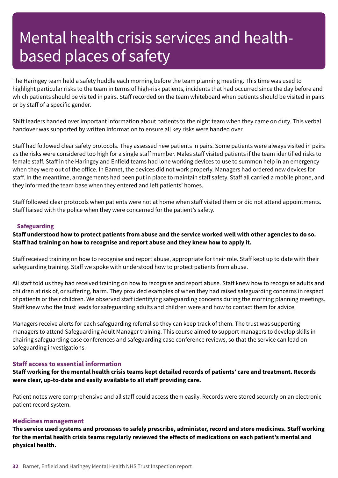The Haringey team held a safety huddle each morning before the team planning meeting. This time was used to highlight particular risks to the team in terms of high-risk patients, incidents that had occurred since the day before and which patients should be visited in pairs. Staff recorded on the team whiteboard when patients should be visited in pairs or by staff of a specific gender.

Shift leaders handed over important information about patients to the night team when they came on duty. This verbal handover was supported by written information to ensure all key risks were handed over.

Staff had followed clear safety protocols. They assessed new patients in pairs. Some patients were always visited in pairs as the risks were considered too high for a single staff member. Males staff visited patients if the team identified risks to female staff. Staff in the Haringey and Enfield teams had lone working devices to use to summon help in an emergency when they were out of the office. In Barnet, the devices did not work properly. Managers had ordered new devices for staff. In the meantime, arrangements had been put in place to maintain staff safety. Staff all carried a mobile phone, and they informed the team base when they entered and left patients' homes.

Staff followed clear protocols when patients were not at home when staff visited them or did not attend appointments. Staff liaised with the police when they were concerned for the patient's safety.

#### **Safeguarding**

Staff understood how to protect patients from abuse and the service worked well with other agencies to do so. **Staff had training on how to recognise and report abuse and they knew how to apply it.**

Staff received training on how to recognise and report abuse, appropriate for their role. Staff kept up to date with their safeguarding training. Staff we spoke with understood how to protect patients from abuse.

All staff told us they had received training on how to recognise and report abuse. Staff knew how to recognise adults and children at risk of, or suffering, harm. They provided examples of when they had raised safeguarding concerns in respect of patients or their children. We observed staff identifying safeguarding concerns during the morning planning meetings. Staff knew who the trust leads for safeguarding adults and children were and how to contact them for advice.

Managers receive alerts for each safeguarding referral so they can keep track of them. The trust was supporting managers to attend Safeguarding Adult Manager training. This course aimed to support managers to develop skills in chairing safeguarding case conferences and safeguarding case conference reviews, so that the service can lead on safeguarding investigations.

#### **Staff access to essential information**

Staff working for the mental health crisis teams kept detailed records of patients' care and treatment. Records **were clear, up-to-date and easily available to all staff providing care.**

Patient notes were comprehensive and all staff could access them easily. Records were stored securely on an electronic patient record system.

#### **Medicines management**

The service used systems and processes to safely prescribe, administer, record and store medicines. Staff working for the mental health crisis teams regularly reviewed the effects of medications on each patient's mental and **physical health.**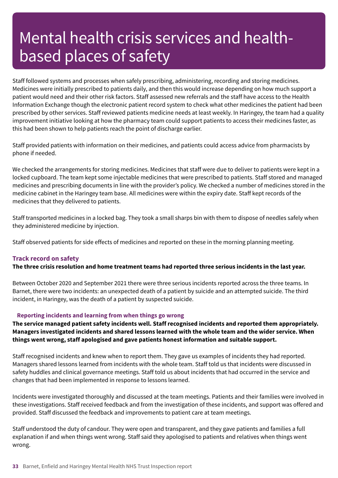Staff followed systems and processes when safely prescribing, administering, recording and storing medicines. Medicines were initially prescribed to patients daily, and then this would increase depending on how much support a patient would need and their other risk factors. Staff assessed new referrals and the staff have access to the Health Information Exchange though the electronic patient record system to check what other medicines the patient had been prescribed by other services. Staff reviewed patients medicine needs at least weekly. In Haringey, the team had a quality improvement initiative looking at how the pharmacy team could support patients to access their medicines faster, as this had been shown to help patients reach the point of discharge earlier.

Staff provided patients with information on their medicines, and patients could access advice from pharmacists by phone if needed.

We checked the arrangements for storing medicines. Medicines that staff were due to deliver to patients were kept in a locked cupboard. The team kept some injectable medicines that were prescribed to patients. Staff stored and managed medicines and prescribing documents in line with the provider's policy. We checked a number of medicines stored in the medicine cabinet in the Haringey team base. All medicines were within the expiry date. Staff kept records of the medicines that they delivered to patients.

Staff transported medicines in a locked bag. They took a small sharps bin with them to dispose of needles safely when they administered medicine by injection.

Staff observed patients for side effects of medicines and reported on these in the morning planning meeting.

#### **Track record on safety**

#### The three crisis resolution and home treatment teams had reported three serious incidents in the last year.

Between October 2020 and September 2021 there were three serious incidents reported across the three teams. In Barnet, there were two incidents: an unexpected death of a patient by suicide and an attempted suicide. The third incident, in Haringey, was the death of a patient by suspected suicide.

#### **Reporting incidents and learning from when things go wrong**

**The service managed patient safety incidents well. Staff recognised incidents and reported them appropriately. Managers investigated incidents and shared lessons learned with the whole team and the wider service. When things went wrong, staff apologised and gave patients honest information and suitable support.**

Staff recognised incidents and knew when to report them. They gave us examples of incidents they had reported. Managers shared lessons learned from incidents with the whole team. Staff told us that incidents were discussed in safety huddles and clinical governance meetings. Staff told us about incidents that had occurred in the service and changes that had been implemented in response to lessons learned.

Incidents were investigated thoroughly and discussed at the team meetings. Patients and their families were involved in these investigations. Staff received feedback and from the investigation of these incidents, and support was offered and provided. Staff discussed the feedback and improvements to patient care at team meetings.

Staff understood the duty of candour. They were open and transparent, and they gave patients and families a full explanation if and when things went wrong. Staff said they apologised to patients and relatives when things went wrong.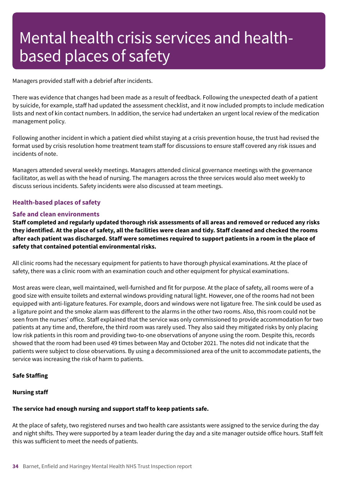Managers provided staff with a debrief after incidents.

There was evidence that changes had been made as a result of feedback. Following the unexpected death of a patient by suicide, for example, staff had updated the assessment checklist, and it now included prompts to include medication lists and next of kin contact numbers. In addition, the service had undertaken an urgent local review of the medication management policy.

Following another incident in which a patient died whilst staying at a crisis prevention house, the trust had revised the format used by crisis resolution home treatment team staff for discussions to ensure staff covered any risk issues and incidents of note.

Managers attended several weekly meetings. Managers attended clinical governance meetings with the governance facilitator, as well as with the head of nursing. The managers across the three services would also meet weekly to discuss serious incidents. Safety incidents were also discussed at team meetings.

#### **Health-based places of safety**

#### **Safe and clean environments**

Staff completed and regularly updated thorough risk assessments of all areas and removed or reduced any risks they identified. At the place of safety, all the facilities were clean and tidy. Staff cleaned and checked the rooms after each patient was discharged. Staff were sometimes required to support patients in a room in the place of **safety that contained potential environmental risks.**

All clinic rooms had the necessary equipment for patients to have thorough physical examinations. At the place of safety, there was a clinic room with an examination couch and other equipment for physical examinations.

Most areas were clean, well maintained, well-furnished and fit for purpose. At the place of safety, all rooms were of a good size with ensuite toilets and external windows providing natural light. However, one of the rooms had not been equipped with anti-ligature features. For example, doors and windows were not ligature free. The sink could be used as a ligature point and the smoke alarm was different to the alarms in the other two rooms. Also, this room could not be seen from the nurses' office. Staff explained that the service was only commissioned to provide accommodation for two patients at any time and, therefore, the third room was rarely used. They also said they mitigated risks by only placing low risk patients in this room and providing two-to-one observations of anyone using the room. Despite this, records showed that the room had been used 49 times between May and October 2021. The notes did not indicate that the patients were subject to close observations. By using a decommissioned area of the unit to accommodate patients, the service was increasing the risk of harm to patients.

#### **Safe Staffing**

#### **Nursing staff**

#### **The service had enough nursing and support staff to keep patients safe.**

At the place of safety, two registered nurses and two health care assistants were assigned to the service during the day and night shifts. They were supported by a team leader during the day and a site manager outside office hours. Staff felt this was sufficient to meet the needs of patients.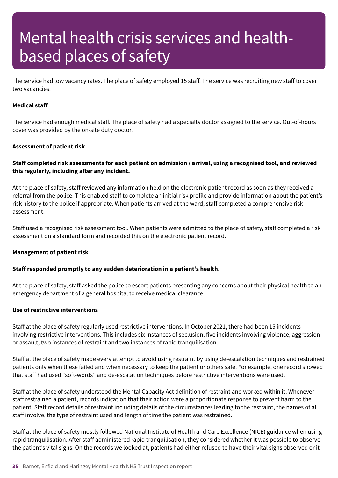The service had low vacancy rates. The place of safety employed 15 staff. The service was recruiting new staff to cover two vacancies.

#### **Medical staff**

The service had enough medical staff. The place of safety had a specialty doctor assigned to the service. Out-of-hours cover was provided by the on-site duty doctor.

#### **Assessment of patient risk**

#### Staff completed risk assessments for each patient on admission / arrival, using a recognised tool, and reviewed **this regularly, including after any incident.**

At the place of safety, staff reviewed any information held on the electronic patient record as soon as they received a referral from the police. This enabled staff to complete an initial risk profile and provide information about the patient's risk history to the police if appropriate. When patients arrived at the ward, staff completed a comprehensive risk assessment.

Staff used a recognised risk assessment tool. When patients were admitted to the place of safety, staff completed a risk assessment on a standard form and recorded this on the electronic patient record.

#### **Management of patient risk**

#### **Staff responded promptly to any sudden deterioration in a patient's health**.

At the place of safety, staff asked the police to escort patients presenting any concerns about their physical health to an emergency department of a general hospital to receive medical clearance.

#### **Use of restrictive interventions**

Staff at the place of safety regularly used restrictive interventions. In October 2021, there had been 15 incidents involving restrictive interventions. This includes six instances of seclusion, five incidents involving violence, aggression or assault, two instances of restraint and two instances of rapid tranquilisation.

Staff at the place of safety made every attempt to avoid using restraint by using de-escalation techniques and restrained patients only when these failed and when necessary to keep the patient or others safe. For example, one record showed that staff had used "soft-words" and de-escalation techniques before restrictive interventions were used.

Staff at the place of safety understood the Mental Capacity Act definition of restraint and worked within it. Whenever staff restrained a patient, records indication that their action were a proportionate response to prevent harm to the patient. Staff record details of restraint including details of the circumstances leading to the restraint, the names of all staff involve, the type of restraint used and length of time the patient was restrained.

Staff at the place of safety mostly followed National Institute of Health and Care Excellence (NICE) guidance when using rapid tranquilisation. After staff administered rapid tranquilisation, they considered whether it was possible to observe the patient's vital signs. On the records we looked at, patients had either refused to have their vital signs observed or it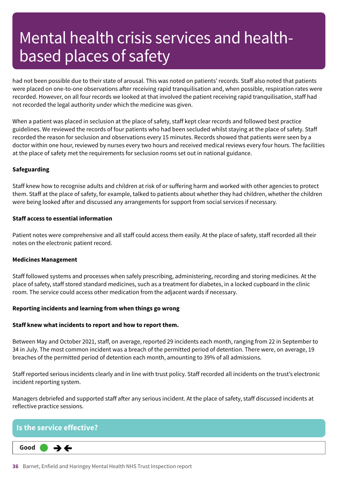had not been possible due to their state of arousal. This was noted on patients' records. Staff also noted that patients were placed on one-to-one observations after receiving rapid tranquilisation and, when possible, respiration rates were recorded. However, on all four records we looked at that involved the patient receiving rapid tranquilisation, staff had not recorded the legal authority under which the medicine was given.

When a patient was placed in seclusion at the place of safety, staff kept clear records and followed best practice guidelines. We reviewed the records of four patients who had been secluded whilst staying at the place of safety. Staff recorded the reason for seclusion and observations every 15 minutes. Records showed that patients were seen by a doctor within one hour, reviewed by nurses every two hours and received medical reviews every four hours. The facilities at the place of safety met the requirements for seclusion rooms set out in national guidance.

#### **Safeguarding**

Staff knew how to recognise adults and children at risk of or suffering harm and worked with other agencies to protect them. Staff at the place of safety, for example, talked to patients about whether they had children, whether the children were being looked after and discussed any arrangements for support from social services if necessary.

#### **Staff access to essential information**

Patient notes were comprehensive and all staff could access them easily. At the place of safety, staff recorded all their notes on the electronic patient record.

#### **Medicines Management**

Staff followed systems and processes when safely prescribing, administering, recording and storing medicines. At the place of safety, staff stored standard medicines, such as a treatment for diabetes, in a locked cupboard in the clinic room. The service could access other medication from the adjacent wards if necessary.

#### **Reporting incidents and learning from when things go wrong**

#### **Staff knew what incidents to report and how to report them.**

Between May and October 2021, staff, on average, reported 29 incidents each month, ranging from 22 in September to 34 in July. The most common incident was a breach of the permitted period of detention. There were, on average, 19 breaches of the permitted period of detention each month, amounting to 39% of all admissions.

Staff reported serious incidents clearly and in line with trust policy. Staff recorded all incidents on the trust's electronic incident reporting system.

Managers debriefed and supported staff after any serious incident. At the place of safety, staff discussed incidents at reflective practice sessions.

### **Is the service effective? Good –––** ⇛⇐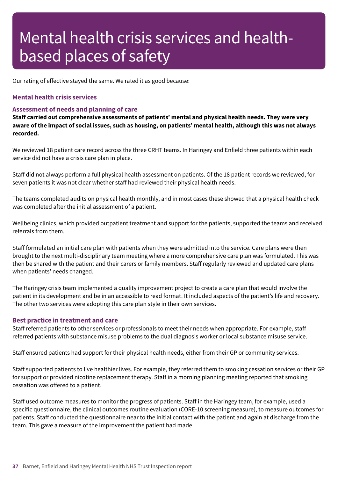Our rating of effective stayed the same. We rated it as good because:

### **Mental health crisis services**

### **Assessment of needs and planning of care**

**Staff carried out comprehensive assessments of patients' mental and physical health needs. They were very** aware of the impact of social issues, such as housing, on patients' mental health, although this was not always **recorded.**

We reviewed 18 patient care record across the three CRHT teams. In Haringey and Enfield three patients within each service did not have a crisis care plan in place.

Staff did not always perform a full physical health assessment on patients. Of the 18 patient records we reviewed, for seven patients it was not clear whether staff had reviewed their physical health needs.

The teams completed audits on physical health monthly, and in most cases these showed that a physical health check was completed after the initial assessment of a patient.

Wellbeing clinics, which provided outpatient treatment and support for the patients, supported the teams and received referrals from them.

Staff formulated an initial care plan with patients when they were admitted into the service. Care plans were then brought to the next multi-disciplinary team meeting where a more comprehensive care plan was formulated. This was then be shared with the patient and their carers or family members. Staff regularly reviewed and updated care plans when patients' needs changed.

The Haringey crisis team implemented a quality improvement project to create a care plan that would involve the patient in its development and be in an accessible to read format. It included aspects of the patient's life and recovery. The other two services were adopting this care plan style in their own services.

#### **Best practice in treatment and care**

Staff referred patients to other services or professionals to meet their needs when appropriate. For example, staff referred patients with substance misuse problems to the dual diagnosis worker or local substance misuse service.

Staff ensured patients had support for their physical health needs, either from their GP or community services.

Staff supported patients to live healthier lives. For example, they referred them to smoking cessation services or their GP for support or provided nicotine replacement therapy. Staff in a morning planning meeting reported that smoking cessation was offered to a patient.

Staff used outcome measures to monitor the progress of patients. Staff in the Haringey team, for example, used a specific questionnaire, the clinical outcomes routine evaluation (CORE-10 screening measure), to measure outcomes for patients. Staff conducted the questionnaire near to the initial contact with the patient and again at discharge from the team. This gave a measure of the improvement the patient had made.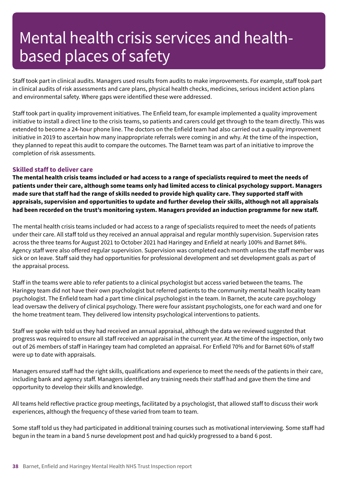Staff took part in clinical audits. Managers used results from audits to make improvements. For example, staff took part in clinical audits of risk assessments and care plans, physical health checks, medicines, serious incident action plans and environmental safety. Where gaps were identified these were addressed.

Staff took part in quality improvement initiatives. The Enfield team, for example implemented a quality improvement initiative to install a direct line to the crisis teams, so patients and carers could get through to the team directly. This was extended to become a 24-hour phone line. The doctors on the Enfield team had also carried out a quality improvement initiative in 2019 to ascertain how many inappropriate referrals were coming in and why. At the time of the inspection, they planned to repeat this audit to compare the outcomes. The Barnet team was part of an initiative to improve the completion of risk assessments.

# **Skilled staff to deliver care**

The mental health crisis teams included or had access to a range of specialists required to meet the needs of **patients under their care, although some teams only had limited access to clinical psychology support. Managers** made sure that staff had the range of skills needed to provide high quality care. They supported staff with **appraisals, supervision and opportunities to update and further develop their skills, although not all appraisals had been recorded on the trust's monitoring system. Managers provided an induction programme for new staff.**

The mental health crisis teams included or had access to a range of specialists required to meet the needs of patients under their care. All staff told us they received an annual appraisal and regular monthly supervision. Supervision rates across the three teams for August 2021 to October 2021 had Haringey and Enfield at nearly 100% and Barnet 84%. Agency staff were also offered regular supervision. Supervision was completed each month unless the staff member was sick or on leave. Staff said they had opportunities for professional development and set development goals as part of the appraisal process.

Staff in the teams were able to refer patients to a clinical psychologist but access varied between the teams. The Haringey team did not have their own psychologist but referred patients to the community mental health locality team psychologist. The Enfield team had a part time clinical psychologist in the team. In Barnet, the acute care psychology lead oversaw the delivery of clinical psychology. There were four assistant psychologists, one for each ward and one for the home treatment team. They delivered low intensity psychological interventions to patients.

Staff we spoke with told us they had received an annual appraisal, although the data we reviewed suggested that progress was required to ensure all staff received an appraisal in the current year. At the time of the inspection, only two out of 26 members of staff in Haringey team had completed an appraisal. For Enfield 70% and for Barnet 60% of staff were up to date with appraisals.

Managers ensured staff had the right skills, qualifications and experience to meet the needs of the patients in their care, including bank and agency staff. Managers identified any training needs their staff had and gave them the time and opportunity to develop their skills and knowledge.

All teams held reflective practice group meetings, facilitated by a psychologist, that allowed staff to discuss their work experiences, although the frequency of these varied from team to team.

Some staff told us they had participated in additional training courses such as motivational interviewing. Some staff had begun in the team in a band 5 nurse development post and had quickly progressed to a band 6 post.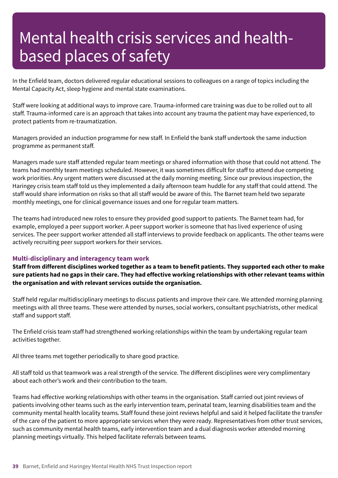In the Enfield team, doctors delivered regular educational sessions to colleagues on a range of topics including the Mental Capacity Act, sleep hygiene and mental state examinations.

Staff were looking at additional ways to improve care. Trauma-informed care training was due to be rolled out to all staff. Trauma-informed care is an approach that takes into account any trauma the patient may have experienced, to protect patients from re-traumatization.

Managers provided an induction programme for new staff. In Enfield the bank staff undertook the same induction programme as permanent staff.

Managers made sure staff attended regular team meetings or shared information with those that could not attend. The teams had monthly team meetings scheduled. However, it was sometimes difficult for staff to attend due competing work priorities. Any urgent matters were discussed at the daily morning meeting. Since our previous inspection, the Haringey crisis team staff told us they implemented a daily afternoon team huddle for any staff that could attend. The staff would share information on risks so that all staff would be aware of this. The Barnet team held two separate monthly meetings, one for clinical governance issues and one for regular team matters.

The teams had introduced new roles to ensure they provided good support to patients. The Barnet team had, for example, employed a peer support worker. A peer support worker is someone that has lived experience of using services. The peer support worker attended all staff interviews to provide feedback on applicants. The other teams were actively recruiting peer support workers for their services.

### **Multi-disciplinary and interagency team work**

Staff from different disciplines worked together as a team to benefit patients. They supported each other to make sure patients had no gaps in their care. They had effective working relationships with other relevant teams within **the organisation and with relevant services outside the organisation.**

Staff held regular multidisciplinary meetings to discuss patients and improve their care. We attended morning planning meetings with all three teams. These were attended by nurses, social workers, consultant psychiatrists, other medical staff and support staff.

The Enfield crisis team staff had strengthened working relationships within the team by undertaking regular team activities together.

All three teams met together periodically to share good practice.

All staff told us that teamwork was a real strength of the service. The different disciplines were very complimentary about each other's work and their contribution to the team.

Teams had effective working relationships with other teams in the organisation. Staff carried out joint reviews of patients involving other teams such as the early intervention team, perinatal team, learning disabilities team and the community mental health locality teams. Staff found these joint reviews helpful and said it helped facilitate the transfer of the care of the patient to more appropriate services when they were ready. Representatives from other trust services, such as community mental health teams, early intervention team and a dual diagnosis worker attended morning planning meetings virtually. This helped facilitate referrals between teams.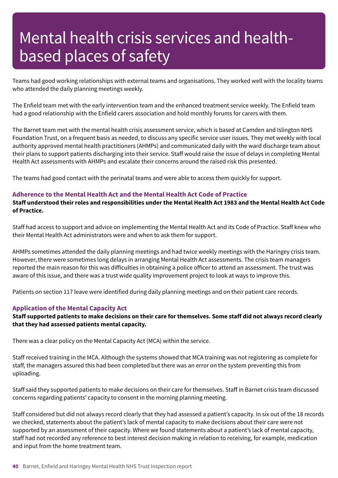Teams had good working relationships with external teams and organisations. They worked well with the locality teams who attended the daily planning meetings weekly.

The Enfield team met with the early intervention team and the enhanced treatment service weekly. The Enfield team had a good relationship with the Enfield carers association and hold monthly forums for carers with them.

The Barnet team met with the mental health crisis assessment service, which is based at Camden and Islington NHS Foundation Trust, on a frequent basis as needed, to discuss any specific service user issues. They met weekly with local authority approved mental health practitioners (AHMPs) and communicated daily with the ward discharge team about their plans to support patients discharging into their service. Staff would raise the issue of delays in completing Mental Health Act assessments with AHMPs and escalate their concerns around the raised risk this presented.

The teams had good contact with the perinatal teams and were able to access them quickly for support.

### **Adherence to the Mental Health Act and the Mental Health Act Code of Practice**

Staff understood their roles and responsibilities under the Mental Health Act 1983 and the Mental Health Act Code **of Practice.**

Staff had access to support and advice on implementing the Mental Health Act and its Code of Practice. Staff knew who their Mental Health Act administrators were and when to ask them for support.

AHMPs sometimes attended the daily planning meetings and had twice weekly meetings with the Haringey crisis team. However, there were sometimes long delays in arranging Mental Health Act assessments. The crisis team managers reported the main reason for this was difficulties in obtaining a police officer to attend an assessment. The trust was aware of this issue, and there was a trust wide quality improvement project to look at ways to improve this.

Patients on section 117 leave were identified during daily planning meetings and on their patient care records.

# **Application of the Mental Capacity Act**

Staff supported patients to make decisions on their care for themselves. Some staff did not always record clearly **that they had assessed patients mental capacity.**

There was a clear policy on the Mental Capacity Act (MCA) within the service.

Staff received training in the MCA. Although the systems showed that MCA training was not registering as complete for staff, the managers assured this had been completed but there was an error on the system preventing this from uploading.

Staff said they supported patients to make decisions on their care for themselves. Staff in Barnet crisis team discussed concerns regarding patients' capacity to consent in the morning planning meeting.

Staff considered but did not always record clearly that they had assessed a patient's capacity. In six out of the 18 records we checked, statements about the patient's lack of mental capacity to make decisions about their care were not supported by an assessment of their capacity. Where we found statements about a patient's lack of mental capacity, staff had not recorded any reference to best interest decision making in relation to receiving, for example, medication and input from the home treatment team.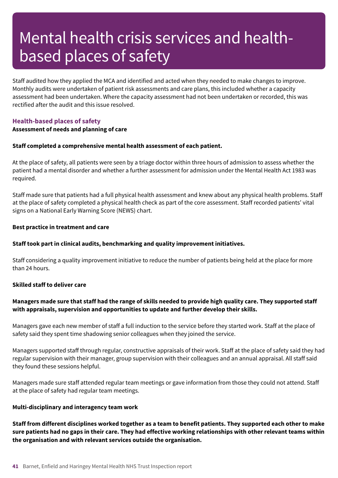Staff audited how they applied the MCA and identified and acted when they needed to make changes to improve. Monthly audits were undertaken of patient risk assessments and care plans, this included whether a capacity assessment had been undertaken. Where the capacity assessment had not been undertaken or recorded, this was rectified after the audit and this issue resolved.

# **Health-based places of safety**

### **Assessment of needs and planning of care**

#### **Staff completed a comprehensive mental health assessment of each patient.**

At the place of safety, all patients were seen by a triage doctor within three hours of admission to assess whether the patient had a mental disorder and whether a further assessment for admission under the Mental Health Act 1983 was required.

Staff made sure that patients had a full physical health assessment and knew about any physical health problems. Staff at the place of safety completed a physical health check as part of the core assessment. Staff recorded patients' vital signs on a National Early Warning Score (NEWS) chart.

#### **Best practice in treatment and care**

### **Staff took part in clinical audits, benchmarking and quality improvement initiatives.**

Staff considering a quality improvement initiative to reduce the number of patients being held at the place for more than 24 hours.

#### **Skilled staff to deliver care**

# Managers made sure that staff had the range of skills needed to provide high quality care. They supported staff **with appraisals, supervision and opportunities to update and further develop their skills.**

Managers gave each new member of staff a full induction to the service before they started work. Staff at the place of safety said they spent time shadowing senior colleagues when they joined the service.

Managers supported staff through regular, constructive appraisals of their work. Staff at the place of safety said they had regular supervision with their manager, group supervision with their colleagues and an annual appraisal. All staff said they found these sessions helpful.

Managers made sure staff attended regular team meetings or gave information from those they could not attend. Staff at the place of safety had regular team meetings.

### **Multi-disciplinary and interagency team work**

Staff from different disciplines worked together as a team to benefit patients. They supported each other to make sure patients had no gaps in their care. They had effective working relationships with other relevant teams within **the organisation and with relevant services outside the organisation.**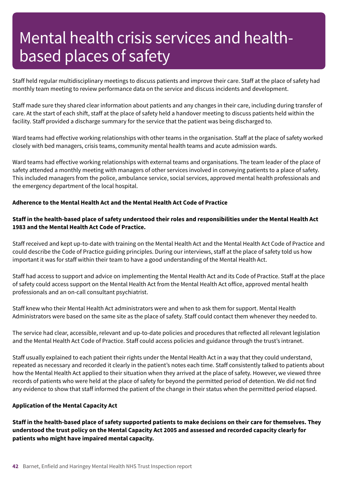Staff held regular multidisciplinary meetings to discuss patients and improve their care. Staff at the place of safety had monthly team meeting to review performance data on the service and discuss incidents and development.

Staff made sure they shared clear information about patients and any changes in their care, including during transfer of care. At the start of each shift, staff at the place of safety held a handover meeting to discuss patients held within the facility. Staff provided a discharge summary for the service that the patient was being discharged to.

Ward teams had effective working relationships with other teams in the organisation. Staff at the place of safety worked closely with bed managers, crisis teams, community mental health teams and acute admission wards.

Ward teams had effective working relationships with external teams and organisations. The team leader of the place of safety attended a monthly meeting with managers of other services involved in conveying patients to a place of safety. This included managers from the police, ambulance service, social services, approved mental health professionals and the emergency department of the local hospital.

### **Adherence to the Mental Health Act and the Mental Health Act Code of Practice**

# Staff in the health-based place of safety understood their roles and responsibilities under the Mental Health Act **1983 and the Mental Health Act Code of Practice.**

Staff received and kept up-to-date with training on the Mental Health Act and the Mental Health Act Code of Practice and could describe the Code of Practice guiding principles. During our interviews, staff at the place of safety told us how important it was for staff within their team to have a good understanding of the Mental Health Act.

Staff had access to support and advice on implementing the Mental Health Act and its Code of Practice. Staff at the place of safety could access support on the Mental Health Act from the Mental Health Act office, approved mental health professionals and an on-call consultant psychiatrist.

Staff knew who their Mental Health Act administrators were and when to ask them for support. Mental Health Administrators were based on the same site as the place of safety. Staff could contact them whenever they needed to.

The service had clear, accessible, relevant and up-to-date policies and procedures that reflected all relevant legislation and the Mental Health Act Code of Practice. Staff could access policies and guidance through the trust's intranet.

Staff usually explained to each patient their rights under the Mental Health Act in a way that they could understand, repeated as necessary and recorded it clearly in the patient's notes each time. Staff consistently talked to patients about how the Mental Health Act applied to their situation when they arrived at the place of safety. However, we viewed three records of patients who were held at the place of safety for beyond the permitted period of detention. We did not find any evidence to show that staff informed the patient of the change in their status when the permitted period elapsed.

### **Application of the Mental Capacity Act**

Staff in the health-based place of safety supported patients to make decisions on their care for themselves. They understood the trust policy on the Mental Capacity Act 2005 and assessed and recorded capacity clearly for **patients who might have impaired mental capacity.**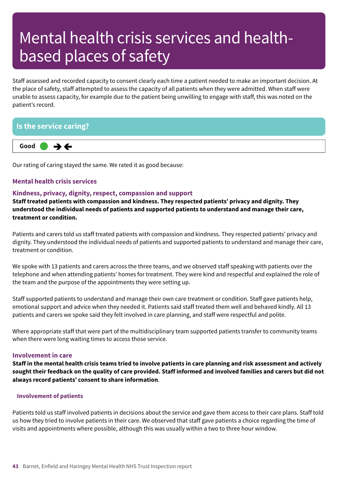Staff assessed and recorded capacity to consent clearly each time a patient needed to make an important decision. At the place of safety, staff attempted to assess the capacity of all patients when they were admitted. When staff were unable to assess capacity, for example due to the patient being unwilling to engage with staff, this was noted on the patient's record.

# **Is the service caring?**



Our rating of caring stayed the same. We rated it as good because:

# **Mental health crisis services**

### **Kindness, privacy, dignity, respect, compassion and support**

**Staff treated patients with compassion and kindness. They respected patients' privacy and dignity. They understood the individual needs of patients and supported patients to understand and manage their care, treatment or condition.**

Patients and carers told us staff treated patients with compassion and kindness. They respected patients' privacy and dignity. They understood the individual needs of patients and supported patients to understand and manage their care, treatment or condition.

We spoke with 13 patients and carers across the three teams, and we observed staff speaking with patients over the telephone and when attending patients' homes for treatment. They were kind and respectful and explained the role of the team and the purpose of the appointments they were setting up.

Staff supported patients to understand and manage their own care treatment or condition. Staff gave patients help, emotional support and advice when they needed it. Patients said staff treated them well and behaved kindly. All 13 patients and carers we spoke said they felt involved in care planning, and staff were respectful and polite.

Where appropriate staff that were part of the multidisciplinary team supported patients transfer to community teams when there were long waiting times to access those service.

#### **Involvement in care**

Staff in the mental health crisis teams tried to involve patients in care planning and risk assessment and actively sought their feedback on the quality of care provided. Staff informed and involved families and carers but did not **always record patients' consent to share information**.

### **Involvement of patients**

Patients told us staff involved patients in decisions about the service and gave them access to their care plans. Staff told us how they tried to involve patients in their care. We observed that staff gave patients a choice regarding the time of visits and appointments where possible, although this was usually within a two to three hour window.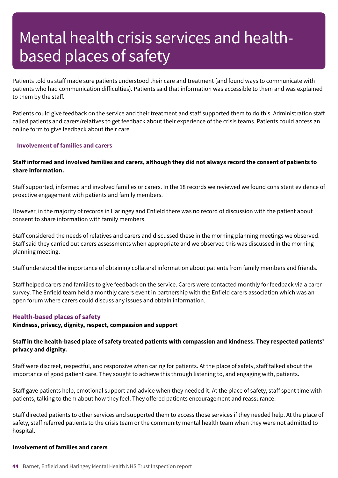Patients told us staff made sure patients understood their care and treatment (and found ways to communicate with patients who had communication difficulties). Patients said that information was accessible to them and was explained to them by the staff.

Patients could give feedback on the service and their treatment and staff supported them to do this. Administration staff called patients and carers/relatives to get feedback about their experience of the crisis teams. Patients could access an online form to give feedback about their care.

#### **Involvement of families and carers**

# Staff informed and involved families and carers, although they did not always record the consent of patients to **share information.**

Staff supported, informed and involved families or carers. In the 18 records we reviewed we found consistent evidence of proactive engagement with patients and family members.

However, in the majority of records in Haringey and Enfield there was no record of discussion with the patient about consent to share information with family members.

Staff considered the needs of relatives and carers and discussed these in the morning planning meetings we observed. Staff said they carried out carers assessments when appropriate and we observed this was discussed in the morning planning meeting.

Staff understood the importance of obtaining collateral information about patients from family members and friends.

Staff helped carers and families to give feedback on the service. Carers were contacted monthly for feedback via a carer survey. The Enfield team held a monthly carers event in partnership with the Enfield carers association which was an open forum where carers could discuss any issues and obtain information.

### **Health-based places of safety**

**Kindness, privacy, dignity, respect, compassion and support**

# Staff in the health-based place of safety treated patients with compassion and kindness. They respected patients' **privacy and dignity.**

Staff were discreet, respectful, and responsive when caring for patients. At the place of safety, staff talked about the importance of good patient care. They sought to achieve this through listening to, and engaging with, patients.

Staff gave patients help, emotional support and advice when they needed it. At the place of safety, staff spent time with patients, talking to them about how they feel. They offered patients encouragement and reassurance.

Staff directed patients to other services and supported them to access those services if they needed help. At the place of safety, staff referred patients to the crisis team or the community mental health team when they were not admitted to hospital.

### **Involvement of families and carers**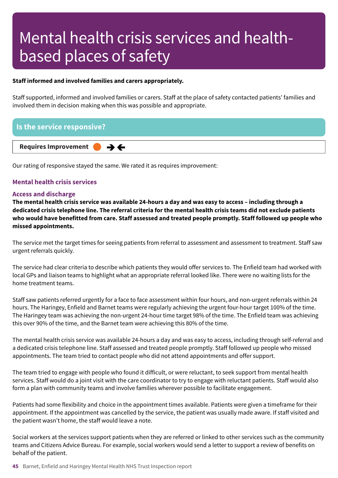### **Staff informed and involved families and carers appropriately.**

Staff supported, informed and involved families or carers. Staff at the place of safety contacted patients' families and involved them in decision making when this was possible and appropriate.

# **Is the service responsive?**

**Requires Improvement –––**

Our rating of responsive stayed the same. We rated it as requires improvement:

# **Mental health crisis services**

#### **Access and discharge**

The mental health crisis service was available 24-hours a day and was easy to access - including through a dedicated crisis telephone line. The referral criteria for the mental health crisis teams did not exclude patients who would have benefitted from care. Staff assessed and treated people promptly. Staff followed up people who **missed appointments.**

The service met the target times for seeing patients from referral to assessment and assessment to treatment. Staff saw urgent referrals quickly.

The service had clear criteria to describe which patients they would offer services to. The Enfield team had worked with local GPs and liaison teams to highlight what an appropriate referral looked like. There were no waiting lists for the home treatment teams.

Staff saw patients referred urgently for a face to face assessment within four hours, and non-urgent referrals within 24 hours. The Haringey, Enfield and Barnet teams were regularly achieving the urgent four-hour target 100% of the time. The Haringey team was achieving the non-urgent 24-hour time target 98% of the time. The Enfield team was achieving this over 90% of the time, and the Barnet team were achieving this 80% of the time.

The mental health crisis service was available 24-hours a day and was easy to access, including through self-referral and a dedicated crisis telephone line. Staff assessed and treated people promptly. Staff followed up people who missed appointments. The team tried to contact people who did not attend appointments and offer support.

The team tried to engage with people who found it difficult, or were reluctant, to seek support from mental health services. Staff would do a joint visit with the care coordinator to try to engage with reluctant patients. Staff would also form a plan with community teams and involve families wherever possible to facilitate engagement.

Patients had some flexibility and choice in the appointment times available. Patients were given a timeframe for their appointment. If the appointment was cancelled by the service, the patient was usually made aware. If staff visited and the patient wasn't home, the staff would leave a note.

Social workers at the services support patients when they are referred or linked to other services such as the community teams and Citizens Advice Bureau. For example, social workers would send a letter to support a review of benefits on behalf of the patient.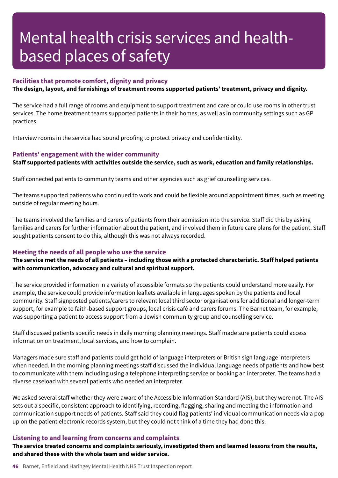### **Facilities that promote comfort, dignity and privacy**

**The design, layout, and furnishings of treatment rooms supported patients' treatment, privacy and dignity.**

The service had a full range of rooms and equipment to support treatment and care or could use rooms in other trust services. The home treatment teams supported patients in their homes, as well as in community settings such as GP practices.

Interview rooms in the service had sound proofing to protect privacy and confidentiality.

#### **Patients' engagement with the wider community**

**Staff supported patients with activities outside the service, such as work, education and family relationships.**

Staff connected patients to community teams and other agencies such as grief counselling services.

The teams supported patients who continued to work and could be flexible around appointment times, such as meeting outside of regular meeting hours.

The teams involved the families and carers of patients from their admission into the service. Staff did this by asking families and carers for further information about the patient, and involved them in future care plans for the patient. Staff sought patients consent to do this, although this was not always recorded.

### **Meeting the needs of all people who use the service**

# The service met the needs of all patients - including those with a protected characteristic. Staff helped patients **with communication, advocacy and cultural and spiritual support.**

The service provided information in a variety of accessible formats so the patients could understand more easily. For example, the service could provide information leaflets available in languages spoken by the patients and local community. Staff signposted patients/carers to relevant local third sector organisations for additional and longer-term support, for example to faith-based support groups, local crisis café and carers forums. The Barnet team, for example, was supporting a patient to access support from a Jewish community group and counselling service.

Staff discussed patients specific needs in daily morning planning meetings. Staff made sure patients could access information on treatment, local services, and how to complain.

Managers made sure staff and patients could get hold of language interpreters or British sign language interpreters when needed. In the morning planning meetings staff discussed the individual language needs of patients and how best to communicate with them including using a telephone interpreting service or booking an interpreter. The teams had a diverse caseload with several patients who needed an interpreter.

We asked several staff whether they were aware of the Accessible Information Standard (AIS), but they were not. The AIS sets out a specific, consistent approach to identifying, recording, flagging, sharing and meeting the information and communication support needs of patients. Staff said they could flag patients' individual communication needs via a pop up on the patient electronic records system, but they could not think of a time they had done this.

### **Listening to and learning from concerns and complaints**

**The service treated concerns and complaints seriously, investigated them and learned lessons from the results, and shared these with the whole team and wider service.**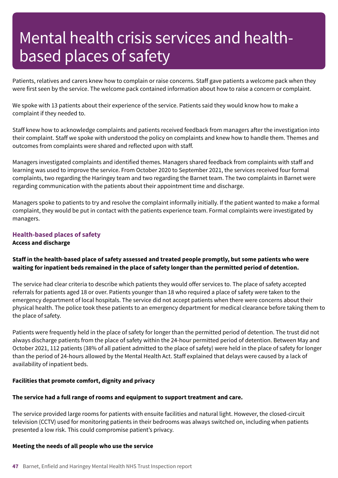Patients, relatives and carers knew how to complain or raise concerns. Staff gave patients a welcome pack when they were first seen by the service. The welcome pack contained information about how to raise a concern or complaint.

We spoke with 13 patients about their experience of the service. Patients said they would know how to make a complaint if they needed to.

Staff knew how to acknowledge complaints and patients received feedback from managers after the investigation into their complaint. Staff we spoke with understood the policy on complaints and knew how to handle them. Themes and outcomes from complaints were shared and reflected upon with staff.

Managers investigated complaints and identified themes. Managers shared feedback from complaints with staff and learning was used to improve the service. From October 2020 to September 2021, the services received four formal complaints, two regarding the Haringey team and two regarding the Barnet team. The two complaints in Barnet were regarding communication with the patients about their appointment time and discharge.

Managers spoke to patients to try and resolve the complaint informally initially. If the patient wanted to make a formal complaint, they would be put in contact with the patients experience team. Formal complaints were investigated by managers.

# **Health-based places of safety Access and discharge**

# Staff in the health-based place of safety assessed and treated people promptly, but some patients who were **waiting for inpatient beds remained in the place of safety longer than the permitted period of detention.**

The service had clear criteria to describe which patients they would offer services to. The place of safety accepted referrals for patients aged 18 or over. Patients younger than 18 who required a place of safety were taken to the emergency department of local hospitals. The service did not accept patients when there were concerns about their physical health. The police took these patients to an emergency department for medical clearance before taking them to the place of safety.

Patients were frequently held in the place of safety for longer than the permitted period of detention. The trust did not always discharge patients from the place of safety within the 24-hour permitted period of detention. Between May and October 2021, 112 patients (38% of all patient admitted to the place of safety) were held in the place of safety for longer than the period of 24-hours allowed by the Mental Health Act. Staff explained that delays were caused by a lack of availability of inpatient beds.

### **Facilities that promote comfort, dignity and privacy**

# **The service had a full range of rooms and equipment to support treatment and care.**

The service provided large rooms for patients with ensuite facilities and natural light. However, the closed-circuit television (CCTV) used for monitoring patients in their bedrooms was always switched on, including when patients presented a low risk. This could compromise patient's privacy.

### **Meeting the needs of all people who use the service**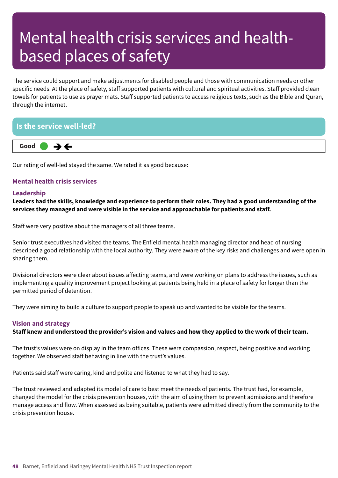The service could support and make adjustments for disabled people and those with communication needs or other specific needs. At the place of safety, staff supported patients with cultural and spiritual activities. Staff provided clean towels for patients to use as prayer mats. Staff supported patients to access religious texts, such as the Bible and Quran, through the internet.

# **Is the service well-led?**



Our rating of well-led stayed the same. We rated it as good because:

# **Mental health crisis services**

#### **Leadership**

Leaders had the skills, knowledge and experience to perform their roles. They had a good understanding of the **services they managed and were visible in the service and approachable for patients and staff.**

Staff were very positive about the managers of all three teams.

Senior trust executives had visited the teams. The Enfield mental health managing director and head of nursing described a good relationship with the local authority. They were aware of the key risks and challenges and were open in sharing them.

Divisional directors were clear about issues affecting teams, and were working on plans to address the issues, such as implementing a quality improvement project looking at patients being held in a place of safety for longer than the permitted period of detention.

They were aiming to build a culture to support people to speak up and wanted to be visible for the teams.

# **Vision and strategy**

Staff knew and understood the provider's vision and values and how they applied to the work of their team.

The trust's values were on display in the team offices. These were compassion, respect, being positive and working together. We observed staff behaving in line with the trust's values.

Patients said staff were caring, kind and polite and listened to what they had to say.

The trust reviewed and adapted its model of care to best meet the needs of patients. The trust had, for example, changed the model for the crisis prevention houses, with the aim of using them to prevent admissions and therefore manage access and flow. When assessed as being suitable, patients were admitted directly from the community to the crisis prevention house.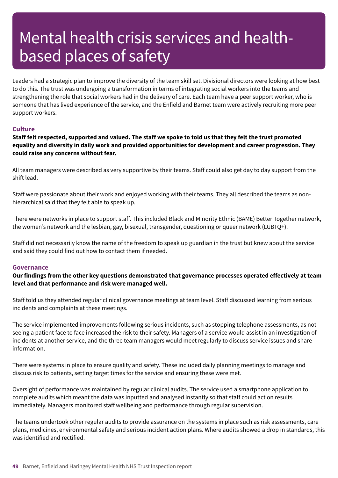Leaders had a strategic plan to improve the diversity of the team skill set. Divisional directors were looking at how best to do this. The trust was undergoing a transformation in terms of integrating social workers into the teams and strengthening the role that social workers had in the delivery of care. Each team have a peer support worker, who is someone that has lived experience of the service, and the Enfield and Barnet team were actively recruiting more peer support workers.

# **Culture**

Staff felt respected, supported and valued. The staff we spoke to told us that they felt the trust promoted **equality and diversity in daily work and provided opportunities for development and career progression. They could raise any concerns without fear.**

All team managers were described as very supportive by their teams. Staff could also get day to day support from the shift lead.

Staff were passionate about their work and enjoyed working with their teams. They all described the teams as nonhierarchical said that they felt able to speak up.

There were networks in place to support staff. This included Black and Minority Ethnic (BAME) Better Together network, the women's network and the lesbian, gay, bisexual, transgender, questioning or queer network (LGBTQ+).

Staff did not necessarily know the name of the freedom to speak up guardian in the trust but knew about the service and said they could find out how to contact them if needed.

### **Governance**

**Our findings from the other key questions demonstrated that governance processes operated effectively at team level and that performance and risk were managed well.**

Staff told us they attended regular clinical governance meetings at team level. Staff discussed learning from serious incidents and complaints at these meetings.

The service implemented improvements following serious incidents, such as stopping telephone assessments, as not seeing a patient face to face increased the risk to their safety. Managers of a service would assist in an investigation of incidents at another service, and the three team managers would meet regularly to discuss service issues and share information.

There were systems in place to ensure quality and safety. These included daily planning meetings to manage and discuss risk to patients, setting target times for the service and ensuring these were met.

Oversight of performance was maintained by regular clinical audits. The service used a smartphone application to complete audits which meant the data was inputted and analysed instantly so that staff could act on results immediately. Managers monitored staff wellbeing and performance through regular supervision.

The teams undertook other regular audits to provide assurance on the systems in place such as risk assessments, care plans, medicines, environmental safety and serious incident action plans. Where audits showed a drop in standards, this was identified and rectified.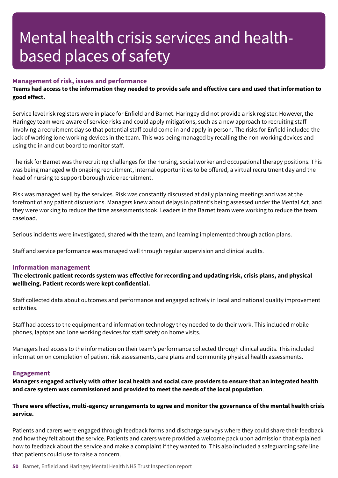### **Management of risk, issues and performance**

Teams had access to the information they needed to provide safe and effective care and used that information to **good effect.**

Service level risk registers were in place for Enfield and Barnet. Haringey did not provide a risk register. However, the Haringey team were aware of service risks and could apply mitigations, such as a new approach to recruiting staff involving a recruitment day so that potential staff could come in and apply in person. The risks for Enfield included the lack of working lone working devices in the team. This was being managed by recalling the non-working devices and using the in and out board to monitor staff.

The risk for Barnet was the recruiting challenges for the nursing, social worker and occupational therapy positions. This was being managed with ongoing recruitment, internal opportunities to be offered, a virtual recruitment day and the head of nursing to support borough wide recruitment.

Risk was managed well by the services. Risk was constantly discussed at daily planning meetings and was at the forefront of any patient discussions. Managers knew about delays in patient's being assessed under the Mental Act, and they were working to reduce the time assessments took. Leaders in the Barnet team were working to reduce the team caseload.

Serious incidents were investigated, shared with the team, and learning implemented through action plans.

Staff and service performance was managed well through regular supervision and clinical audits.

#### **Information management**

**The electronic patient records system was effective for recording and updating risk, crisis plans, and physical wellbeing. Patient records were kept confidential.**

Staff collected data about outcomes and performance and engaged actively in local and national quality improvement activities.

Staff had access to the equipment and information technology they needed to do their work. This included mobile phones, laptops and lone working devices for staff safety on home visits.

Managers had access to the information on their team's performance collected through clinical audits. This included information on completion of patient risk assessments, care plans and community physical health assessments.

#### **Engagement**

Managers engaged actively with other local health and social care providers to ensure that an integrated health **and care system was commissioned and provided to meet the needs of the local population**.

### **There were effective, multi-agency arrangements to agree and monitor the governance of the mental health crisis service.**

Patients and carers were engaged through feedback forms and discharge surveys where they could share their feedback and how they felt about the service. Patients and carers were provided a welcome pack upon admission that explained how to feedback about the service and make a complaint if they wanted to. This also included a safeguarding safe line that patients could use to raise a concern.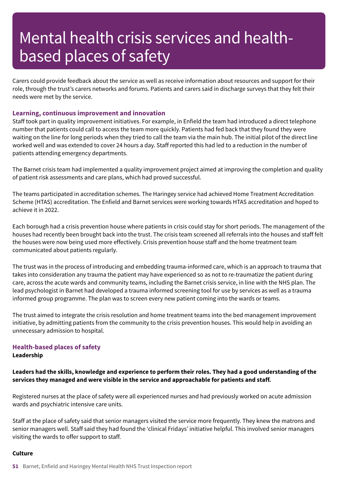Carers could provide feedback about the service as well as receive information about resources and support for their role, through the trust's carers networks and forums. Patients and carers said in discharge surveys that they felt their needs were met by the service.

### **Learning, continuous improvement and innovation**

Staff took part in quality improvement initiatives. For example, in Enfield the team had introduced a direct telephone number that patients could call to access the team more quickly. Patients had fed back that they found they were waiting on the line for long periods when they tried to call the team via the main hub. The initial pilot of the direct line worked well and was extended to cover 24 hours a day. Staff reported this had led to a reduction in the number of patients attending emergency departments.

The Barnet crisis team had implemented a quality improvement project aimed at improving the completion and quality of patient risk assessments and care plans, which had proved successful.

The teams participated in accreditation schemes. The Haringey service had achieved Home Treatment Accreditation Scheme (HTAS) accreditation. The Enfield and Barnet services were working towards HTAS accreditation and hoped to achieve it in 2022.

Each borough had a crisis prevention house where patients in crisis could stay for short periods. The management of the houses had recently been brought back into the trust. The crisis team screened all referrals into the houses and staff felt the houses were now being used more effectively. Crisis prevention house staff and the home treatment team communicated about patients regularly.

The trust was in the process of introducing and embedding trauma-informed care, which is an approach to trauma that takes into consideration any trauma the patient may have experienced so as not to re-traumatize the patient during care, across the acute wards and community teams, including the Barnet crisis service, in line with the NHS plan. The lead psychologist in Barnet had developed a trauma informed screening tool for use by services as well as a trauma informed group programme. The plan was to screen every new patient coming into the wards or teams.

The trust aimed to integrate the crisis resolution and home treatment teams into the bed management improvement initiative, by admitting patients from the community to the crisis prevention houses. This would help in avoiding an unnecessary admission to hospital.

# **Health-based places of safety**

**Leadership**

# Leaders had the skills, knowledge and experience to perform their roles. They had a good understanding of the **services they managed and were visible in the service and approachable for patients and staff.**

Registered nurses at the place of safety were all experienced nurses and had previously worked on acute admission wards and psychiatric intensive care units.

Staff at the place of safety said that senior managers visited the service more frequently. They knew the matrons and senior managers well. Staff said they had found the 'clinical Fridays' initiative helpful. This involved senior managers visiting the wards to offer support to staff.

### **Culture**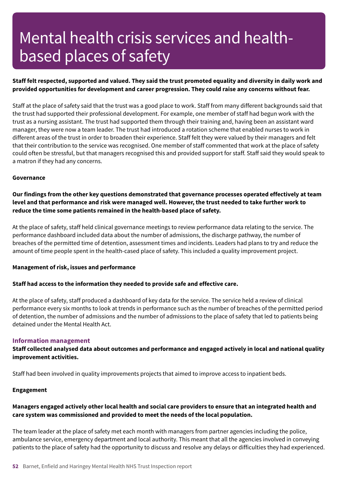# Staff felt respected, supported and valued. They said the trust promoted equality and diversity in daily work and **provided opportunities for development and career progression. They could raise any concerns without fear.**

Staff at the place of safety said that the trust was a good place to work. Staff from many different backgrounds said that the trust had supported their professional development. For example, one member of staff had begun work with the trust as a nursing assistant. The trust had supported them through their training and, having been an assistant ward manager, they were now a team leader. The trust had introduced a rotation scheme that enabled nurses to work in different areas of the trust in order to broaden their experience. Staff felt they were valued by their managers and felt that their contribution to the service was recognised. One member of staff commented that work at the place of safety could often be stressful, but that managers recognised this and provided support for staff. Staff said they would speak to a matron if they had any concerns.

#### **Governance**

**Our findings from the other key questions demonstrated that governance processes operated effectively at team** level and that performance and risk were managed well. However, the trust needed to take further work to **reduce the time some patients remained in the health-based place of safety.**

At the place of safety, staff held clinical governance meetings to review performance data relating to the service. The performance dashboard included data about the number of admissions, the discharge pathway, the number of breaches of the permitted time of detention, assessment times and incidents. Leaders had plans to try and reduce the amount of time people spent in the health-cased place of safety. This included a quality improvement project.

#### **Management of risk, issues and performance**

### **Staff had access to the information they needed to provide safe and effective care.**

At the place of safety, staff produced a dashboard of key data for the service. The service held a review of clinical performance every six months to look at trends in performance such as the number of breaches of the permitted period of detention, the number of admissions and the number of admissions to the place of safety that led to patients being detained under the Mental Health Act.

#### **Information management**

**Staff collected analysed data about outcomes and performance and engaged actively in local and national quality improvement activities.**

Staff had been involved in quality improvements projects that aimed to improve access to inpatient beds.

#### **Engagement**

# Managers engaged actively other local health and social care providers to ensure that an integrated health and **care system was commissioned and provided to meet the needs of the local population.**

The team leader at the place of safety met each month with managers from partner agencies including the police, ambulance service, emergency department and local authority. This meant that all the agencies involved in conveying patients to the place of safety had the opportunity to discuss and resolve any delays or difficulties they had experienced.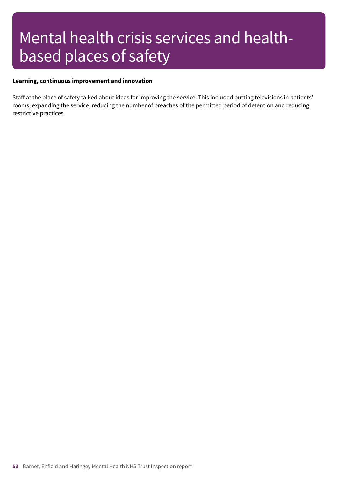#### **Learning, continuous improvement and innovation**

Staff at the place of safety talked about ideas for improving the service. This included putting televisions in patients' rooms, expanding the service, reducing the number of breaches of the permitted period of detention and reducing restrictive practices.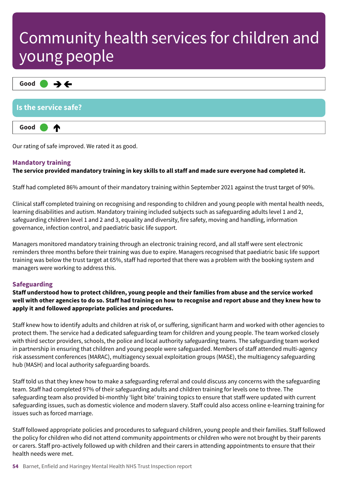| $\mathsf{Good} \qquad \rightarrow \leftarrow$ |  |
|-----------------------------------------------|--|
| Is the service safe?                          |  |
| Good<br>ИΝ                                    |  |

Our rating of safe improved. We rated it as good.

# **Mandatory training**

# The service provided mandatory training in key skills to all staff and made sure everyone had completed it.

Staff had completed 86% amount of their mandatory training within September 2021 against the trust target of 90%.

Clinical staff completed training on recognising and responding to children and young people with mental health needs, learning disabilities and autism. Mandatory training included subjects such as safeguarding adults level 1 and 2, safeguarding children level 1 and 2 and 3, equality and diversity, fire safety, moving and handling, information governance, infection control, and paediatric basic life support.

Managers monitored mandatory training through an electronic training record, and all staff were sent electronic reminders three months before their training was due to expire. Managers recognised that paediatric basic life support training was below the trust target at 65%, staff had reported that there was a problem with the booking system and managers were working to address this.

# **Safeguarding**

Staff understood how to protect children, young people and their families from abuse and the service worked well with other agencies to do so. Staff had training on how to recognise and report abuse and they knew how to **apply it and followed appropriate policies and procedures.**

Staff knew how to identify adults and children at risk of, or suffering, significant harm and worked with other agencies to protect them. The service had a dedicated safeguarding team for children and young people. The team worked closely with third sector providers, schools, the police and local authority safeguarding teams. The safeguarding team worked in partnership in ensuring that children and young people were safeguarded. Members of staff attended multi-agency risk assessment conferences (MARAC), multiagency sexual exploitation groups (MASE), the multiagency safeguarding hub (MASH) and local authority safeguarding boards.

Staff told us that they knew how to make a safeguarding referral and could discuss any concerns with the safeguarding team. Staff had completed 97% of their safeguarding adults and children training for levels one to three. The safeguarding team also provided bi-monthly 'light bite' training topics to ensure that staff were updated with current safeguarding issues, such as domestic violence and modern slavery. Staff could also access online e-learning training for issues such as forced marriage.

Staff followed appropriate policies and procedures to safeguard children, young people and their families. Staff followed the policy for children who did not attend community appointments or children who were not brought by their parents or carers. Staff pro-actively followed up with children and their carers in attending appointments to ensure that their health needs were met.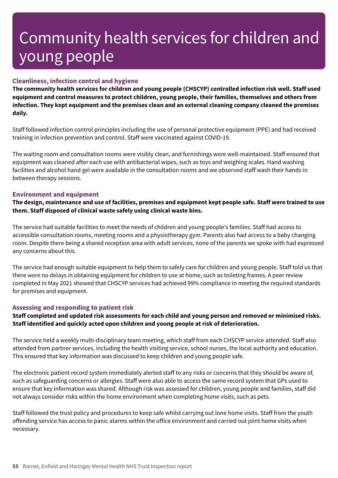# **Cleanliness, infection control and hygiene**

**The community health services for children and young people (CHSCYP) controlled infection risk well. Staff used equipment and control measures to protect children, young people, their families, themselves and others from infection. They kept equipment and the premises clean and an external cleaning company cleaned the premises daily.**

Staff followed infection control principles including the use of personal protective equipment (PPE) and had received training in infection prevention and control. Staff were vaccinated against COVID-19.

The waiting room and consultation rooms were visibly clean, and furnishings were well-maintained. Staff ensured that equipment was cleaned after each use with antibacterial wipes, such as toys and weighing scales. Hand washing facilities and alcohol hand gel were available in the consultation rooms and we observed staff wash their hands in between therapy sessions.

# **Environment and equipment**

The design, maintenance and use of facilities, premises and equipment kept people safe. Staff were trained to use **them. Staff disposed of clinical waste safely using clinical waste bins.**

The service had suitable facilities to meet the needs of children and young people's families. Staff had access to accessible consultation rooms, meeting rooms and a physiotherapy gym. Parents also had access to a baby changing room. Despite there being a shared reception area with adult services, none of the parents we spoke with had expressed any concerns about this.

The service had enough suitable equipment to help them to safely care for children and young people. Staff told us that there were no delays in obtaining equipment for children to use at home, such as toileting frames. A peer review completed in May 2021 showed that CHSCYP services had achieved 99% compliance in meeting the required standards for premises and equipment.

# **Assessing and responding to patient risk**

Staff completed and updated risk assessments for each child and young person and removed or minimised risks. **Staff identified and quickly acted upon children and young people at risk of deterioration.**

The service held a weekly multi-disciplinary team meeting, which staff from each CHSCYP service attended. Staff also attended from partner services, including the health visiting service, school nurses, the local authority and education. This ensured that key information was discussed to keep children and young people safe.

The electronic patient record system immediately alerted staff to any risks or concerns that they should be aware of, such as safeguarding concerns or allergies. Staff were also able to access the same record system that GPs used to ensure that key information was shared. Although risk was assessed for children, young people and families, staff did not always consider risks within the home environment when completing home visits, such as pets.

Staff followed the trust policy and procedures to keep safe whilst carrying out lone home visits. Staff from the youth offending service has access to panic alarms within the office environment and carried out joint home visits when necessary.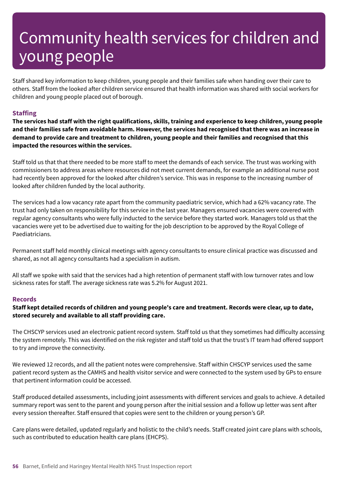Staff shared key information to keep children, young people and their families safe when handing over their care to others. Staff from the looked after children service ensured that health information was shared with social workers for children and young people placed out of borough.

# **Staffing**

The services had staff with the right qualifications, skills, training and experience to keep children, young people and their families safe from avoidable harm. However, the services had recognised that there was an increase in demand to provide care and treatment to children, young people and their families and recognised that this **impacted the resources within the services.**

Staff told us that that there needed to be more staff to meet the demands of each service. The trust was working with commissioners to address areas where resources did not meet current demands, for example an additional nurse post had recently been approved for the looked after children's service. This was in response to the increasing number of looked after children funded by the local authority.

The services had a low vacancy rate apart from the community paediatric service, which had a 62% vacancy rate. The trust had only taken on responsibility for this service in the last year. Managers ensured vacancies were covered with regular agency consultants who were fully inducted to the service before they started work. Managers told us that the vacancies were yet to be advertised due to waiting for the job description to be approved by the Royal College of Paediatricians.

Permanent staff held monthly clinical meetings with agency consultants to ensure clinical practice was discussed and shared, as not all agency consultants had a specialism in autism.

All staff we spoke with said that the services had a high retention of permanent staff with low turnover rates and low sickness rates for staff. The average sickness rate was 5.2% for August 2021.

### **Records**

# Staff kept detailed records of children and young people's care and treatment. Records were clear, up to date, **stored securely and available to all staff providing care.**

The CHSCYP services used an electronic patient record system. Staff told us that they sometimes had difficulty accessing the system remotely. This was identified on the risk register and staff told us that the trust's IT team had offered support to try and improve the connectivity.

We reviewed 12 records, and all the patient notes were comprehensive. Staff within CHSCYP services used the same patient record system as the CAMHS and health visitor service and were connected to the system used by GPs to ensure that pertinent information could be accessed.

Staff produced detailed assessments, including joint assessments with different services and goals to achieve. A detailed summary report was sent to the parent and young person after the initial session and a follow up letter was sent after every session thereafter. Staff ensured that copies were sent to the children or young person's GP.

Care plans were detailed, updated regularly and holistic to the child's needs. Staff created joint care plans with schools, such as contributed to education health care plans (EHCPS).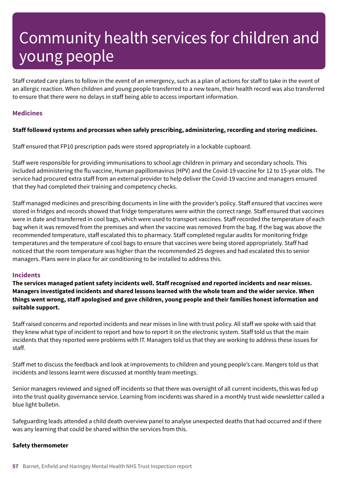Staff created care plans to follow in the event of an emergency, such as a plan of actions for staff to take in the event of an allergic reaction. When children and young people transferred to a new team, their health record was also transferred to ensure that there were no delays in staff being able to access important information.

# **Medicines**

# **Staff followed systems and processes when safely prescribing, administering, recording and storing medicines.**

Staff ensured that FP10 prescription pads were stored appropriately in a lockable cupboard.

Staff were responsible for providing immunisations to school age children in primary and secondary schools. This included administering the flu vaccine, Human papillomavirus (HPV) and the Covid-19 vaccine for 12 to 15-year olds. The service had procured extra staff from an external provider to help deliver the Covid-19 vaccine and managers ensured that they had completed their training and competency checks.

Staff managed medicines and prescribing documents in line with the provider's policy. Staff ensured that vaccines were stored in fridges and records showed that fridge temperatures were within the correct range. Staff ensured that vaccines were in date and transferred in cool bags, which were used to transport vaccines. Staff recorded the temperature of each bag when it was removed from the premises and when the vaccine was removed from the bag. If the bag was above the recommended temperature, staff escalated this to pharmacy. Staff completed regular audits for monitoring fridge temperatures and the temperature of cool bags to ensure that vaccines were being stored appropriately. Staff had noticed that the room temperature was higher than the recommended 25 degrees and had escalated this to senior managers. Plans were in place for air conditioning to be installed to address this.

### **Incidents**

**The services managed patient safety incidents well. Staff recognised and reported incidents and near misses. Managers investigated incidents and shared lessons learned with the whole team and the wider service. When things went wrong, staff apologised and gave children, young people and their families honest information and suitable support.**

Staff raised concerns and reported incidents and near misses in line with trust policy. All staff we spoke with said that they knew what type of incident to report and how to report it on the electronic system. Staff told us that the main incidents that they reported were problems with IT. Managers told us that they are working to address these issues for staff.

Staff met to discuss the feedback and look at improvements to children and young people's care. Mangers told us that incidents and lessons learnt were discussed at monthly team meetings.

Senior managers reviewed and signed off incidents so that there was oversight of all current incidents, this was fed up into the trust quality governance service. Learning from incidents was shared in a monthly trust wide newsletter called a blue light bulletin.

Safeguarding leads attended a child death overview panel to analyse unexpected deaths that had occurred and if there was any learning that could be shared within the services from this.

#### **Safety thermometer**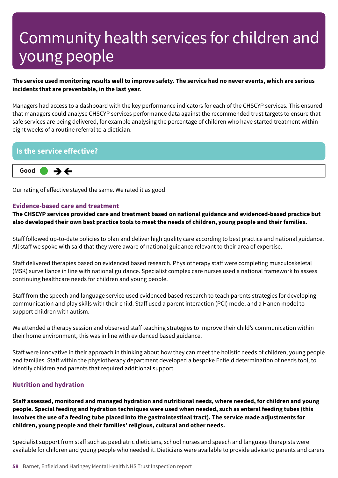# The service used monitoring results well to improve safety. The service had no never events, which are serious **incidents that are preventable, in the last year.**

Managers had access to a dashboard with the key performance indicators for each of the CHSCYP services. This ensured that managers could analyse CHSCYP services performance data against the recommended trust targets to ensure that safe services are being delivered, for example analysing the percentage of children who have started treatment within eight weeks of a routine referral to a dietician.

# **Is the service effective?**



Our rating of effective stayed the same. We rated it as good

### **Evidence-based care and treatment**

**The CHSCYP services provided care and treatment based on national guidance and evidenced-based practice but** also developed their own best practice tools to meet the needs of children, young people and their families.

Staff followed up-to-date policies to plan and deliver high quality care according to best practice and national guidance. All staff we spoke with said that they were aware of national guidance relevant to their area of expertise.

Staff delivered therapies based on evidenced based research. Physiotherapy staff were completing musculoskeletal (MSK) surveillance in line with national guidance. Specialist complex care nurses used a national framework to assess continuing healthcare needs for children and young people.

Staff from the speech and language service used evidenced based research to teach parents strategies for developing communication and play skills with their child. Staff used a parent interaction (PCI) model and a Hanen model to support children with autism.

We attended a therapy session and observed staff teaching strategies to improve their child's communication within their home environment, this was in line with evidenced based guidance.

Staff were innovative in their approach in thinking about how they can meet the holistic needs of children, young people and families. Staff within the physiotherapy department developed a bespoke Enfield determination of needs tool, to identify children and parents that required additional support.

### **Nutrition and hydration**

**Staff assessed, monitored and managed hydration and nutritional needs, where needed, for children and young people. Special feeding and hydration techniques were used when needed, such as enteral feeding tubes (this** involves the use of a feeding tube placed into the gastrointestinal tract). The service made adjustments for **children, young people and their families' religious, cultural and other needs.**

Specialist support from staff such as paediatric dieticians, school nurses and speech and language therapists were available for children and young people who needed it. Dieticians were available to provide advice to parents and carers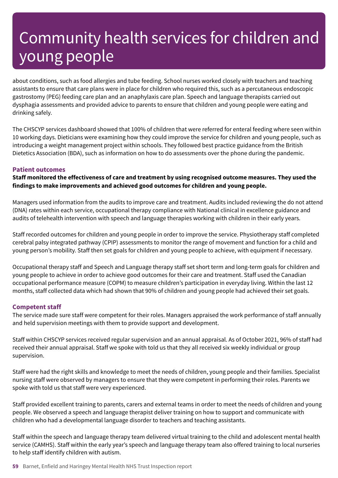about conditions, such as food allergies and tube feeding. School nurses worked closely with teachers and teaching assistants to ensure that care plans were in place for children who required this, such as a percutaneous endoscopic gastrostomy (PEG) feeding care plan and an anaphylaxis care plan. Speech and language therapists carried out dysphagia assessments and provided advice to parents to ensure that children and young people were eating and drinking safely.

The CHSCYP services dashboard showed that 100% of children that were referred for enteral feeding where seen within 10 working days. Dieticians were examining how they could improve the service for children and young people, such as introducing a weight management project within schools. They followed best practice guidance from the British Dietetics Association (BDA), such as information on how to do assessments over the phone during the pandemic.

# **Patient outcomes**

**Staff monitored the effectiveness of care and treatment by using recognised outcome measures. They used the findings to make improvements and achieved good outcomes for children and young people.**

Managers used information from the audits to improve care and treatment. Audits included reviewing the do not attend (DNA) rates within each service, occupational therapy compliance with National clinical in excellence guidance and audits of telehealth intervention with speech and language therapies working with children in their early years.

Staff recorded outcomes for children and young people in order to improve the service. Physiotherapy staff completed cerebral palsy integrated pathway (CPIP) assessments to monitor the range of movement and function for a child and young person's mobility. Staff then set goals for children and young people to achieve, with equipment if necessary.

Occupational therapy staff and Speech and Language therapy staff set short term and long-term goals for children and young people to achieve in order to achieve good outcomes for their care and treatment. Staff used the Canadian occupational performance measure (COPM) to measure children's participation in everyday living. Within the last 12 months, staff collected data which had shown that 90% of children and young people had achieved their set goals.

### **Competent staff**

The service made sure staff were competent for their roles. Managers appraised the work performance of staff annually and held supervision meetings with them to provide support and development.

Staff within CHSCYP services received regular supervision and an annual appraisal. As of October 2021, 96% of staff had received their annual appraisal. Staff we spoke with told us that they all received six weekly individual or group supervision.

Staff were had the right skills and knowledge to meet the needs of children, young people and their families. Specialist nursing staff were observed by managers to ensure that they were competent in performing their roles. Parents we spoke with told us that staff were very experienced.

Staff provided excellent training to parents, carers and external teams in order to meet the needs of children and young people. We observed a speech and language therapist deliver training on how to support and communicate with children who had a developmental language disorder to teachers and teaching assistants.

Staff within the speech and language therapy team delivered virtual training to the child and adolescent mental health service (CAMHS). Staff within the early year's speech and language therapy team also offered training to local nurseries to help staff identify children with autism.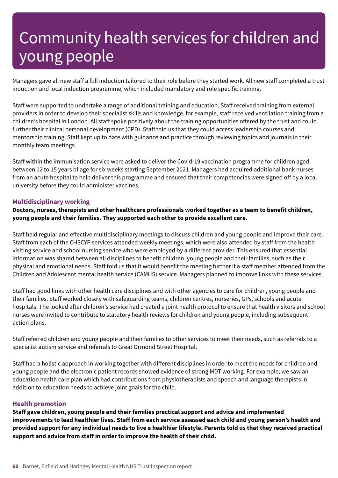Managers gave all new staff a full induction tailored to their role before they started work. All new staff completed a trust induction and local induction programme, which included mandatory and role specific training.

Staff were supported to undertake a range of additional training and education. Staff received training from external providers in order to develop their specialist skills and knowledge, for example, staff received ventilation training from a children's hospital in London. All staff spoke positively about the training opportunities offered by the trust and could further their clinical personal development (CPD). Staff told us that they could access leadership courses and mentorship training. Staff kept up to date with guidance and practice through reviewing topics and journals in their monthly team meetings.

Staff within the immunisation service were asked to deliver the Covid-19 vaccination programme for children aged between 12 to 15 years of age for six weeks starting September 2021. Managers had acquired additional bank nurses from an acute hospital to help deliver this programme and ensured that their competencies were signed off by a local university before they could administer vaccines.

### **Multidisciplinary working**

**Doctors, nurses, therapists and other healthcare professionals worked together as a team to benefit children, young people and their families. They supported each other to provide excellent care.**

Staff held regular and effective multidisciplinary meetings to discuss children and young people and improve their care. Staff from each of the CHSCYP services attended weekly meetings, which were also attended by staff from the health visiting service and school nursing service who were employed by a different provider. This ensured that essential information was shared between all disciplines to benefit children, young people and their families, such as their physical and emotional needs. Staff told us that it would benefit the meeting further if a staff member attended from the Children and Adolescent mental health service (CAMHS) service. Managers planned to improve links with these services.

Staff had good links with other health care disciplines and with other agencies to care for children, young people and their families. Staff worked closely with safeguarding teams, children centres, nurseries, GPs, schools and acute hospitals. The looked after children's service had created a joint health protocol to ensure that health visitors and school nurses were invited to contribute to statutory health reviews for children and young people, including subsequent action plans.

Staff referred children and young people and their families to other services to meet their needs, such as referrals to a specialist autism service and referrals to Great Ormond Street Hospital.

Staff had a holistic approach in working together with different disciplines in order to meet the needs for children and young people and the electronic patient records showed evidence of strong MDT working. For example, we saw an education health care plan which had contributions from physiotherapists and speech and language therapists in addition to education needs to achieve joint goals for the child.

### **Health promotion**

**Staff gave children, young people and their families practical support and advice and implemented** improvements to lead healthier lives. Staff from each service assessed each child and young person's health and provided support for any individual needs to live a healthier lifestyle. Parents told us that they received practical **support and advice from staff in order to improve the health of their child.**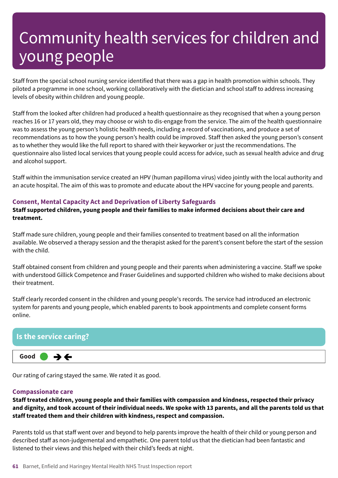Staff from the special school nursing service identified that there was a gap in health promotion within schools. They piloted a programme in one school, working collaboratively with the dietician and school staff to address increasing levels of obesity within children and young people.

Staff from the looked after children had produced a health questionnaire as they recognised that when a young person reaches 16 or 17 years old, they may choose or wish to dis-engage from the service. The aim of the health questionnaire was to assess the young person's holistic health needs, including a record of vaccinations, and produce a set of recommendations as to how the young person's health could be improved. Staff then asked the young person's consent as to whether they would like the full report to shared with their keyworker or just the recommendations. The questionnaire also listed local services that young people could access for advice, such as sexual health advice and drug and alcohol support.

Staff within the immunisation service created an HPV (human papilloma virus) video jointly with the local authority and an acute hospital. The aim of this was to promote and educate about the HPV vaccine for young people and parents.

# **Consent, Mental Capacity Act and Deprivation of Liberty Safeguards**

**Staff supported children, young people and their families to make informed decisions about their care and treatment.**

Staff made sure children, young people and their families consented to treatment based on all the information available. We observed a therapy session and the therapist asked for the parent's consent before the start of the session with the child.

Staff obtained consent from children and young people and their parents when administering a vaccine. Staff we spoke with understood Gillick Competence and Fraser Guidelines and supported children who wished to make decisions about their treatment.

Staff clearly recorded consent in the children and young people's records. The service had introduced an electronic system for parents and young people, which enabled parents to book appointments and complete consent forms online.

# **Is the service caring? Good –––**  $\rightarrow$   $\leftarrow$

Our rating of caring stayed the same. We rated it as good.

### **Compassionate care**

**Staff treated children, young people and their families with compassion and kindness, respected their privacy** and dignity, and took account of their individual needs. We spoke with 13 parents, and all the parents told us that **staff treated them and their children with kindness, respect and compassion.**

Parents told us that staff went over and beyond to help parents improve the health of their child or young person and described staff as non-judgemental and empathetic. One parent told us that the dietician had been fantastic and listened to their views and this helped with their child's feeds at night.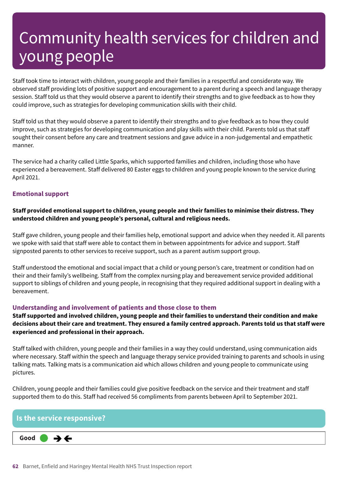Staff took time to interact with children, young people and their families in a respectful and considerate way. We observed staff providing lots of positive support and encouragement to a parent during a speech and language therapy session. Staff told us that they would observe a parent to identify their strengths and to give feedback as to how they could improve, such as strategies for developing communication skills with their child.

Staff told us that they would observe a parent to identify their strengths and to give feedback as to how they could improve, such as strategies for developing communication and play skills with their child. Parents told us that staff sought their consent before any care and treatment sessions and gave advice in a non-judgemental and empathetic manner.

The service had a charity called Little Sparks, which supported families and children, including those who have experienced a bereavement. Staff delivered 80 Easter eggs to children and young people known to the service during April 2021.

# **Emotional support**

# **Staff provided emotional support to children, young people and their families to minimise their distress. They understood children and young people's personal, cultural and religious needs.**

Staff gave children, young people and their families help, emotional support and advice when they needed it. All parents we spoke with said that staff were able to contact them in between appointments for advice and support. Staff signposted parents to other services to receive support, such as a parent autism support group.

Staff understood the emotional and social impact that a child or young person's care, treatment or condition had on their and their family's wellbeing. Staff from the complex nursing play and bereavement service provided additional support to siblings of children and young people, in recognising that they required additional support in dealing with a bereavement.

# **Understanding and involvement of patients and those close to them**

**Staff supported and involved children, young people and their families to understand their condition and make** decisions about their care and treatment. They ensured a family centred approach. Parents told us that staff were **experienced and professional in their approach.**

Staff talked with children, young people and their families in a way they could understand, using communication aids where necessary. Staff within the speech and language therapy service provided training to parents and schools in using talking mats. Talking mats is a communication aid which allows children and young people to communicate using pictures.

Children, young people and their families could give positive feedback on the service and their treatment and staff supported them to do this. Staff had received 56 compliments from parents between April to September 2021.

# **Is the service responsive?**

**Good –––**  $\rightarrow$   $\leftarrow$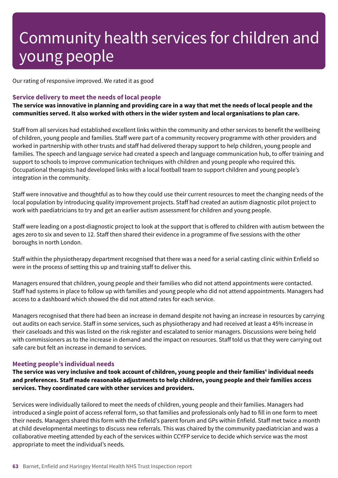Our rating of responsive improved. We rated it as good

### **Service delivery to meet the needs of local people**

The service was innovative in planning and providing care in a way that met the needs of local people and the **communities served. It also worked with others in the wider system and local organisations to plan care.**

Staff from all services had established excellent links within the community and other services to benefit the wellbeing of children, young people and families. Staff were part of a community recovery programme with other providers and worked in partnership with other trusts and staff had delivered therapy support to help children, young people and families. The speech and language service had created a speech and language communication hub, to offer training and support to schools to improve communication techniques with children and young people who required this. Occupational therapists had developed links with a local football team to support children and young people's integration in the community.

Staff were innovative and thoughtful as to how they could use their current resources to meet the changing needs of the local population by introducing quality improvement projects. Staff had created an autism diagnostic pilot project to work with paediatricians to try and get an earlier autism assessment for children and young people.

Staff were leading on a post-diagnostic project to look at the support that is offered to children with autism between the ages zero to six and seven to 12. Staff then shared their evidence in a programme of five sessions with the other boroughs in north London.

Staff within the physiotherapy department recognised that there was a need for a serial casting clinic within Enfield so were in the process of setting this up and training staff to deliver this.

Managers ensured that children, young people and their families who did not attend appointments were contacted. Staff had systems in place to follow up with families and young people who did not attend appointments. Managers had access to a dashboard which showed the did not attend rates for each service.

Managers recognised that there had been an increase in demand despite not having an increase in resources by carrying out audits on each service. Staff in some services, such as physiotherapy and had received at least a 45% increase in their caseloads and this was listed on the risk register and escalated to senior managers. Discussions were being held with commissioners as to the increase in demand and the impact on resources. Staff told us that they were carrying out safe care but felt an increase in demand to services.

#### **Meeting people's individual needs**

The service was very inclusive and took account of children, young people and their families' individual needs **and preferences. Staff made reasonable adjustments to help children, young people and their families access services. They coordinated care with other services and providers.**

Services were individually tailored to meet the needs of children, young people and their families. Managers had introduced a single point of access referral form, so that families and professionals only had to fill in one form to meet their needs. Managers shared this form with the Enfield's parent forum and GPs within Enfield. Staff met twice a month at child developmental meetings to discuss new referrals. This was chaired by the community paediatrician and was a collaborative meeting attended by each of the services within CCYFP service to decide which service was the most appropriate to meet the individual's needs.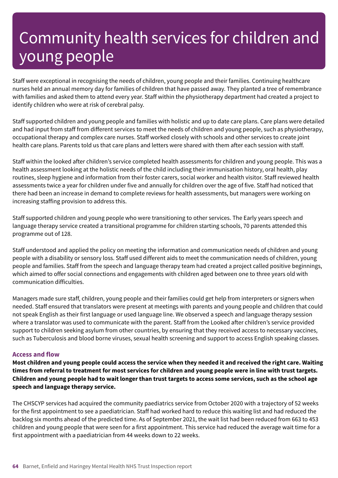Staff were exceptional in recognising the needs of children, young people and their families. Continuing healthcare nurses held an annual memory day for families of children that have passed away. They planted a tree of remembrance with families and asked them to attend every year. Staff within the physiotherapy department had created a project to identify children who were at risk of cerebral palsy.

Staff supported children and young people and families with holistic and up to date care plans. Care plans were detailed and had input from staff from different services to meet the needs of children and young people, such as physiotherapy, occupational therapy and complex care nurses. Staff worked closely with schools and other services to create joint health care plans. Parents told us that care plans and letters were shared with them after each session with staff.

Staff within the looked after children's service completed health assessments for children and young people. This was a health assessment looking at the holistic needs of the child including their immunisation history, oral health, play routines, sleep hygiene and information from their foster carers, social worker and health visitor. Staff reviewed health assessments twice a year for children under five and annually for children over the age of five. Staff had noticed that there had been an increase in demand to complete reviews for health assessments, but managers were working on increasing staffing provision to address this.

Staff supported children and young people who were transitioning to other services. The Early years speech and language therapy service created a transitional programme for children starting schools, 70 parents attended this programme out of 128.

Staff understood and applied the policy on meeting the information and communication needs of children and young people with a disability or sensory loss. Staff used different aids to meet the communication needs of children, young people and families. Staff from the speech and language therapy team had created a project called positive beginnings, which aimed to offer social connections and engagements with children aged between one to three years old with communication difficulties.

Managers made sure staff, children, young people and their families could get help from interpreters or signers when needed. Staff ensured that translators were present at meetings with parents and young people and children that could not speak English as their first language or used language line. We observed a speech and language therapy session where a translator was used to communicate with the parent. Staff from the Looked after children's service provided support to children seeking asylum from other countries, by ensuring that they received access to necessary vaccines, such as Tuberculosis and blood borne viruses, sexual health screening and support to access English speaking classes.

### **Access and flow**

Most children and young people could access the service when they needed it and received the right care. Waiting times from referral to treatment for most services for children and young people were in line with trust targets. Children and young people had to wait longer than trust targets to access some services, such as the school age **speech and language therapy service.**

The CHSCYP services had acquired the community paediatrics service from October 2020 with a trajectory of 52 weeks for the first appointment to see a paediatrician. Staff had worked hard to reduce this waiting list and had reduced the backlog six months ahead of the predicted time. As of September 2021, the wait list had been reduced from 663 to 453 children and young people that were seen for a first appointment. This service had reduced the average wait time for a first appointment with a paediatrician from 44 weeks down to 22 weeks.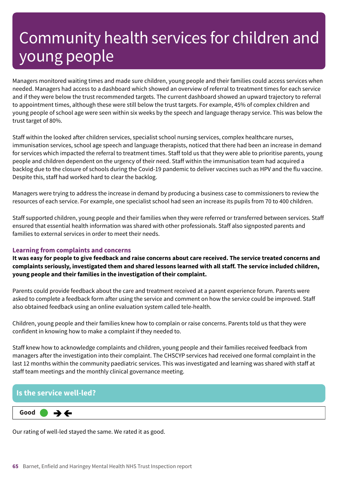Managers monitored waiting times and made sure children, young people and their families could access services when needed. Managers had access to a dashboard which showed an overview of referral to treatment times for each service and if they were below the trust recommended targets. The current dashboard showed an upward trajectory to referral to appointment times, although these were still below the trust targets. For example, 45% of complex children and young people of school age were seen within six weeks by the speech and language therapy service. This was below the trust target of 80%.

Staff within the looked after children services, specialist school nursing services, complex healthcare nurses, immunisation services, school age speech and language therapists, noticed that there had been an increase in demand for services which impacted the referral to treatment times. Staff told us that they were able to prioritise parents, young people and children dependent on the urgency of their need. Staff within the immunisation team had acquired a backlog due to the closure of schools during the Covid-19 pandemic to deliver vaccines such as HPV and the flu vaccine. Despite this, staff had worked hard to clear the backlog.

Managers were trying to address the increase in demand by producing a business case to commissioners to review the resources of each service. For example, one specialist school had seen an increase its pupils from 70 to 400 children.

Staff supported children, young people and their families when they were referred or transferred between services. Staff ensured that essential health information was shared with other professionals. Staff also signposted parents and families to external services in order to meet their needs.

# **Learning from complaints and concerns**

It was easy for people to give feedback and raise concerns about care received. The service treated concerns and **complaints seriously, investigated them and shared lessons learned with all staff. The service included children, young people and their families in the investigation of their complaint.**

Parents could provide feedback about the care and treatment received at a parent experience forum. Parents were asked to complete a feedback form after using the service and comment on how the service could be improved. Staff also obtained feedback using an online evaluation system called tele-health.

Children, young people and their families knew how to complain or raise concerns. Parents told us that they were confident in knowing how to make a complaint if they needed to.

Staff knew how to acknowledge complaints and children, young people and their families received feedback from managers after the investigation into their complaint. The CHSCYP services had received one formal complaint in the last 12 months within the community paediatric services. This was investigated and learning was shared with staff at staff team meetings and the monthly clinical governance meeting.

# **Is the service well-led?**



Our rating of well-led stayed the same. We rated it as good.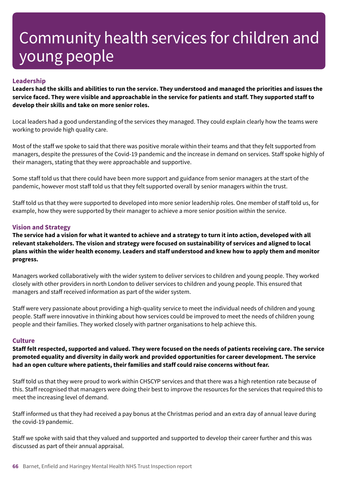# **Leadership**

Leaders had the skills and abilities to run the service. They understood and managed the priorities and issues the service faced. They were visible and approachable in the service for patients and staff. They supported staff to **develop their skills and take on more senior roles.**

Local leaders had a good understanding of the services they managed. They could explain clearly how the teams were working to provide high quality care.

Most of the staff we spoke to said that there was positive morale within their teams and that they felt supported from managers, despite the pressures of the Covid-19 pandemic and the increase in demand on services. Staff spoke highly of their managers, stating that they were approachable and supportive.

Some staff told us that there could have been more support and guidance from senior managers at the start of the pandemic, however most staff told us that they felt supported overall by senior managers within the trust.

Staff told us that they were supported to developed into more senior leadership roles. One member of staff told us, for example, how they were supported by their manager to achieve a more senior position within the service.

# **Vision and Strategy**

The service had a vision for what it wanted to achieve and a strategy to turn it into action, developed with all **relevant stakeholders. The vision and strategy were focused on sustainability of services and aligned to local** plans within the wider health economy. Leaders and staff understood and knew how to apply them and monitor **progress.**

Managers worked collaboratively with the wider system to deliver services to children and young people. They worked closely with other providers in north London to deliver services to children and young people. This ensured that managers and staff received information as part of the wider system.

Staff were very passionate about providing a high-quality service to meet the individual needs of children and young people. Staff were innovative in thinking about how services could be improved to meet the needs of children young people and their families. They worked closely with partner organisations to help achieve this.

### **Culture**

Staff felt respected, supported and valued. They were focused on the needs of patients receiving care. The service **promoted equality and diversity in daily work and provided opportunities for career development. The service had an open culture where patients, their families and staff could raise concerns without fear.**

Staff told us that they were proud to work within CHSCYP services and that there was a high retention rate because of this. Staff recognised that managers were doing their best to improve the resources for the services that required this to meet the increasing level of demand.

Staff informed us that they had received a pay bonus at the Christmas period and an extra day of annual leave during the covid-19 pandemic.

Staff we spoke with said that they valued and supported and supported to develop their career further and this was discussed as part of their annual appraisal.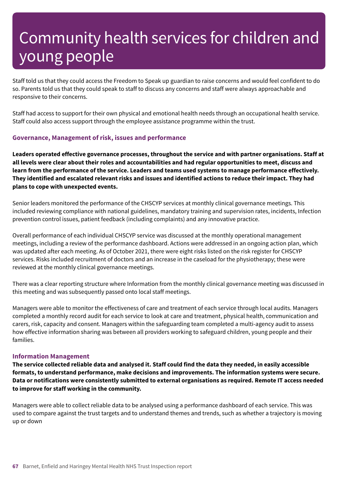Staff told us that they could access the Freedom to Speak up guardian to raise concerns and would feel confident to do so. Parents told us that they could speak to staff to discuss any concerns and staff were always approachable and responsive to their concerns.

Staff had access to support for their own physical and emotional health needs through an occupational health service. Staff could also access support through the employee assistance programme within the trust.

# **Governance, Management of risk, issues and performance**

**Leaders operated effective governance processes, throughout the service and with partner organisations. Staff at** all levels were clear about their roles and accountabilities and had regular opportunities to meet, discuss and **learn from the performance of the service. Leaders and teams used systems to manage performance effectively.** They identified and escalated relevant risks and issues and identified actions to reduce their impact. They had **plans to cope with unexpected events.**

Senior leaders monitored the performance of the CHSCYP services at monthly clinical governance meetings. This included reviewing compliance with national guidelines, mandatory training and supervision rates, incidents, Infection prevention control issues, patient feedback (including complaints) and any innovative practice.

Overall performance of each individual CHSCYP service was discussed at the monthly operational management meetings, including a review of the performance dashboard. Actions were addressed in an ongoing action plan, which was updated after each meeting. As of October 2021, there were eight risks listed on the risk register for CHSCYP services. Risks included recruitment of doctors and an increase in the caseload for the physiotherapy; these were reviewed at the monthly clinical governance meetings.

There was a clear reporting structure where Information from the monthly clinical governance meeting was discussed in this meeting and was subsequently passed onto local staff meetings.

Managers were able to monitor the effectiveness of care and treatment of each service through local audits. Managers completed a monthly record audit for each service to look at care and treatment, physical health, communication and carers, risk, capacity and consent. Managers within the safeguarding team completed a multi-agency audit to assess how effective information sharing was between all providers working to safeguard children, young people and their families.

### **Information Management**

The service collected reliable data and analysed it. Staff could find the data they needed, in easily accessible **formats, to understand performance, make decisions and improvements. The information systems were secure. Data or notifications were consistently submitted to external organisations as required. Remote IT access needed to improve for staff working in the community.**

Managers were able to collect reliable data to be analysed using a performance dashboard of each service. This was used to compare against the trust targets and to understand themes and trends, such as whether a trajectory is moving up or down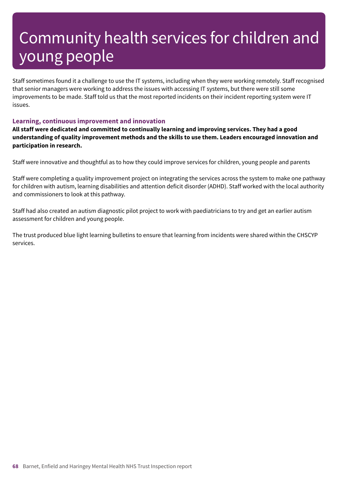Staff sometimes found it a challenge to use the IT systems, including when they were working remotely. Staff recognised that senior managers were working to address the issues with accessing IT systems, but there were still some improvements to be made. Staff told us that the most reported incidents on their incident reporting system were IT issues.

# **Learning, continuous improvement and innovation**

**All staff were dedicated and committed to continually learning and improving services. They had a good understanding of quality improvement methods and the skills to use them. Leaders encouraged innovation and participation in research.**

Staff were innovative and thoughtful as to how they could improve services for children, young people and parents

Staff were completing a quality improvement project on integrating the services across the system to make one pathway for children with autism, learning disabilities and attention deficit disorder (ADHD). Staff worked with the local authority and commissioners to look at this pathway.

Staff had also created an autism diagnostic pilot project to work with paediatricians to try and get an earlier autism assessment for children and young people.

The trust produced blue light learning bulletins to ensure that learning from incidents were shared within the CHSCYP services.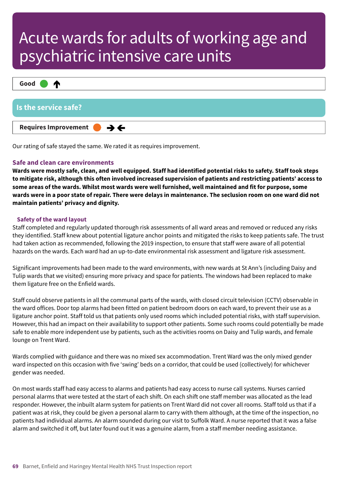

Our rating of safe stayed the same. We rated it as requires improvement.

# **Safe and clean care environments**

Wards were mostly safe, clean, and well equipped. Staff had identified potential risks to safety. Staff took steps to mitigate risk, although this often involved increased supervision of patients and restricting patients' access to some areas of the wards. Whilst most wards were well furnished, well maintained and fit for purpose, some wards were in a poor state of repair. There were delays in maintenance. The seclusion room on one ward did not **maintain patients' privacy and dignity.**

### **Safety of the ward layout**

Staff completed and regularly updated thorough risk assessments of all ward areas and removed or reduced any risks they identified. Staff knew about potential ligature anchor points and mitigated the risks to keep patients safe. The trust had taken action as recommended, following the 2019 inspection, to ensure that staff were aware of all potential hazards on the wards. Each ward had an up-to-date environmental risk assessment and ligature risk assessment.

Significant improvements had been made to the ward environments, with new wards at St Ann's (including Daisy and Tulip wards that we visited) ensuring more privacy and space for patients. The windows had been replaced to make them ligature free on the Enfield wards.

Staff could observe patients in all the communal parts of the wards, with closed circuit television (CCTV) observable in the ward offices. Door top alarms had been fitted on patient bedroom doors on each ward, to prevent their use as a ligature anchor point. Staff told us that patients only used rooms which included potential risks, with staff supervision. However, this had an impact on their availability to support other patients. Some such rooms could potentially be made safe to enable more independent use by patients, such as the activities rooms on Daisy and Tulip wards, and female lounge on Trent Ward.

Wards complied with guidance and there was no mixed sex accommodation. Trent Ward was the only mixed gender ward inspected on this occasion with five 'swing' beds on a corridor, that could be used (collectively) for whichever gender was needed.

On most wards staff had easy access to alarms and patients had easy access to nurse call systems. Nurses carried personal alarms that were tested at the start of each shift. On each shift one staff member was allocated as the lead responder. However, the inbuilt alarm system for patients on Trent Ward did not cover all rooms. Staff told us that if a patient was at risk, they could be given a personal alarm to carry with them although, at the time of the inspection, no patients had individual alarms. An alarm sounded during our visit to Suffolk Ward. A nurse reported that it was a false alarm and switched it off, but later found out it was a genuine alarm, from a staff member needing assistance.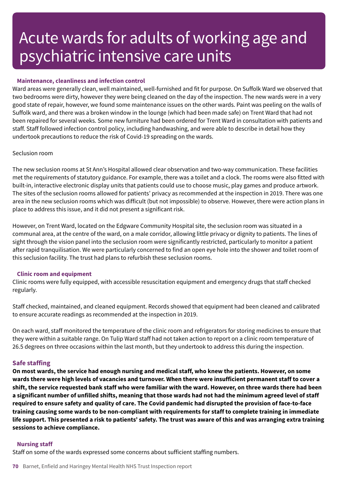### **Maintenance, cleanliness and infection control**

Ward areas were generally clean, well maintained, well-furnished and fit for purpose. On Suffolk Ward we observed that two bedrooms were dirty, however they were being cleaned on the day of the inspection. The new wards were in a very good state of repair, however, we found some maintenance issues on the other wards. Paint was peeling on the walls of Suffolk ward, and there was a broken window in the lounge (which had been made safe) on Trent Ward that had not been repaired for several weeks. Some new furniture had been ordered for Trent Ward in consultation with patients and staff. Staff followed infection control policy, including handwashing, and were able to describe in detail how they undertook precautions to reduce the risk of Covid-19 spreading on the wards.

#### Seclusion room

The new seclusion rooms at St Ann's Hospital allowed clear observation and two-way communication. These facilities met the requirements of statutory guidance. For example, there was a toilet and a clock. The rooms were also fitted with built-in, interactive electronic display units that patients could use to choose music, play games and produce artwork. The sites of the seclusion rooms allowed for patients' privacy as recommended at the inspection in 2019. There was one area in the new seclusion rooms which was difficult (but not impossible) to observe. However, there were action plans in place to address this issue, and it did not present a significant risk.

However, on Trent Ward, located on the Edgware Community Hospital site, the seclusion room was situated in a communal area, at the centre of the ward, on a male corridor, allowing little privacy or dignity to patients. The lines of sight through the vision panel into the seclusion room were significantly restricted, particularly to monitor a patient after rapid tranquilisation. We were particularly concerned to find an open eye hole into the shower and toilet room of this seclusion facility. The trust had plans to refurbish these seclusion rooms.

#### **Clinic room and equipment**

Clinic rooms were fully equipped, with accessible resuscitation equipment and emergency drugs that staff checked regularly.

Staff checked, maintained, and cleaned equipment. Records showed that equipment had been cleaned and calibrated to ensure accurate readings as recommended at the inspection in 2019.

On each ward, staff monitored the temperature of the clinic room and refrigerators for storing medicines to ensure that they were within a suitable range. On Tulip Ward staff had not taken action to report on a clinic room temperature of 26.5 degrees on three occasions within the last month, but they undertook to address this during the inspection.

### **Safe staffing**

On most wards, the service had enough nursing and medical staff, who knew the patients. However, on some wards there were high levels of vacancies and turnover. When there were insufficient permanent staff to cover a shift, the service requested bank staff who were familiar with the ward. However, on three wards there had been a significant number of unfilled shifts, meaning that those wards had not had the minimum agreed level of staff required to ensure safety and quality of care. The Covid pandemic had disrupted the provision of face-to-face **training causing some wards to be non-compliant with requirements for staff to complete training in immediate** life support. This presented a risk to patients' safety. The trust was aware of this and was arranging extra training **sessions to achieve compliance.**

### **Nursing staff**

Staff on some of the wards expressed some concerns about sufficient staffing numbers.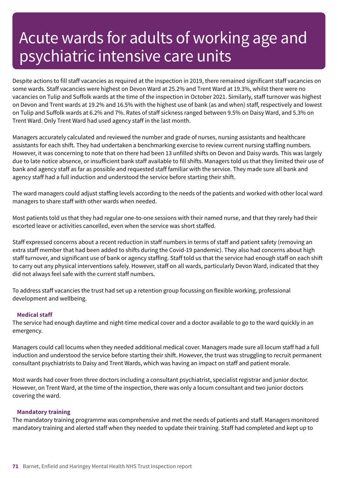Despite actions to fill staff vacancies as required at the inspection in 2019, there remained significant staff vacancies on some wards. Staff vacancies were highest on Devon Ward at 25.2% and Trent Ward at 19.3%, whilst there were no vacancies on Tulip and Suffolk wards at the time of the inspection in October 2021. Similarly, staff turnover was highest on Devon and Trent wards at 19.2% and 16.5% with the highest use of bank (as and when) staff, respectively and lowest on Tulip and Suffolk wards at 6.2% and 7%. Rates of staff sickness ranged between 9.5% on Daisy Ward, and 5.3% on Trent Ward. Only Trent Ward had used agency staff in the last month.

Managers accurately calculated and reviewed the number and grade of nurses, nursing assistants and healthcare assistants for each shift. They had undertaken a benchmarking exercise to review current nursing staffing numbers. However, it was concerning to note that on there had been 13 unfilled shifts on Devon and Daisy wards. This was largely due to late notice absence, or insufficient bank staff available to fill shifts. Managers told us that they limited their use of bank and agency staff as far as possible and requested staff familiar with the service. They made sure all bank and agency staff had a full induction and understood the service before starting their shift.

The ward managers could adjust staffing levels according to the needs of the patients and worked with other local ward managers to share staff with other wards when needed.

Most patients told us that they had regular one-to-one sessions with their named nurse, and that they rarely had their escorted leave or activities cancelled, even when the service was short staffed.

Staff expressed concerns about a recent reduction in staff numbers in terms of staff and patient safety (removing an extra staff member that had been added to shifts during the Covid-19 pandemic). They also had concerns about high staff turnover, and significant use of bank or agency staffing. Staff told us that the service had enough staff on each shift to carry out any physical interventions safely. However, staff on all wards, particularly Devon Ward, indicated that they did not always feel safe with the current staff numbers.

To address staff vacancies the trust had set up a retention group focussing on flexible working, professional development and wellbeing.

### **Medical staff**

The service had enough daytime and night-time medical cover and a doctor available to go to the ward quickly in an emergency.

Managers could call locums when they needed additional medical cover. Managers made sure all locum staff had a full induction and understood the service before starting their shift. However, the trust was struggling to recruit permanent consultant psychiatrists to Daisy and Trent Wards, which was having an impact on staff and patient morale.

Most wards had cover from three doctors including a consultant psychiatrist, specialist registrar and junior doctor. However, on Trent Ward, at the time of the inspection, there was only a locum consultant and two junior doctors covering the ward.

### **Mandatory training**

The mandatory training programme was comprehensive and met the needs of patients and staff. Managers monitored mandatory training and alerted staff when they needed to update their training. Staff had completed and kept up to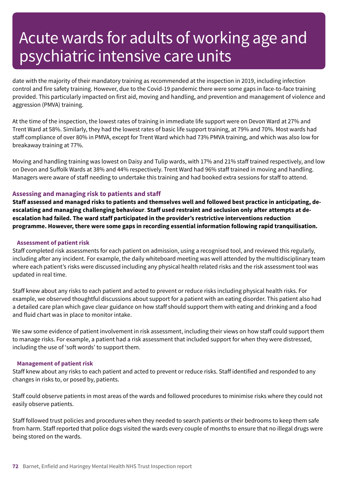date with the majority of their mandatory training as recommended at the inspection in 2019, including infection control and fire safety training. However, due to the Covid-19 pandemic there were some gaps in face-to-face training provided. This particularly impacted on first aid, moving and handling, and prevention and management of violence and aggression (PMVA) training.

At the time of the inspection, the lowest rates of training in immediate life support were on Devon Ward at 27% and Trent Ward at 58%. Similarly, they had the lowest rates of basic life support training, at 79% and 70%. Most wards had staff compliance of over 80% in PMVA, except for Trent Ward which had 73% PMVA training, and which was also low for breakaway training at 77%.

Moving and handling training was lowest on Daisy and Tulip wards, with 17% and 21% staff trained respectively, and low on Devon and Suffolk Wards at 38% and 44% respectively. Trent Ward had 96% staff trained in moving and handling. Managers were aware of staff needing to undertake this training and had booked extra sessions for staff to attend.

# **Assessing and managing risk to patients and staff**

Staff assessed and managed risks to patients and themselves well and followed best practice in anticipating, de**escalating and managing challenging behaviour**. **Staff used restraint and seclusion only after attempts at deescalation had failed. The ward staff participated in the provider's restrictive interventions reduction programme. However, there were some gaps in recording essential information following rapid tranquilisation.**

#### **Assessment of patient risk**

Staff completed risk assessments for each patient on admission, using a recognised tool, and reviewed this regularly, including after any incident. For example, the daily whiteboard meeting was well attended by the multidisciplinary team where each patient's risks were discussed including any physical health related risks and the risk assessment tool was updated in real time.

Staff knew about any risks to each patient and acted to prevent or reduce risks including physical health risks. For example, we observed thoughtful discussions about support for a patient with an eating disorder. This patient also had a detailed care plan which gave clear guidance on how staff should support them with eating and drinking and a food and fluid chart was in place to monitor intake.

We saw some evidence of patient involvement in risk assessment, including their views on how staff could support them to manage risks. For example, a patient had a risk assessment that included support for when they were distressed, including the use of 'soft words' to support them.

#### **Management of patient risk**

Staff knew about any risks to each patient and acted to prevent or reduce risks. Staff identified and responded to any changes in risks to, or posed by, patients.

Staff could observe patients in most areas of the wards and followed procedures to minimise risks where they could not easily observe patients.

Staff followed trust policies and procedures when they needed to search patients or their bedrooms to keep them safe from harm. Staff reported that police dogs visited the wards every couple of months to ensure that no illegal drugs were being stored on the wards.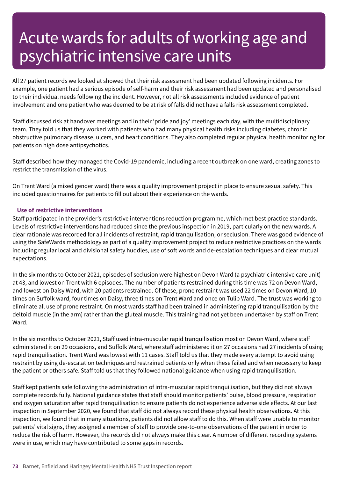All 27 patient records we looked at showed that their risk assessment had been updated following incidents. For example, one patient had a serious episode of self-harm and their risk assessment had been updated and personalised to their individual needs following the incident. However, not all risk assessments included evidence of patient involvement and one patient who was deemed to be at risk of falls did not have a falls risk assessment completed.

Staff discussed risk at handover meetings and in their 'pride and joy' meetings each day, with the multidisciplinary team. They told us that they worked with patients who had many physical health risks including diabetes, chronic obstructive pulmonary disease, ulcers, and heart conditions. They also completed regular physical health monitoring for patients on high dose antipsychotics.

Staff described how they managed the Covid-19 pandemic, including a recent outbreak on one ward, creating zones to restrict the transmission of the virus.

On Trent Ward (a mixed gender ward) there was a quality improvement project in place to ensure sexual safety. This included questionnaires for patients to fill out about their experience on the wards.

#### **Use of restrictive interventions**

Staff participated in the provider's restrictive interventions reduction programme, which met best practice standards. Levels of restrictive interventions had reduced since the previous inspection in 2019, particularly on the new wards. A clear rationale was recorded for all incidents of restraint, rapid tranquilisation, or seclusion. There was good evidence of using the SafeWards methodology as part of a quality improvement project to reduce restrictive practices on the wards including regular local and divisional safety huddles, use of soft words and de-escalation techniques and clear mutual expectations.

In the six months to October 2021, episodes of seclusion were highest on Devon Ward (a psychiatric intensive care unit) at 43, and lowest on Trent with 6 episodes. The number of patients restrained during this time was 72 on Devon Ward, and lowest on Daisy Ward, with 20 patients restrained. Of these, prone restraint was used 22 times on Devon Ward, 10 times on Suffolk ward, four times on Daisy, three times on Trent Ward and once on Tulip Ward. The trust was working to eliminate all use of prone restraint. On most wards staff had been trained in administering rapid tranquilisation by the deltoid muscle (in the arm) rather than the gluteal muscle. This training had not yet been undertaken by staff on Trent Ward.

In the six months to October 2021, Staff used intra-muscular rapid tranquilisation most on Devon Ward, where staff administered it on 29 occasions, and Suffolk Ward, where staff administered it on 27 occasions had 27 incidents of using rapid tranquilisation. Trent Ward was lowest with 11 cases. Staff told us that they made every attempt to avoid using restraint by using de-escalation techniques and restrained patients only when these failed and when necessary to keep the patient or others safe. Staff told us that they followed national guidance when using rapid tranquilisation.

Staff kept patients safe following the administration of intra-muscular rapid tranquilisation, but they did not always complete records fully. National guidance states that staff should monitor patients' pulse, blood pressure, respiration and oxygen saturation after rapid tranquilisation to ensure patients do not experience adverse side effects. At our last inspection in September 2020, we found that staff did not always record these physical health observations. At this inspection, we found that in many situations, patients did not allow staff to do this. When staff were unable to monitor patients' vital signs, they assigned a member of staff to provide one-to-one observations of the patient in order to reduce the risk of harm. However, the records did not always make this clear. A number of different recording systems were in use, which may have contributed to some gaps in records.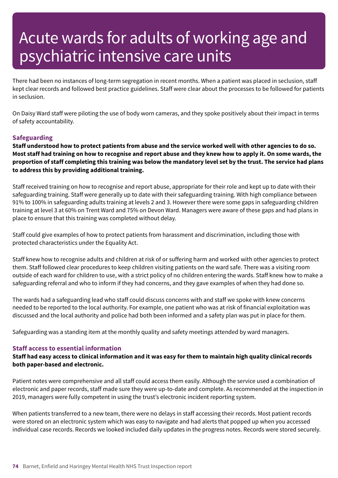There had been no instances of long-term segregation in recent months. When a patient was placed in seclusion, staff kept clear records and followed best practice guidelines. Staff were clear about the processes to be followed for patients in seclusion.

On Daisy Ward staff were piloting the use of body worn cameras, and they spoke positively about their impact in terms of safety accountability.

### **Safeguarding**

Staff understood how to protect patients from abuse and the service worked well with other agencies to do so. Most staff had training on how to recognise and report abuse and they knew how to apply it. On some wards, the proportion of staff completing this training was below the mandatory level set by the trust. The service had plans **to address this by providing additional training.**

Staff received training on how to recognise and report abuse, appropriate for their role and kept up to date with their safeguarding training. Staff were generally up to date with their safeguarding training. With high compliance between 91% to 100% in safeguarding adults training at levels 2 and 3. However there were some gaps in safeguarding children training at level 3 at 60% on Trent Ward and 75% on Devon Ward. Managers were aware of these gaps and had plans in place to ensure that this training was completed without delay.

Staff could give examples of how to protect patients from harassment and discrimination, including those with protected characteristics under the Equality Act.

Staff knew how to recognise adults and children at risk of or suffering harm and worked with other agencies to protect them. Staff followed clear procedures to keep children visiting patients on the ward safe. There was a visiting room outside of each ward for children to use, with a strict policy of no children entering the wards. Staff knew how to make a safeguarding referral and who to inform if they had concerns, and they gave examples of when they had done so.

The wards had a safeguarding lead who staff could discuss concerns with and staff we spoke with knew concerns needed to be reported to the local authority. For example, one patient who was at risk of financial exploitation was discussed and the local authority and police had both been informed and a safety plan was put in place for them.

Safeguarding was a standing item at the monthly quality and safety meetings attended by ward managers.

#### **Staff access to essential information**

Staff had easy access to clinical information and it was easy for them to maintain high quality clinical records **both paper-based and electronic.**

Patient notes were comprehensive and all staff could access them easily. Although the service used a combination of electronic and paper records, staff made sure they were up-to-date and complete. As recommended at the inspection in 2019, managers were fully competent in using the trust's electronic incident reporting system.

When patients transferred to a new team, there were no delays in staff accessing their records. Most patient records were stored on an electronic system which was easy to navigate and had alerts that popped up when you accessed individual case records. Records we looked included daily updates in the progress notes. Records were stored securely.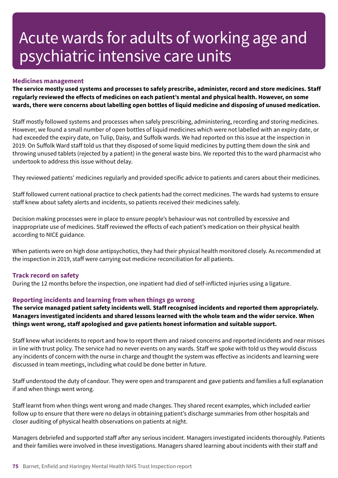#### **Medicines management**

**The service mostly used systems and processes to safely prescribe, administer, record and store medicines. Staff regularly reviewed the effects of medicines on each patient's mental and physical health. However, on some wards, there were concerns about labelling open bottles of liquid medicine and disposing of unused medication.**

Staff mostly followed systems and processes when safely prescribing, administering, recording and storing medicines. However, we found a small number of open bottles of liquid medicines which were not labelled with an expiry date, or had exceeded the expiry date, on Tulip, Daisy, and Suffolk wards. We had reported on this issue at the inspection in 2019. On Suffolk Ward staff told us that they disposed of some liquid medicines by putting them down the sink and throwing unused tablets (rejected by a patient) in the general waste bins. We reported this to the ward pharmacist who undertook to address this issue without delay.

They reviewed patients' medicines regularly and provided specific advice to patients and carers about their medicines.

Staff followed current national practice to check patients had the correct medicines. The wards had systems to ensure staff knew about safety alerts and incidents, so patients received their medicines safely.

Decision making processes were in place to ensure people's behaviour was not controlled by excessive and inappropriate use of medicines. Staff reviewed the effects of each patient's medication on their physical health according to NICE guidance.

When patients were on high dose antipsychotics, they had their physical health monitored closely. As recommended at the inspection in 2019, staff were carrying out medicine reconciliation for all patients.

#### **Track record on safety**

During the 12 months before the inspection, one inpatient had died of self-inflicted injuries using a ligature.

#### **Reporting incidents and learning from when things go wrong**

**The service managed patient safety incidents well. Staff recognised incidents and reported them appropriately. Managers investigated incidents and shared lessons learned with the whole team and the wider service. When things went wrong, staff apologised and gave patients honest information and suitable support.**

Staff knew what incidents to report and how to report them and raised concerns and reported incidents and near misses in line with trust policy. The service had no never events on any wards. Staff we spoke with told us they would discuss any incidents of concern with the nurse in charge and thought the system was effective as incidents and learning were discussed in team meetings, including what could be done better in future.

Staff understood the duty of candour. They were open and transparent and gave patients and families a full explanation if and when things went wrong.

Staff learnt from when things went wrong and made changes. They shared recent examples, which included earlier follow up to ensure that there were no delays in obtaining patient's discharge summaries from other hospitals and closer auditing of physical health observations on patients at night.

Managers debriefed and supported staff after any serious incident. Managers investigated incidents thoroughly. Patients and their families were involved in these investigations. Managers shared learning about incidents with their staff and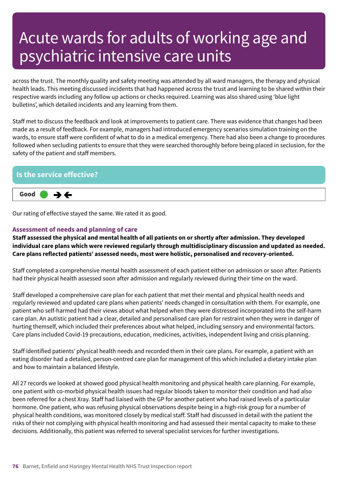across the trust. The monthly quality and safety meeting was attended by all ward managers, the therapy and physical health leads. This meeting discussed incidents that had happened across the trust and learning to be shared within their respective wards including any follow up actions or checks required. Learning was also shared using 'blue light bulletins', which detailed incidents and any learning from them.

Staff met to discuss the feedback and look at improvements to patient care. There was evidence that changes had been made as a result of feedback. For example, managers had introduced emergency scenarios simulation training on the wards, to ensure staff were confident of what to do in a medical emergency. There had also been a change to procedures followed when secluding patients to ensure that they were searched thoroughly before being placed in seclusion, for the safety of the patient and staff members.



Our rating of effective stayed the same. We rated it as good.

### **Assessment of needs and planning of care**

Staff assessed the physical and mental health of all patients on or shortly after admission. They developed **individual care plans which were reviewed regularly through multidisciplinary discussion and updated as needed. Care plans reflected patients' assessed needs, most were holistic, personalised and recovery-oriented.**

Staff completed a comprehensive mental health assessment of each patient either on admission or soon after. Patients had their physical health assessed soon after admission and regularly reviewed during their time on the ward.

Staff developed a comprehensive care plan for each patient that met their mental and physical health needs and regularly reviewed and updated care plans when patients' needs changed in consultation with them. For example, one patient who self-harmed had their views about what helped when they were distressed incorporated into the self-harm care plan. An autistic patient had a clear, detailed and personalised care plan for restraint when they were in danger of hurting themself, which included their preferences about what helped, including sensory and environmental factors. Care plans included Covid-19 precautions, education, medicines, activities, independent living and crisis planning.

Staff identified patients' physical health needs and recorded them in their care plans. For example, a patient with an eating disorder had a detailed, person-centred care plan for management of this which included a dietary intake plan and how to maintain a balanced lifestyle.

All 27 records we looked at showed good physical health monitoring and physical health care planning. For example, one patient with co-morbid physical health issues had regular bloods taken to monitor their condition and had also been referred for a chest Xray. Staff had liaised with the GP for another patient who had raised levels of a particular hormone. One patient, who was refusing physical observations despite being in a high-risk group for a number of physical health conditions, was monitored closely by medical staff. Staff had discussed in detail with the patient the risks of their not complying with physical health monitoring and had assessed their mental capacity to make to these decisions. Additionally, this patient was referred to several specialist services for further investigations.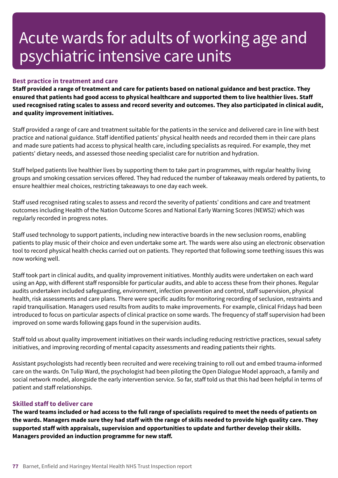#### **Best practice in treatment and care**

Staff provided a range of treatment and care for patients based on national guidance and best practice. They ensured that patients had good access to physical healthcare and supported them to live healthier lives. Staff used recognised rating scales to assess and record severity and outcomes. They also participated in clinical audit, **and quality improvement initiatives.**

Staff provided a range of care and treatment suitable for the patients in the service and delivered care in line with best practice and national guidance. Staff identified patients' physical health needs and recorded them in their care plans and made sure patients had access to physical health care, including specialists as required. For example, they met patients' dietary needs, and assessed those needing specialist care for nutrition and hydration.

Staff helped patients live healthier lives by supporting them to take part in programmes, with regular healthy living groups and smoking cessation services offered. They had reduced the number of takeaway meals ordered by patients, to ensure healthier meal choices, restricting takeaways to one day each week.

Staff used recognised rating scales to assess and record the severity of patients' conditions and care and treatment outcomes including Health of the Nation Outcome Scores and National Early Warning Scores (NEWS2) which was regularly recorded in progress notes.

Staff used technology to support patients, including new interactive boards in the new seclusion rooms, enabling patients to play music of their choice and even undertake some art. The wards were also using an electronic observation tool to record physical health checks carried out on patients. They reported that following some teething issues this was now working well.

Staff took part in clinical audits, and quality improvement initiatives. Monthly audits were undertaken on each ward using an App, with different staff responsible for particular audits, and able to access these from their phones. Regular audits undertaken included safeguarding, environment, infection prevention and control, staff supervision, physical health, risk assessments and care plans. There were specific audits for monitoring recording of seclusion, restraints and rapid tranquilisation. Managers used results from audits to make improvements. For example, clinical Fridays had been introduced to focus on particular aspects of clinical practice on some wards. The frequency of staff supervision had been improved on some wards following gaps found in the supervision audits.

Staff told us about quality improvement initiatives on their wards including reducing restrictive practices, sexual safety initiatives, and improving recording of mental capacity assessments and reading patients their rights.

Assistant psychologists had recently been recruited and were receiving training to roll out and embed trauma-informed care on the wards. On Tulip Ward, the psychologist had been piloting the Open Dialogue Model approach, a family and social network model, alongside the early intervention service. So far, staff told us that this had been helpful in terms of patient and staff relationships.

#### **Skilled staff to deliver care**

The ward teams included or had access to the full range of specialists required to meet the needs of patients on the wards. Managers made sure they had staff with the range of skills needed to provide high quality care. They **supported staff with appraisals, supervision and opportunities to update and further develop their skills. Managers provided an induction programme for new staff.**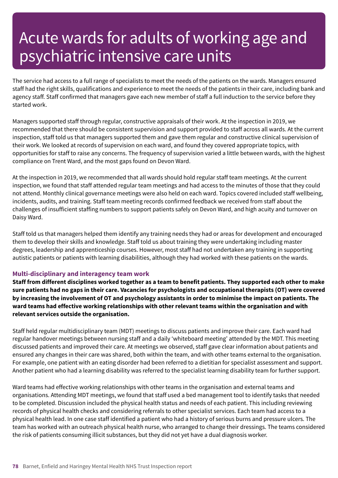The service had access to a full range of specialists to meet the needs of the patients on the wards. Managers ensured staff had the right skills, qualifications and experience to meet the needs of the patients in their care, including bank and agency staff. Staff confirmed that managers gave each new member of staff a full induction to the service before they started work.

Managers supported staff through regular, constructive appraisals of their work. At the inspection in 2019, we recommended that there should be consistent supervision and support provided to staff across all wards. At the current inspection, staff told us that managers supported them and gave them regular and constructive clinical supervision of their work. We looked at records of supervision on each ward, and found they covered appropriate topics, with opportunities for staff to raise any concerns. The frequency of supervision varied a little between wards, with the highest compliance on Trent Ward, and the most gaps found on Devon Ward.

At the inspection in 2019, we recommended that all wards should hold regular staff team meetings. At the current inspection, we found that staff attended regular team meetings and had access to the minutes of those that they could not attend. Monthly clinical governance meetings were also held on each ward. Topics covered included staff wellbeing, incidents, audits, and training. Staff team meeting records confirmed feedback we received from staff about the challenges of insufficient staffing numbers to support patients safely on Devon Ward, and high acuity and turnover on Daisy Ward.

Staff told us that managers helped them identify any training needs they had or areas for development and encouraged them to develop their skills and knowledge. Staff told us about training they were undertaking including master degrees, leadership and apprenticeship courses. However, most staff had not undertaken any training in supporting autistic patients or patients with learning disabilities, although they had worked with these patients on the wards.

### **Multi-disciplinary and interagency team work**

Staff from different disciplines worked together as a team to benefit patients. They supported each other to make sure patients had no gaps in their care. Vacancies for psychologists and occupational therapists (OT) were covered by increasing the involvement of OT and psychology assistants in order to minimise the impact on patients. The **ward teams had effective working relationships with other relevant teams within the organisation and with relevant services outside the organisation.**

Staff held regular multidisciplinary team (MDT) meetings to discuss patients and improve their care. Each ward had regular handover meetings between nursing staff and a daily 'whiteboard meeting' attended by the MDT. This meeting discussed patients and improved their care. At meetings we observed, staff gave clear information about patients and ensured any changes in their care was shared, both within the team, and with other teams external to the organisation. For example, one patient with an eating disorder had been referred to a dietitian for specialist assessment and support. Another patient who had a learning disability was referred to the specialist learning disability team for further support.

Ward teams had effective working relationships with other teams in the organisation and external teams and organisations. Attending MDT meetings, we found that staff used a bed management tool to identify tasks that needed to be completed. Discussion included the physical health status and needs of each patient. This including reviewing records of physical health checks and considering referrals to other specialist services. Each team had access to a physical health lead. In one case staff identified a patient who had a history of serious burns and pressure ulcers. The team has worked with an outreach physical health nurse, who arranged to change their dressings. The teams considered the risk of patients consuming illicit substances, but they did not yet have a dual diagnosis worker.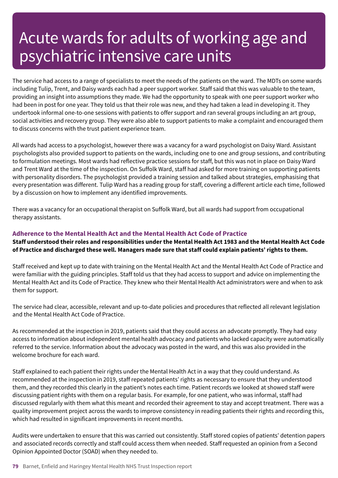The service had access to a range of specialists to meet the needs of the patients on the ward. The MDTs on some wards including Tulip, Trent, and Daisy wards each had a peer support worker. Staff said that this was valuable to the team, providing an insight into assumptions they made. We had the opportunity to speak with one peer support worker who had been in post for one year. They told us that their role was new, and they had taken a lead in developing it. They undertook informal one-to-one sessions with patients to offer support and ran several groups including an art group, social activities and recovery group. They were also able to support patients to make a complaint and encouraged them to discuss concerns with the trust patient experience team.

All wards had access to a psychologist, however there was a vacancy for a ward psychologist on Daisy Ward. Assistant psychologists also provided support to patients on the wards, including one to one and group sessions, and contributing to formulation meetings. Most wards had reflective practice sessions for staff, but this was not in place on Daisy Ward and Trent Ward at the time of the inspection. On Suffolk Ward, staff had asked for more training on supporting patients with personality disorders. The psychologist provided a training session and talked about strategies, emphasising that every presentation was different. Tulip Ward has a reading group for staff, covering a different article each time, followed by a discussion on how to implement any identified improvements.

There was a vacancy for an occupational therapist on Suffolk Ward, but all wards had support from occupational therapy assistants.

### **Adherence to the Mental Health Act and the Mental Health Act Code of Practice**

Staff understood their roles and responsibilities under the Mental Health Act 1983 and the Mental Health Act Code of Practice and discharged these well. Managers made sure that staff could explain patients' rights to them.

Staff received and kept up to date with training on the Mental Health Act and the Mental Health Act Code of Practice and were familiar with the guiding principles. Staff told us that they had access to support and advice on implementing the Mental Health Act and its Code of Practice. They knew who their Mental Health Act administrators were and when to ask them for support.

The service had clear, accessible, relevant and up-to-date policies and procedures that reflected all relevant legislation and the Mental Health Act Code of Practice.

As recommended at the inspection in 2019, patients said that they could access an advocate promptly. They had easy access to information about independent mental health advocacy and patients who lacked capacity were automatically referred to the service. Information about the advocacy was posted in the ward, and this was also provided in the welcome brochure for each ward.

Staff explained to each patient their rights under the Mental Health Act in a way that they could understand. As recommended at the inspection in 2019, staff repeated patients' rights as necessary to ensure that they understood them, and they recorded this clearly in the patient's notes each time. Patient records we looked at showed staff were discussing patient rights with them on a regular basis. For example, for one patient, who was informal, staff had discussed regularly with them what this meant and recorded their agreement to stay and accept treatment. There was a quality improvement project across the wards to improve consistency in reading patients their rights and recording this, which had resulted in significant improvements in recent months.

Audits were undertaken to ensure that this was carried out consistently. Staff stored copies of patients' detention papers and associated records correctly and staff could access them when needed. Staff requested an opinion from a Second Opinion Appointed Doctor (SOAD) when they needed to.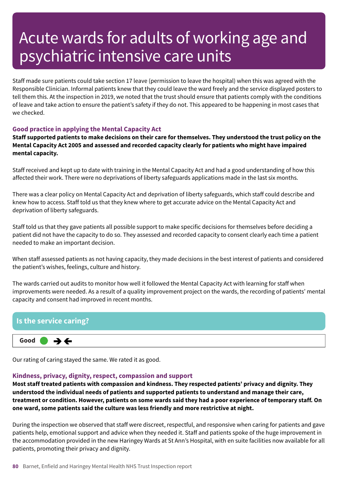Staff made sure patients could take section 17 leave (permission to leave the hospital) when this was agreed with the Responsible Clinician. Informal patients knew that they could leave the ward freely and the service displayed posters to tell them this. At the inspection in 2019, we noted that the trust should ensure that patients comply with the conditions of leave and take action to ensure the patient's safety if they do not. This appeared to be happening in most cases that we checked.

### **Good practice in applying the Mental Capacity Act**

Staff supported patients to make decisions on their care for themselves. They understood the trust policy on the **Mental Capacity Act 2005 and assessed and recorded capacity clearly for patients who might have impaired mental capacity.**

Staff received and kept up to date with training in the Mental Capacity Act and had a good understanding of how this affected their work. There were no deprivations of liberty safeguards applications made in the last six months.

There was a clear policy on Mental Capacity Act and deprivation of liberty safeguards, which staff could describe and knew how to access. Staff told us that they knew where to get accurate advice on the Mental Capacity Act and deprivation of liberty safeguards.

Staff told us that they gave patients all possible support to make specific decisions for themselves before deciding a patient did not have the capacity to do so. They assessed and recorded capacity to consent clearly each time a patient needed to make an important decision.

When staff assessed patients as not having capacity, they made decisions in the best interest of patients and considered the patient's wishes, feelings, culture and history.

The wards carried out audits to monitor how well it followed the Mental Capacity Act with learning for staff when improvements were needed. As a result of a quality improvement project on the wards, the recording of patients' mental capacity and consent had improved in recent months.

### **Is the service caring? Good –––**  $\rightarrow$   $\leftarrow$

Our rating of caring stayed the same. We rated it as good.

### **Kindness, privacy, dignity, respect, compassion and support**

**Most staff treated patients with compassion and kindness. They respected patients' privacy and dignity. They understood the individual needs of patients and supported patients to understand and manage their care,** treatment or condition. However, patients on some wards said they had a poor experience of temporary staff. On **one ward, some patients said the culture was less friendly and more restrictive at night.**

During the inspection we observed that staff were discreet, respectful, and responsive when caring for patients and gave patients help, emotional support and advice when they needed it. Staff and patients spoke of the huge improvement in the accommodation provided in the new Haringey Wards at St Ann's Hospital, with en suite facilities now available for all patients, promoting their privacy and dignity.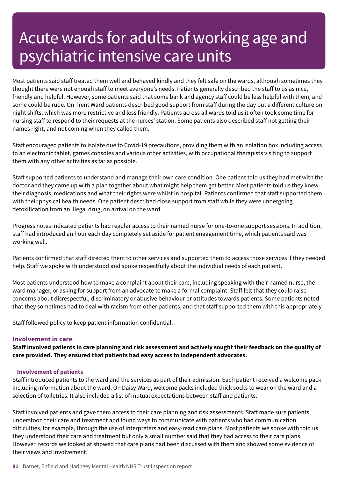Most patients said staff treated them well and behaved kindly and they felt safe on the wards, although sometimes they thought there were not enough staff to meet everyone's needs. Patients generally described the staff to us as nice, friendly and helpful. However, some patients said that some bank and agency staff could be less helpful with them, and some could be rude. On Trent Ward patients described good support from staff during the day but a different culture on night shifts, which was more restrictive and less friendly. Patients across all wards told us it often took some time for nursing staff to respond to their requests at the nurses' station. Some patients also described staff not getting their names right, and not coming when they called them.

Staff encouraged patients to isolate due to Covid-19 precautions, providing them with an isolation box including access to an electronic tablet, games consoles and various other activities, with occupational therapists visiting to support them with any other activities as far as possible.

Staff supported patients to understand and manage their own care condition. One patient told us they had met with the doctor and they came up with a plan together about what might help them get better. Most patients told us they knew their diagnosis, medications and what their rights were whilst in hospital. Patients confirmed that staff supported them with their physical health needs. One patient described close support from staff while they were undergoing detoxification from an illegal drug, on arrival on the ward.

Progress notes indicated patients had regular access to their named nurse for one-to-one support sessions. In addition, staff had introduced an hour each day completely set aside for patient engagement time, which patients said was working well.

Patients confirmed that staff directed them to other services and supported them to access those services if they needed help. Staff we spoke with understood and spoke respectfully about the individual needs of each patient.

Most patients understood how to make a complaint about their care, including speaking with their named nurse, the ward manager, or asking for support from an advocate to make a formal complaint. Staff felt that they could raise concerns about disrespectful, discriminatory or abusive behaviour or attitudes towards patients. Some patients noted that they sometimes had to deal with racism from other patients, and that staff supported them with this appropriately.

Staff followed policy to keep patient information confidential.

#### **Involvement in care**

Staff involved patients in care planning and risk assessment and actively sought their feedback on the quality of **care provided. They ensured that patients had easy access to independent advocates.**

#### **Involvement of patients**

Staff introduced patients to the ward and the services as part of their admission. Each patient received a welcome pack including information about the ward. On Daisy Ward, welcome packs included thick socks to wear on the ward and a selection of toiletries. It also included a list of mutual expectations between staff and patients.

Staff involved patients and gave them access to their care planning and risk assessments. Staff made sure patients understood their care and treatment and found ways to communicate with patients who had communication difficulties, for example, through the use of interpreters and easy-read care plans. Most patients we spoke with told us they understood their care and treatment but only a small number said that they had access to their care plans. However, records we looked at showed that care plans had been discussed with them and showed some evidence of their views and involvement.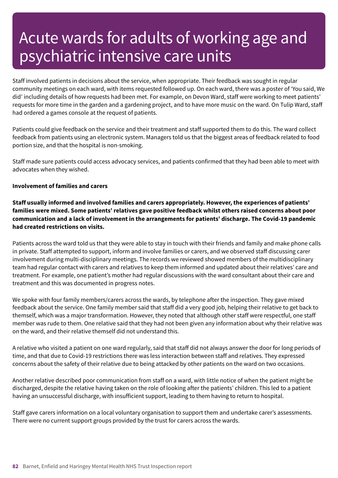Staff involved patients in decisions about the service, when appropriate. Their feedback was sought in regular community meetings on each ward, with items requested followed up. On each ward, there was a poster of 'You said, We did' including details of how requests had been met. For example, on Devon Ward, staff were working to meet patients' requests for more time in the garden and a gardening project, and to have more music on the ward. On Tulip Ward, staff had ordered a games console at the request of patients.

Patients could give feedback on the service and their treatment and staff supported them to do this. The ward collect feedback from patients using an electronic system. Managers told us that the biggest areas of feedback related to food portion size, and that the hospital is non-smoking.

Staff made sure patients could access advocacy services, and patients confirmed that they had been able to meet with advocates when they wished.

#### **Involvement of families and carers**

**Staff usually informed and involved families and carers appropriately. However, the experiences of patients' families were mixed. Some patients' relatives gave positive feedback whilst others raised concerns about poor communication and a lack of involvement in the arrangements for patients' discharge. The Covid-19 pandemic had created restrictions on visits.**

Patients across the ward told us that they were able to stay in touch with their friends and family and make phone calls in private. Staff attempted to support, inform and involve families or carers, and we observed staff discussing carer involvement during multi-disciplinary meetings. The records we reviewed showed members of the multidisciplinary team had regular contact with carers and relatives to keep them informed and updated about their relatives' care and treatment. For example, one patient's mother had regular discussions with the ward consultant about their care and treatment and this was documented in progress notes.

We spoke with four family members/carers across the wards, by telephone after the inspection. They gave mixed feedback about the service. One family member said that staff did a very good job, helping their relative to get back to themself, which was a major transformation. However, they noted that although other staff were respectful, one staff member was rude to them. One relative said that they had not been given any information about why their relative was on the ward, and their relative themself did not understand this.

A relative who visited a patient on one ward regularly, said that staff did not always answer the door for long periods of time, and that due to Covid-19 restrictions there was less interaction between staff and relatives. They expressed concerns about the safety of their relative due to being attacked by other patients on the ward on two occasions.

Another relative described poor communication from staff on a ward, with little notice of when the patient might be discharged, despite the relative having taken on the role of looking after the patients' children. This led to a patient having an unsuccessful discharge, with insufficient support, leading to them having to return to hospital.

Staff gave carers information on a local voluntary organisation to support them and undertake carer's assessments. There were no current support groups provided by the trust for carers across the wards.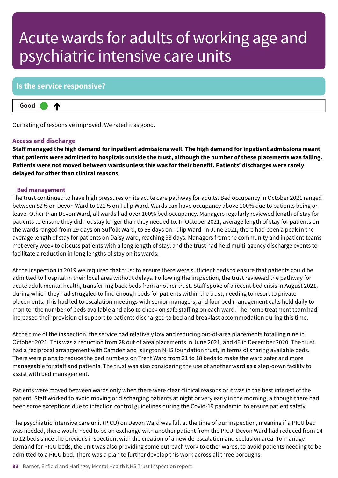### **Is the service responsive?**



Our rating of responsive improved. We rated it as good.

#### **Access and discharge**

**Staff managed the high demand for inpatient admissions well. The high demand for inpatient admissions meant** that patients were admitted to hospitals outside the trust, although the number of these placements was falling. **Patients were not moved between wards unless this was for their benefit. Patients' discharges were rarely delayed for other than clinical reasons.**

#### **Bed management**

The trust continued to have high pressures on its acute care pathway for adults. Bed occupancy in October 2021 ranged between 82% on Devon Ward to 121% on Tulip Ward. Wards can have occupancy above 100% due to patients being on leave. Other than Devon Ward, all wards had over 100% bed occupancy. Managers regularly reviewed length of stay for patients to ensure they did not stay longer than they needed to. In October 2021, average length of stay for patients on the wards ranged from 29 days on Suffolk Ward, to 56 days on Tulip Ward. In June 2021, there had been a peak in the average length of stay for patients on Daisy ward, reaching 93 days. Managers from the community and inpatient teams met every week to discuss patients with a long length of stay, and the trust had held multi-agency discharge events to facilitate a reduction in long lengths of stay on its wards.

At the inspection in 2019 we required that trust to ensure there were sufficient beds to ensure that patients could be admitted to hospital in their local area without delays. Following the inspection, the trust reviewed the pathway for acute adult mental health, transferring back beds from another trust. Staff spoke of a recent bed crisis in August 2021, during which they had struggled to find enough beds for patients within the trust, needing to resort to private placements. This had led to escalation meetings with senior managers, and four bed management calls held daily to monitor the number of beds available and also to check on safe staffing on each ward. The home treatment team had increased their provision of support to patients discharged to bed and breakfast accommodation during this time.

At the time of the inspection, the service had relatively low and reducing out-of-area placements totalling nine in October 2021. This was a reduction from 28 out of area placements in June 2021, and 46 in December 2020. The trust had a reciprocal arrangement with Camden and Islington NHS foundation trust, in terms of sharing available beds. There were plans to reduce the bed numbers on Trent Ward from 21 to 18 beds to make the ward safer and more manageable for staff and patients. The trust was also considering the use of another ward as a step-down facility to assist with bed management.

Patients were moved between wards only when there were clear clinical reasons or it was in the best interest of the patient. Staff worked to avoid moving or discharging patients at night or very early in the morning, although there had been some exceptions due to infection control guidelines during the Covid-19 pandemic, to ensure patient safety.

The psychiatric intensive care unit (PICU) on Devon Ward was full at the time of our inspection, meaning if a PICU bed was needed, there would need to be an exchange with another patient from the PICU. Devon Ward had reduced from 14 to 12 beds since the previous inspection, with the creation of a new de-escalation and seclusion area. To manage demand for PICU beds, the unit was also providing some outreach work to other wards, to avoid patients needing to be admitted to a PICU bed. There was a plan to further develop this work across all three boroughs.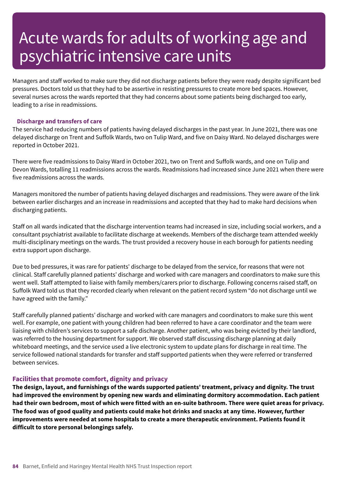Managers and staff worked to make sure they did not discharge patients before they were ready despite significant bed pressures. Doctors told us that they had to be assertive in resisting pressures to create more bed spaces. However, several nurses across the wards reported that they had concerns about some patients being discharged too early, leading to a rise in readmissions.

#### **Discharge and transfers of care**

The service had reducing numbers of patients having delayed discharges in the past year. In June 2021, there was one delayed discharge on Trent and Suffolk Wards, two on Tulip Ward, and five on Daisy Ward. No delayed discharges were reported in October 2021.

There were five readmissions to Daisy Ward in October 2021, two on Trent and Suffolk wards, and one on Tulip and Devon Wards, totalling 11 readmissions across the wards. Readmissions had increased since June 2021 when there were five readmissions across the wards.

Managers monitored the number of patients having delayed discharges and readmissions. They were aware of the link between earlier discharges and an increase in readmissions and accepted that they had to make hard decisions when discharging patients.

Staff on all wards indicated that the discharge intervention teams had increased in size, including social workers, and a consultant psychiatrist available to facilitate discharge at weekends. Members of the discharge team attended weekly multi-disciplinary meetings on the wards. The trust provided a recovery house in each borough for patients needing extra support upon discharge.

Due to bed pressures, it was rare for patients' discharge to be delayed from the service, for reasons that were not clinical. Staff carefully planned patients' discharge and worked with care managers and coordinators to make sure this went well. Staff attempted to liaise with family members/carers prior to discharge. Following concerns raised staff, on Suffolk Ward told us that they recorded clearly when relevant on the patient record system "do not discharge until we have agreed with the family."

Staff carefully planned patients' discharge and worked with care managers and coordinators to make sure this went well. For example, one patient with young children had been referred to have a care coordinator and the team were liaising with children's services to support a safe discharge. Another patient, who was being evicted by their landlord, was referred to the housing department for support. We observed staff discussing discharge planning at daily whiteboard meetings, and the service used a live electronic system to update plans for discharge in real time. The service followed national standards for transfer and staff supported patients when they were referred or transferred between services.

#### **Facilities that promote comfort, dignity and privacy**

**The design, layout, and furnishings of the wards supported patients' treatment, privacy and dignity. The trust had improved the environment by opening new wards and eliminating dormitory accommodation. Each patient** had their own bedroom, most of which were fitted with an en-suite bathroom. There were quiet areas for privacy. The food was of good quality and patients could make hot drinks and snacks at any time. However, further **improvements were needed at some hospitals to create a more therapeutic environment. Patients found it difficult to store personal belongings safely.**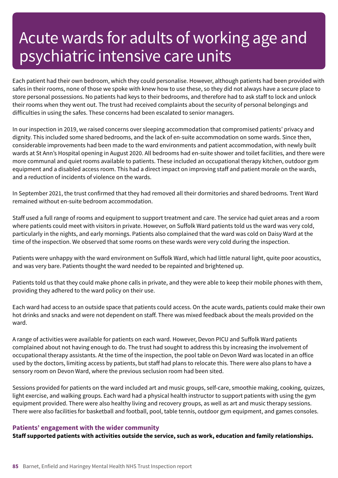Each patient had their own bedroom, which they could personalise. However, although patients had been provided with safes in their rooms, none of those we spoke with knew how to use these, so they did not always have a secure place to store personal possessions. No patients had keys to their bedrooms, and therefore had to ask staff to lock and unlock their rooms when they went out. The trust had received complaints about the security of personal belongings and difficulties in using the safes. These concerns had been escalated to senior managers.

In our inspection in 2019, we raised concerns over sleeping accommodation that compromised patients' privacy and dignity. This included some shared bedrooms, and the lack of en-suite accommodation on some wards. Since then, considerable improvements had been made to the ward environments and patient accommodation, with newly built wards at St Ann's Hospital opening in August 2020. All bedrooms had en-suite shower and toilet facilities, and there were more communal and quiet rooms available to patients. These included an occupational therapy kitchen, outdoor gym equipment and a disabled access room. This had a direct impact on improving staff and patient morale on the wards, and a reduction of incidents of violence on the wards.

In September 2021, the trust confirmed that they had removed all their dormitories and shared bedrooms. Trent Ward remained without en-suite bedroom accommodation.

Staff used a full range of rooms and equipment to support treatment and care. The service had quiet areas and a room where patients could meet with visitors in private. However, on Suffolk Ward patients told us the ward was very cold, particularly in the nights, and early mornings. Patients also complained that the ward was cold on Daisy Ward at the time of the inspection. We observed that some rooms on these wards were very cold during the inspection.

Patients were unhappy with the ward environment on Suffolk Ward, which had little natural light, quite poor acoustics, and was very bare. Patients thought the ward needed to be repainted and brightened up.

Patients told us that they could make phone calls in private, and they were able to keep their mobile phones with them, providing they adhered to the ward policy on their use.

Each ward had access to an outside space that patients could access. On the acute wards, patients could make their own hot drinks and snacks and were not dependent on staff. There was mixed feedback about the meals provided on the ward.

A range of activities were available for patients on each ward. However, Devon PICU and Suffolk Ward patients complained about not having enough to do. The trust had sought to address this by increasing the involvement of occupational therapy assistants. At the time of the inspection, the pool table on Devon Ward was located in an office used by the doctors, limiting access by patients, but staff had plans to relocate this. There were also plans to have a sensory room on Devon Ward, where the previous seclusion room had been sited.

Sessions provided for patients on the ward included art and music groups, self-care, smoothie making, cooking, quizzes, light exercise, and walking groups. Each ward had a physical health instructor to support patients with using the gym equipment provided. There were also healthy living and recovery groups, as well as art and music therapy sessions. There were also facilities for basketball and football, pool, table tennis, outdoor gym equipment, and games consoles.

#### **Patients' engagement with the wider community**

**Staff supported patients with activities outside the service, such as work, education and family relationships.**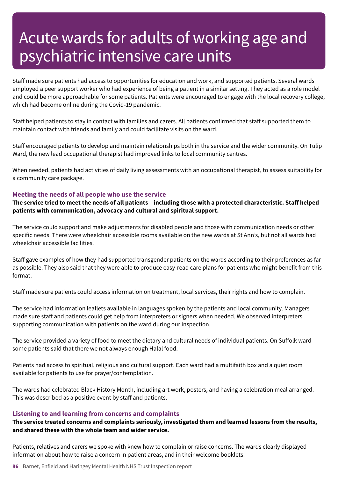Staff made sure patients had access to opportunities for education and work, and supported patients. Several wards employed a peer support worker who had experience of being a patient in a similar setting. They acted as a role model and could be more approachable for some patients. Patients were encouraged to engage with the local recovery college, which had become online during the Covid-19 pandemic.

Staff helped patients to stay in contact with families and carers. All patients confirmed that staff supported them to maintain contact with friends and family and could facilitate visits on the ward.

Staff encouraged patients to develop and maintain relationships both in the service and the wider community. On Tulip Ward, the new lead occupational therapist had improved links to local community centres.

When needed, patients had activities of daily living assessments with an occupational therapist, to assess suitability for a community care package.

#### **Meeting the needs of all people who use the service**

The service tried to meet the needs of all patients - including those with a protected characteristic. Staff helped **patients with communication, advocacy and cultural and spiritual support.**

The service could support and make adjustments for disabled people and those with communication needs or other specific needs. There were wheelchair accessible rooms available on the new wards at St Ann's, but not all wards had wheelchair accessible facilities.

Staff gave examples of how they had supported transgender patients on the wards according to their preferences as far as possible. They also said that they were able to produce easy-read care plans for patients who might benefit from this format.

Staff made sure patients could access information on treatment, local services, their rights and how to complain.

The service had information leaflets available in languages spoken by the patients and local community. Managers made sure staff and patients could get help from interpreters or signers when needed. We observed interpreters supporting communication with patients on the ward during our inspection.

The service provided a variety of food to meet the dietary and cultural needs of individual patients. On Suffolk ward some patients said that there we not always enough Halal food.

Patients had access to spiritual, religious and cultural support. Each ward had a multifaith box and a quiet room available for patients to use for prayer/contemplation.

The wards had celebrated Black History Month, including art work, posters, and having a celebration meal arranged. This was described as a positive event by staff and patients.

#### **Listening to and learning from concerns and complaints**

**The service treated concerns and complaints seriously, investigated them and learned lessons from the results, and shared these with the whole team and wider service.**

Patients, relatives and carers we spoke with knew how to complain or raise concerns. The wards clearly displayed information about how to raise a concern in patient areas, and in their welcome booklets.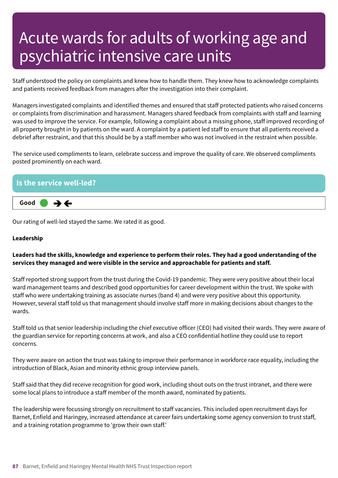Staff understood the policy on complaints and knew how to handle them. They knew how to acknowledge complaints and patients received feedback from managers after the investigation into their complaint.

Managers investigated complaints and identified themes and ensured that staff protected patients who raised concerns or complaints from discrimination and harassment. Managers shared feedback from complaints with staff and learning was used to improve the service. For example, following a complaint about a missing phone, staff improved recording of all property brought in by patients on the ward. A complaint by a patient led staff to ensure that all patients received a debrief after restraint, and that this should be by a staff member who was not involved in the restraint when possible.

The service used compliments to learn, celebrate success and improve the quality of care. We observed compliments posted prominently on each ward.



Our rating of well-led stayed the same. We rated it as good.

#### **Leadership**

### Leaders had the skills, knowledge and experience to perform their roles. They had a good understanding of the **services they managed and were visible in the service and approachable for patients and staff.**

Staff reported strong support from the trust during the Covid-19 pandemic. They were very positive about their local ward management teams and described good opportunities for career development within the trust. We spoke with staff who were undertaking training as associate nurses (band 4) and were very positive about this opportunity. However, several staff told us that management should involve staff more in making decisions about changes to the wards.

Staff told us that senior leadership including the chief executive officer (CEO) had visited their wards. They were aware of the guardian service for reporting concerns at work, and also a CEO confidential hotline they could use to report concerns.

They were aware on action the trust was taking to improve their performance in workforce race equality, including the introduction of Black, Asian and minority ethnic group interview panels.

Staff said that they did receive recognition for good work, including shout outs on the trust intranet, and there were some local plans to introduce a staff member of the month award, nominated by patients.

The leadership were focussing strongly on recruitment to staff vacancies. This included open recruitment days for Barnet, Enfield and Haringey, increased attendance at career fairs undertaking some agency conversion to trust staff, and a training rotation programme to 'grow their own staff.'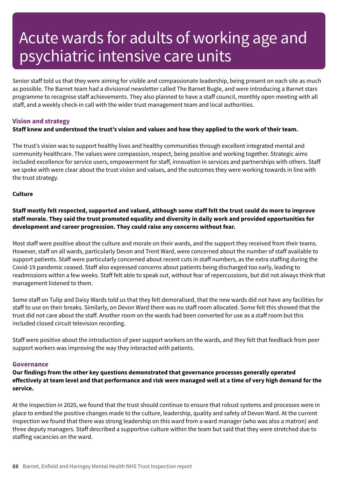Senior staff told us that they were aiming for visible and compassionate leadership, being present on each site as much as possible. The Barnet team had a divisional newsletter called The Barnet Bugle, and were introducing a Barnet stars programme to recognise staff achievements. They also planned to have a staff council, monthly open meeting with all staff, and a weekly check-in call with the wider trust management team and local authorities.

### **Vision and strategy**

### Staff knew and understood the trust's vision and values and how they applied to the work of their team.

The trust's vision was to support healthy lives and healthy communities through excellent integrated mental and community healthcare. The values were compassion, respect, being positive and working together. Strategic aims included excellence for service users, empowerment for staff, innovation in services and partnerships with others. Staff we spoke with were clear about the trust vision and values, and the outcomes they were working towards in line with the trust strategy.

#### **Culture**

### Staff mostly felt respected, supported and valued, although some staff felt the trust could do more to improve staff morale. They said the trust promoted equality and diversity in daily work and provided opportunities for **development and career progression. They could raise any concerns without fear.**

Most staff were positive about the culture and morale on their wards, and the support they received from their teams. However, staff on all wards, particularly Devon and Trent Ward, were concerned about the number of staff available to support patients. Staff were particularly concerned about recent cuts in staff numbers, as the extra staffing during the Covid-19 pandemic ceased. Staff also expressed concerns about patients being discharged too early, leading to readmissions within a few weeks. Staff felt able to speak out, without fear of repercussions, but did not always think that management listened to them.

Some staff on Tulip and Daisy Wards told us that they felt demoralised, that the new wards did not have any facilities for staff to use on their breaks. Similarly, on Devon Ward there was no staff room allocated. Some felt this showed that the trust did not care about the staff. Another room on the wards had been converted for use as a staff room but this included closed circuit television recording.

Staff were positive about the introduction of peer support workers on the wards, and they felt that feedback from peer support workers was improving the way they interacted with patients.

#### **Governance**

**Our findings from the other key questions demonstrated that governance processes generally operated** effectively at team level and that performance and risk were managed well at a time of very high demand for the **service.**

At the inspection in 2020, we found that the trust should continue to ensure that robust systems and processes were in place to embed the positive changes made to the culture, leadership, quality and safety of Devon Ward. At the current inspection we found that there was strong leadership on this ward from a ward manager (who was also a matron) and three deputy managers. Staff described a supportive culture within the team but said that they were stretched due to staffing vacancies on the ward.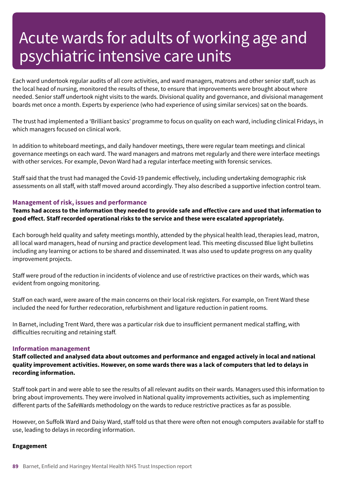Each ward undertook regular audits of all core activities, and ward managers, matrons and other senior staff, such as the local head of nursing, monitored the results of these, to ensure that improvements were brought about where needed. Senior staff undertook night visits to the wards. Divisional quality and governance, and divisional management boards met once a month. Experts by experience (who had experience of using similar services) sat on the boards.

The trust had implemented a 'Brilliant basics' programme to focus on quality on each ward, including clinical Fridays, in which managers focused on clinical work.

In addition to whiteboard meetings, and daily handover meetings, there were regular team meetings and clinical governance meetings on each ward. The ward managers and matrons met regularly and there were interface meetings with other services. For example, Devon Ward had a regular interface meeting with forensic services.

Staff said that the trust had managed the Covid-19 pandemic effectively, including undertaking demographic risk assessments on all staff, with staff moved around accordingly. They also described a supportive infection control team.

#### **Management of risk, issues and performance**

Teams had access to the information they needed to provide safe and effective care and used that information to **good effect. Staff recorded operational risks to the service and these were escalated appropriately.**

Each borough held quality and safety meetings monthly, attended by the physical health lead, therapies lead, matron, all local ward managers, head of nursing and practice development lead. This meeting discussed Blue light bulletins including any learning or actions to be shared and disseminated. It was also used to update progress on any quality improvement projects.

Staff were proud of the reduction in incidents of violence and use of restrictive practices on their wards, which was evident from ongoing monitoring.

Staff on each ward, were aware of the main concerns on their local risk registers. For example, on Trent Ward these included the need for further redecoration, refurbishment and ligature reduction in patient rooms.

In Barnet, including Trent Ward, there was a particular risk due to insufficient permanent medical staffing, with difficulties recruiting and retaining staff.

#### **Information management**

**Staff collected and analysed data about outcomes and performance and engaged actively in local and national** quality improvement activities. However, on some wards there was a lack of computers that led to delays in **recording information.**

Staff took part in and were able to see the results of all relevant audits on their wards. Managers used this information to bring about improvements. They were involved in National quality improvements activities, such as implementing different parts of the SafeWards methodology on the wards to reduce restrictive practices as far as possible.

However, on Suffolk Ward and Daisy Ward, staff told us that there were often not enough computers available for staff to use, leading to delays in recording information.

#### **Engagement**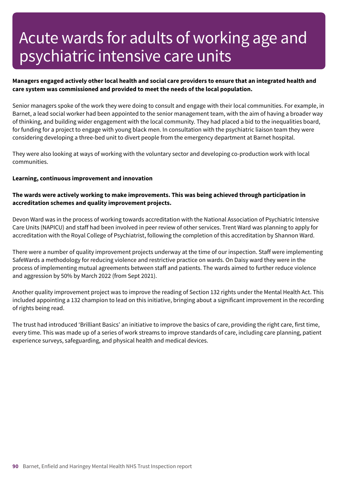### Managers engaged actively other local health and social care providers to ensure that an integrated health and **care system was commissioned and provided to meet the needs of the local population.**

Senior managers spoke of the work they were doing to consult and engage with their local communities. For example, in Barnet, a lead social worker had been appointed to the senior management team, with the aim of having a broader way of thinking, and building wider engagement with the local community. They had placed a bid to the inequalities board, for funding for a project to engage with young black men. In consultation with the psychiatric liaison team they were considering developing a three-bed unit to divert people from the emergency department at Barnet hospital.

They were also looking at ways of working with the voluntary sector and developing co-production work with local communities.

#### **Learning, continuous improvement and innovation**

### **The wards were actively working to make improvements. This was being achieved through participation in accreditation schemes and quality improvement projects.**

Devon Ward was in the process of working towards accreditation with the National Association of Psychiatric Intensive Care Units (NAPICU) and staff had been involved in peer review of other services. Trent Ward was planning to apply for accreditation with the Royal College of Psychiatrist, following the completion of this accreditation by Shannon Ward.

There were a number of quality improvement projects underway at the time of our inspection. Staff were implementing SafeWards a methodology for reducing violence and restrictive practice on wards. On Daisy ward they were in the process of implementing mutual agreements between staff and patients. The wards aimed to further reduce violence and aggression by 50% by March 2022 (from Sept 2021).

Another quality improvement project was to improve the reading of Section 132 rights under the Mental Health Act. This included appointing a 132 champion to lead on this initiative, bringing about a significant improvement in the recording of rights being read.

The trust had introduced 'Brilliant Basics' an initiative to improve the basics of care, providing the right care, first time, every time. This was made up of a series of work streams to improve standards of care, including care planning, patient experience surveys, safeguarding, and physical health and medical devices.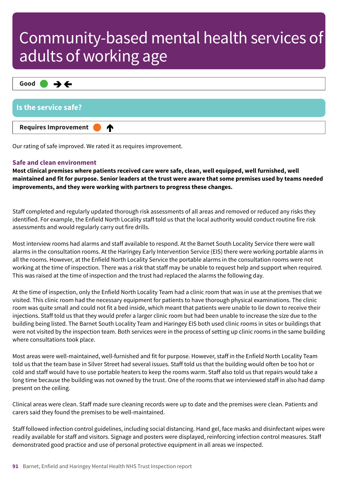

Our rating of safe improved. We rated it as requires improvement.

#### **Safe and clean environment**

**Most clinical premises where patients received care were safe, clean, well equipped, well furnished, well** maintained and fit for purpose. Senior leaders at the trust were aware that some premises used by teams needed **improvements, and they were working with partners to progress these changes.**

Staff completed and regularly updated thorough risk assessments of all areas and removed or reduced any risks they identified. For example, the Enfield North Locality staff told us that the local authority would conduct routine fire risk assessments and would regularly carry out fire drills.

Most interview rooms had alarms and staff available to respond. At the Barnet South Locality Service there were wall alarms in the consultation rooms. At the Haringey Early Intervention Service (EIS) there were working portable alarms in all the rooms. However, at the Enfield North Locality Service the portable alarms in the consultation rooms were not working at the time of inspection. There was a risk that staff may be unable to request help and support when required. This was raised at the time of inspection and the trust had replaced the alarms the following day.

At the time of inspection, only the Enfield North Locality Team had a clinic room that was in use at the premises that we visited. This clinic room had the necessary equipment for patients to have thorough physical examinations. The clinic room was quite small and could not fit a bed inside, which meant that patients were unable to lie down to receive their injections. Staff told us that they would prefer a larger clinic room but had been unable to increase the size due to the building being listed. The Barnet South Locality Team and Haringey EIS both used clinic rooms in sites or buildings that were not visited by the inspection team. Both services were in the process of setting up clinic rooms in the same building where consultations took place.

Most areas were well-maintained, well-furnished and fit for purpose. However, staff in the Enfield North Locality Team told us that the team base in Silver Street had several issues. Staff told us that the building would often be too hot or cold and staff would have to use portable heaters to keep the rooms warm. Staff also told us that repairs would take a long time because the building was not owned by the trust. One of the rooms that we interviewed staff in also had damp present on the ceiling.

Clinical areas were clean. Staff made sure cleaning records were up to date and the premises were clean. Patients and carers said they found the premises to be well-maintained.

Staff followed infection control guidelines, including social distancing. Hand gel, face masks and disinfectant wipes were readily available for staff and visitors. Signage and posters were displayed, reinforcing infection control measures. Staff demonstrated good practice and use of personal protective equipment in all areas we inspected.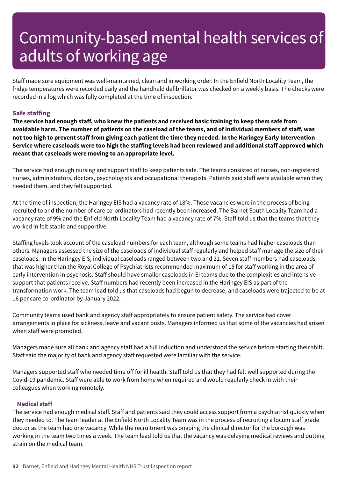Staff made sure equipment was well-maintained, clean and in working order. In the Enfield North Locality Team, the fridge temperatures were recorded daily and the handheld defibrillator was checked on a weekly basis. The checks were recorded in a log which was fully completed at the time of inspection.

### **Safe staffing**

The service had enough staff, who knew the patients and received basic training to keep them safe from avoidable harm. The number of patients on the caseload of the teams, and of individual members of staff, was not too high to prevent staff from giving each patient the time they needed. In the Haringey Early Intervention Service where caseloads were too high the staffing levels had been reviewed and additional staff approved which **meant that caseloads were moving to an appropriate level.**

The service had enough nursing and support staff to keep patients safe. The teams consisted of nurses, non-registered nurses, administrators, doctors, psychologists and occupational therapists. Patients said staff were available when they needed them, and they felt supported.

At the time of inspection, the Haringey EIS had a vacancy rate of 18%. These vacancies were in the process of being recruited to and the number of care co-ordinators had recently been increased. The Barnet South Locality Team had a vacancy rate of 9% and the Enfield North Locality Team had a vacancy rate of 7%. Staff told us that the teams that they worked in felt stable and supportive.

Staffing levels took account of the caseload numbers for each team, although some teams had higher caseloads than others. Managers assessed the size of the caseloads of individual staff regularly and helped staff manage the size of their caseloads. In the Haringey EIS, individual caseloads ranged between two and 21. Seven staff members had caseloads that was higher than the Royal College of Psychiatrists recommended maximum of 15 for staff working in the area of early intervention in psychosis. Staff should have smaller caseloads in EI teams due to the complexities and intensive support that patients receive. Staff numbers had recently been increased in the Haringey EIS as part of the transformation work. The team lead told us that caseloads had begun to decrease, and caseloads were trajected to be at 16 per care co-ordinator by January 2022.

Community teams used bank and agency staff appropriately to ensure patient safety. The service had cover arrangements in place for sickness, leave and vacant posts. Managers informed us that some of the vacancies had arisen when staff were promoted.

Managers made sure all bank and agency staff had a full induction and understood the service before starting their shift. Staff said the majority of bank and agency staff requested were familiar with the service.

Managers supported staff who needed time off for ill health. Staff told us that they had felt well supported during the Covid-19 pandemic. Staff were able to work from home when required and would regularly check in with their colleagues when working remotely.

#### **Medical staff**

The service had enough medical staff. Staff and patients said they could access support from a psychiatrist quickly when they needed to. The team leader at the Enfield North Locality Team was in the process of recruiting a locum staff grade doctor as the team had one vacancy. While the recruitment was ongoing the clinical director for the borough was working in the team two times a week. The team lead told us that the vacancy was delaying medical reviews and putting strain on the medical team.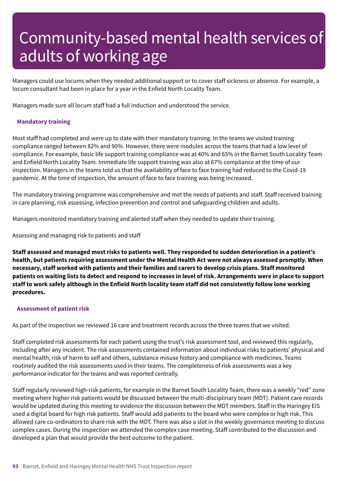Managers could use locums when they needed additional support or to cover staff sickness or absence. For example, a locum consultant had been in place for a year in the Enfield North Locality Team.

Managers made sure all locum staff had a full induction and understood the service.

#### **Mandatory training**

Most staff had completed and were up to date with their mandatory training. In the teams we visited training compliance ranged between 82% and 90%. However, there were modules across the teams that had a low level of compliance. For example, basic life support training compliance was at 40% and 65% in the Barnet South Locality Team and Enfield North Locality Team. Immediate life support training was also at 67% compliance at the time of our inspection. Managers in the teams told us that the availability of face to face training had reduced to the Covid-19 pandemic. At the time of inspection, the amount of face to face training was being increased.

The mandatory training programme was comprehensive and met the needs of patients and staff. Staff received training in care planning, risk assessing, infection prevention and control and safeguarding children and adults.

Managers monitored mandatory training and alerted staff when they needed to update their training.

Assessing and managing risk to patients and staff

Staff assessed and managed most risks to patients well. They responded to sudden deterioration in a patient's **health, but patients requiring assessment under the Mental Health Act were not always assessed promptly. When necessary, staff worked with patients and their families and carers to develop crisis plans. Staff monitored** patients on waiting lists to detect and respond to increases in level of risk. Arrangements were in place to support staff to work safely although in the Enfield North locality team staff did not consistently follow lone working **procedures.**

#### **Assessment of patient risk**

As part of the inspection we reviewed 16 care and treatment records across the three teams that we visited.

Staff completed risk assessments for each patient using the trust's risk assessment tool, and reviewed this regularly, including after any incident. The risk assessments contained information about individual risks to patients' physical and mental health, risk of harm to self and others, substance misuse history and compliance with medicines. Teams routinely audited the risk assessments used in their teams. The completeness of risk assessments was a key performance indicator for the teams and was reported centrally.

Staff regularly reviewed high-risk patients, for example in the Barnet South Locality Team, there was a weekly "red" zone meeting where higher risk patients would be discussed between the multi-disciplinary team (MDT). Patient care records would be updated during this meeting to evidence the discussion between the MDT members. Staff in the Haringey EIS used a digital board for high risk patients. Staff would add patients to the board who were complex or high risk. This allowed care co-ordinators to share risk with the MDT. There was also a slot in the weekly governance meeting to discuss complex cases. During the inspection we attended the complex case meeting. Staff contributed to the discussion and developed a plan that would provide the best outcome to the patient.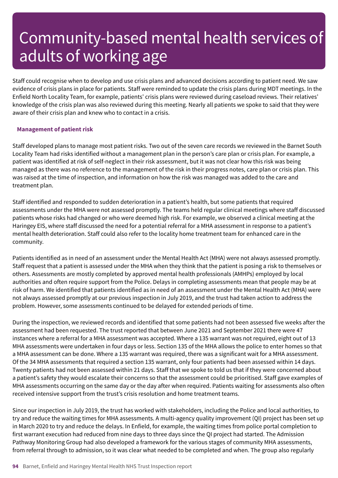Staff could recognise when to develop and use crisis plans and advanced decisions according to patient need. We saw evidence of crisis plans in place for patients. Staff were reminded to update the crisis plans during MDT meetings. In the Enfield North Locality Team, for example, patients' crisis plans were reviewed during caseload reviews. Their relatives' knowledge of the crisis plan was also reviewed during this meeting. Nearly all patients we spoke to said that they were aware of their crisis plan and knew who to contact in a crisis.

#### **Management of patient risk**

Staff developed plans to manage most patient risks. Two out of the seven care records we reviewed in the Barnet South Locality Team had risks identified without a management plan in the person's care plan or crisis plan. For example, a patient was identified at risk of self-neglect in their risk assessment, but it was not clear how this risk was being managed as there was no reference to the management of the risk in their progress notes, care plan or crisis plan. This was raised at the time of inspection, and information on how the risk was managed was added to the care and treatment plan.

Staff identified and responded to sudden deterioration in a patient's health, but some patients that required assessments under the MHA were not assessed promptly. The teams held regular clinical meetings where staff discussed patients whose risks had changed or who were deemed high risk. For example, we observed a clinical meeting at the Haringey EIS, where staff discussed the need for a potential referral for a MHA assessment in response to a patient's mental health deterioration. Staff could also refer to the locality home treatment team for enhanced care in the community.

Patients identified as in need of an assessment under the Mental Health Act (MHA) were not always assessed promptly. Staff request that a patient is assessed under the MHA when they think that the patient is posing a risk to themselves or others. Assessments are mostly completed by approved mental health professionals (AMHPs) employed by local authorities and often require support from the Police. Delays in completing assessments mean that people may be at risk of harm. We identified that patients identified as in need of an assessment under the Mental Health Act (MHA) were not always assessed promptly at our previous inspection in July 2019, and the trust had taken action to address the problem. However, some assessments continued to be delayed for extended periods of time.

During the inspection, we reviewed records and identified that some patients had not been assessed five weeks after the assessment had been requested. The trust reported that between June 2021 and September 2021 there were 47 instances where a referral for a MHA assessment was accepted. Where a 135 warrant was not required, eight out of 13 MHA assessments were undertaken in four days or less. Section 135 of the MHA allows the police to enter homes so that a MHA assessment can be done. Where a 135 warrant was required, there was a significant wait for a MHA assessment. Of the 34 MHA assessments that required a section 135 warrant, only four patients had been assessed within 14 days. Twenty patients had not been assessed within 21 days. Staff that we spoke to told us that if they were concerned about a patient's safety they would escalate their concerns so that the assessment could be prioritised. Staff gave examples of MHA assessments occurring on the same day or the day after when required. Patients waiting for assessments also often received intensive support from the trust's crisis resolution and home treatment teams.

Since our inspection in July 2019, the trust has worked with stakeholders, including the Police and local authorities, to try and reduce the waiting times for MHA assessments. A multi-agency quality improvement (QI) project has been set up in March 2020 to try and reduce the delays. In Enfield, for example, the waiting times from police portal completion to first warrant execution had reduced from nine days to three days since the QI project had started. The Admission Pathway Monitoring Group had also developed a framework for the various stages of community MHA assessments, from referral through to admission, so it was clear what needed to be completed and when. The group also regularly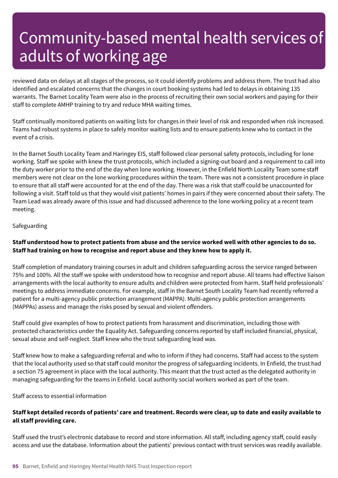reviewed data on delays at all stages of the process, so it could identify problems and address them. The trust had also identified and escalated concerns that the changes in court booking systems had led to delays in obtaining 135 warrants. The Barnet Locality Team were also in the process of recruiting their own social workers and paying for their staff to complete AMHP training to try and reduce MHA waiting times.

Staff continually monitored patients on waiting lists for changes in their level of risk and responded when risk increased. Teams had robust systems in place to safely monitor waiting lists and to ensure patients knew who to contact in the event of a crisis.

In the Barnet South Locality Team and Haringey EIS, staff followed clear personal safety protocols, including for lone working. Staff we spoke with knew the trust protocols, which included a signing-out board and a requirement to call into the duty worker prior to the end of the day when lone working. However, in the Enfield North Locality Team some staff members were not clear on the lone working procedures within the team. There was not a consistent procedure in place to ensure that all staff were accounted for at the end of the day. There was a risk that staff could be unaccounted for following a visit. Staff told us that they would visit patients' homes in pairs if they were concerned about their safety. The Team Lead was already aware of this issue and had discussed adherence to the lone working policy at a recent team meeting.

### Safeguarding

### Staff understood how to protect patients from abuse and the service worked well with other agencies to do so. **Staff had training on how to recognise and report abuse and they knew how to apply it.**

Staff completion of mandatory training courses in adult and children safeguarding across the service ranged between 75% and 100%. All the staff we spoke with understood how to recognise and report abuse. All teams had effective liaison arrangements with the local authority to ensure adults and children were protected from harm. Staff held professionals' meetings to address immediate concerns. For example, staff in the Barnet South Locality Team had recently referred a patient for a multi-agency public protection arrangement (MAPPA). Multi-agency public protection arrangements (MAPPAs) assess and manage the risks posed by sexual and violent offenders.

Staff could give examples of how to protect patients from harassment and discrimination, including those with protected characteristics under the Equality Act. Safeguarding concerns reported by staff included financial, physical, sexual abuse and self-neglect. Staff knew who the trust safeguarding lead was.

Staff knew how to make a safeguarding referral and who to inform if they had concerns. Staff had access to the system that the local authority used so that staff could monitor the progress of safeguarding incidents. In Enfield, the trust had a section 75 agreement in place with the local authority. This meant that the trust acted as the delegated authority in managing safeguarding for the teams in Enfield. Local authority social workers worked as part of the team.

Staff access to essential information

### Staff kept detailed records of patients' care and treatment. Records were clear, up to date and easily available to **all staff providing care.**

Staff used the trust's electronic database to record and store information. All staff, including agency staff, could easily access and use the database. Information about the patients' previous contact with trust services was readily available.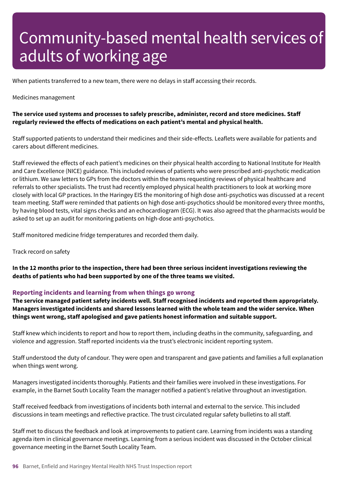When patients transferred to a new team, there were no delays in staff accessing their records.

#### Medicines management

### **The service used systems and processes to safely prescribe, administer, record and store medicines. Staff regularly reviewed the effects of medications on each patient's mental and physical health.**

Staff supported patients to understand their medicines and their side-effects. Leaflets were available for patients and carers about different medicines.

Staff reviewed the effects of each patient's medicines on their physical health according to National Institute for Health and Care Excellence (NICE) guidance. This included reviews of patients who were prescribed anti-psychotic medication or lithium. We saw letters to GPs from the doctors within the teams requesting reviews of physical healthcare and referrals to other specialists. The trust had recently employed physical health practitioners to look at working more closely with local GP practices. In the Haringey EIS the monitoring of high dose anti-psychotics was discussed at a recent team meeting. Staff were reminded that patients on high dose anti-psychotics should be monitored every three months, by having blood tests, vital signs checks and an echocardiogram (ECG). It was also agreed that the pharmacists would be asked to set up an audit for monitoring patients on high-dose anti-psychotics.

Staff monitored medicine fridge temperatures and recorded them daily.

Track record on safety

In the 12 months prior to the inspection, there had been three serious incident investigations reviewing the **deaths of patients who had been supported by one of the three teams we visited.**

#### **Reporting incidents and learning from when things go wrong**

**The service managed patient safety incidents well. Staff recognised incidents and reported them appropriately. Managers investigated incidents and shared lessons learned with the whole team and the wider service. When things went wrong, staff apologised and gave patients honest information and suitable support.**

Staff knew which incidents to report and how to report them, including deaths in the community, safeguarding, and violence and aggression. Staff reported incidents via the trust's electronic incident reporting system.

Staff understood the duty of candour. They were open and transparent and gave patients and families a full explanation when things went wrong.

Managers investigated incidents thoroughly. Patients and their families were involved in these investigations. For example, in the Barnet South Locality Team the manager notified a patient's relative throughout an investigation.

Staff received feedback from investigations of incidents both internal and external to the service. This included discussions in team meetings and reflective practice. The trust circulated regular safety bulletins to all staff.

Staff met to discuss the feedback and look at improvements to patient care. Learning from incidents was a standing agenda item in clinical governance meetings. Learning from a serious incident was discussed in the October clinical governance meeting in the Barnet South Locality Team.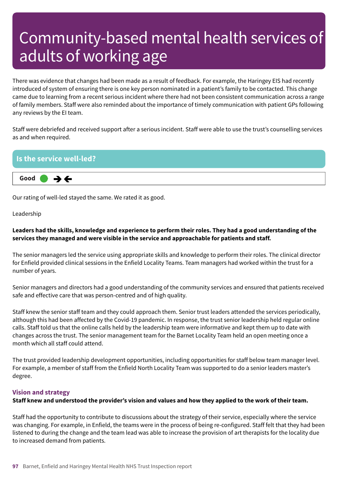There was evidence that changes had been made as a result of feedback. For example, the Haringey EIS had recently introduced of system of ensuring there is one key person nominated in a patient's family to be contacted. This change came due to learning from a recent serious incident where there had not been consistent communication across a range of family members. Staff were also reminded about the importance of timely communication with patient GPs following any reviews by the EI team.

Staff were debriefed and received support after a serious incident. Staff were able to use the trust's counselling services as and when required.

### **Is the service well-led? Good –––**  $\rightarrow$   $\leftarrow$

Our rating of well-led stayed the same. We rated it as good.

Leadership

### Leaders had the skills, knowledge and experience to perform their roles. They had a good understanding of the **services they managed and were visible in the service and approachable for patients and staff.**

The senior managers led the service using appropriate skills and knowledge to perform their roles. The clinical director for Enfield provided clinical sessions in the Enfield Locality Teams. Team managers had worked within the trust for a number of years.

Senior managers and directors had a good understanding of the community services and ensured that patients received safe and effective care that was person-centred and of high quality.

Staff knew the senior staff team and they could approach them. Senior trust leaders attended the services periodically, although this had been affected by the Covid-19 pandemic. In response, the trust senior leadership held regular online calls. Staff told us that the online calls held by the leadership team were informative and kept them up to date with changes across the trust. The senior management team for the Barnet Locality Team held an open meeting once a month which all staff could attend.

The trust provided leadership development opportunities, including opportunities for staff below team manager level. For example, a member of staff from the Enfield North Locality Team was supported to do a senior leaders master's degree.

### **Vision and strategy**

### Staff knew and understood the provider's vision and values and how they applied to the work of their team.

Staff had the opportunity to contribute to discussions about the strategy of their service, especially where the service was changing. For example, in Enfield, the teams were in the process of being re-configured. Staff felt that they had been listened to during the change and the team lead was able to increase the provision of art therapists for the locality due to increased demand from patients.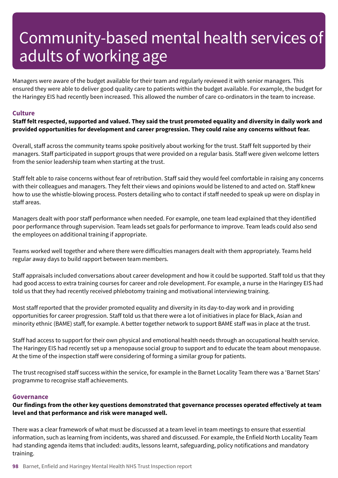Managers were aware of the budget available for their team and regularly reviewed it with senior managers. This ensured they were able to deliver good quality care to patients within the budget available. For example, the budget for the Haringey EIS had recently been increased. This allowed the number of care co-ordinators in the team to increase.

#### **Culture**

Staff felt respected, supported and valued. They said the trust promoted equality and diversity in daily work and **provided opportunities for development and career progression. They could raise any concerns without fear.**

Overall, staff across the community teams spoke positively about working for the trust. Staff felt supported by their managers. Staff participated in support groups that were provided on a regular basis. Staff were given welcome letters from the senior leadership team when starting at the trust.

Staff felt able to raise concerns without fear of retribution. Staff said they would feel comfortable in raising any concerns with their colleagues and managers. They felt their views and opinions would be listened to and acted on. Staff knew how to use the whistle-blowing process. Posters detailing who to contact if staff needed to speak up were on display in staff areas.

Managers dealt with poor staff performance when needed. For example, one team lead explained that they identified poor performance through supervision. Team leads set goals for performance to improve. Team leads could also send the employees on additional training if appropriate.

Teams worked well together and where there were difficulties managers dealt with them appropriately. Teams held regular away days to build rapport between team members.

Staff appraisals included conversations about career development and how it could be supported. Staff told us that they had good access to extra training courses for career and role development. For example, a nurse in the Haringey EIS had told us that they had recently received phlebotomy training and motivational interviewing training.

Most staff reported that the provider promoted equality and diversity in its day-to-day work and in providing opportunities for career progression. Staff told us that there were a lot of initiatives in place for Black, Asian and minority ethnic (BAME) staff, for example. A better together network to support BAME staff was in place at the trust.

Staff had access to support for their own physical and emotional health needs through an occupational health service. The Haringey EIS had recently set up a menopause social group to support and to educate the team about menopause. At the time of the inspection staff were considering of forming a similar group for patients.

The trust recognised staff success within the service, for example in the Barnet Locality Team there was a 'Barnet Stars' programme to recognise staff achievements.

#### **Governance**

**Our findings from the other key questions demonstrated that governance processes operated effectively at team level and that performance and risk were managed well.**

There was a clear framework of what must be discussed at a team level in team meetings to ensure that essential information, such as learning from incidents, was shared and discussed. For example, the Enfield North Locality Team had standing agenda items that included: audits, lessons learnt, safeguarding, policy notifications and mandatory training.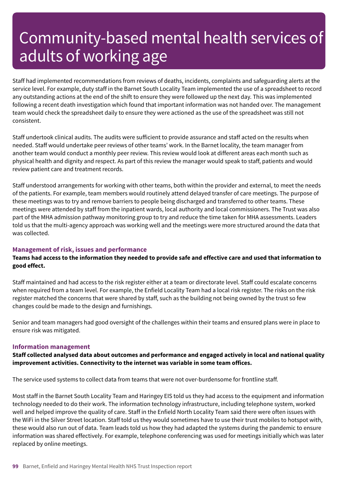Staff had implemented recommendations from reviews of deaths, incidents, complaints and safeguarding alerts at the service level. For example, duty staff in the Barnet South Locality Team implemented the use of a spreadsheet to record any outstanding actions at the end of the shift to ensure they were followed up the next day. This was implemented following a recent death investigation which found that important information was not handed over. The management team would check the spreadsheet daily to ensure they were actioned as the use of the spreadsheet was still not consistent.

Staff undertook clinical audits. The audits were sufficient to provide assurance and staff acted on the results when needed. Staff would undertake peer reviews of other teams' work. In the Barnet locality, the team manager from another team would conduct a monthly peer review. This review would look at different areas each month such as physical health and dignity and respect. As part of this review the manager would speak to staff, patients and would review patient care and treatment records.

Staff understood arrangements for working with other teams, both within the provider and external, to meet the needs of the patients. For example, team members would routinely attend delayed transfer of care meetings. The purpose of these meetings was to try and remove barriers to people being discharged and transferred to other teams. These meetings were attended by staff from the inpatient wards, local authority and local commissioners. The Trust was also part of the MHA admission pathway monitoring group to try and reduce the time taken for MHA assessments. Leaders told us that the multi-agency approach was working well and the meetings were more structured around the data that was collected.

#### **Management of risk, issues and performance**

### Teams had access to the information they needed to provide safe and effective care and used that information to **good effect.**

Staff maintained and had access to the risk register either at a team or directorate level. Staff could escalate concerns when required from a team level. For example, the Enfield Locality Team had a local risk register. The risks on the risk register matched the concerns that were shared by staff, such as the building not being owned by the trust so few changes could be made to the design and furnishings.

Senior and team managers had good oversight of the challenges within their teams and ensured plans were in place to ensure risk was mitigated.

#### **Information management**

**Staff collected analysed data about outcomes and performance and engaged actively in local and national quality improvement activities. Connectivity to the internet was variable in some team offices.**

The service used systems to collect data from teams that were not over-burdensome for frontline staff.

Most staff in the Barnet South Locality Team and Haringey EIS told us they had access to the equipment and information technology needed to do their work. The information technology infrastructure, including telephone system, worked well and helped improve the quality of care. Staff in the Enfield North Locality Team said there were often issues with the WiFi in the Silver Street location. Staff told us they would sometimes have to use their trust mobiles to hotspot with, these would also run out of data. Team leads told us how they had adapted the systems during the pandemic to ensure information was shared effectively. For example, telephone conferencing was used for meetings initially which was later replaced by online meetings.